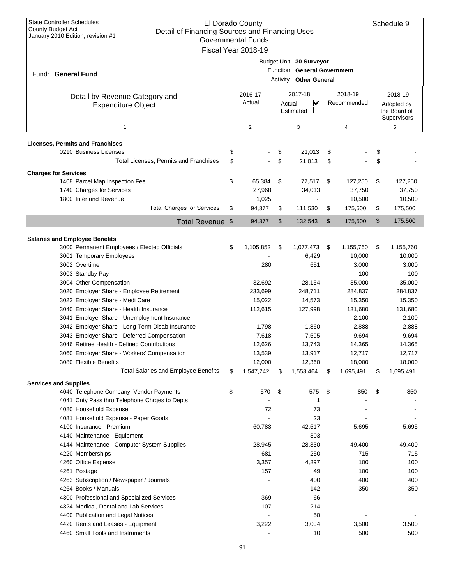| <b>State Controller Schedules</b><br>El Dorado County<br><b>County Budget Act</b><br>Detail of Financing Sources and Financing Uses<br>January 2010 Edition, revision #1<br><b>Governmental Funds</b><br>Fiscal Year 2018-19 |                                                             |                   |                |                                     |                                                                                  |                        |                |                                                      | Schedule 9     |
|------------------------------------------------------------------------------------------------------------------------------------------------------------------------------------------------------------------------------|-------------------------------------------------------------|-------------------|----------------|-------------------------------------|----------------------------------------------------------------------------------|------------------------|----------------|------------------------------------------------------|----------------|
| Fund: General Fund                                                                                                                                                                                                           |                                                             |                   |                |                                     | Budget Unit 30 Surveyor<br>Function General Government<br>Activity Other General |                        |                |                                                      |                |
|                                                                                                                                                                                                                              | Detail by Revenue Category and<br><b>Expenditure Object</b> | 2016-17<br>Actual |                | 2017-18<br>⊻<br>Actual<br>Estimated |                                                                                  | 2018-19<br>Recommended |                | 2018-19<br>Adopted by<br>the Board of<br>Supervisors |                |
|                                                                                                                                                                                                                              | $\mathbf{1}$                                                |                   | $\overline{2}$ |                                     | 3                                                                                |                        | $\overline{4}$ |                                                      | 5              |
| <b>Licenses, Permits and Franchises</b>                                                                                                                                                                                      |                                                             |                   |                |                                     |                                                                                  |                        |                |                                                      |                |
| 0210 Business Licenses                                                                                                                                                                                                       |                                                             | \$                |                | \$                                  | 21,013                                                                           | \$                     |                | \$                                                   |                |
|                                                                                                                                                                                                                              | Total Licenses, Permits and Franchises                      | \$                |                | \$                                  | 21,013                                                                           | \$                     |                | \$                                                   |                |
| <b>Charges for Services</b>                                                                                                                                                                                                  |                                                             |                   |                |                                     |                                                                                  |                        |                |                                                      |                |
| 1408 Parcel Map Inspection Fee                                                                                                                                                                                               |                                                             | \$                | 65,384         | \$                                  | 77,517                                                                           | \$                     | 127,250        | \$                                                   | 127,250        |
| 1740 Charges for Services                                                                                                                                                                                                    |                                                             |                   | 27,968         |                                     | 34,013                                                                           |                        | 37,750         |                                                      | 37,750         |
| 1800 Interfund Revenue                                                                                                                                                                                                       |                                                             |                   | 1,025          |                                     |                                                                                  |                        | 10,500         |                                                      | 10,500         |
|                                                                                                                                                                                                                              | <b>Total Charges for Services</b>                           | \$                | 94,377         | \$                                  | 111,530                                                                          | \$                     | 175,500        | \$                                                   | 175,500        |
|                                                                                                                                                                                                                              | Total Revenue \$                                            |                   | 94,377         | \$                                  | 132,543                                                                          | \$                     | 175,500        | \$                                                   | 175,500        |
| <b>Salaries and Employee Benefits</b>                                                                                                                                                                                        |                                                             |                   |                |                                     |                                                                                  |                        |                |                                                      |                |
|                                                                                                                                                                                                                              | 3000 Permanent Employees / Elected Officials                | \$                | 1,105,852      | \$                                  | 1,077,473                                                                        | \$                     | 1,155,760      | \$                                                   | 1,155,760      |
| 3001 Temporary Employees                                                                                                                                                                                                     |                                                             |                   |                |                                     | 6,429                                                                            |                        | 10,000         |                                                      | 10,000         |
| 3002 Overtime                                                                                                                                                                                                                |                                                             |                   | 280            |                                     | 651                                                                              |                        | 3,000          |                                                      | 3,000          |
| 3003 Standby Pay                                                                                                                                                                                                             |                                                             |                   |                |                                     |                                                                                  |                        | 100            |                                                      | 100            |
| 3004 Other Compensation                                                                                                                                                                                                      |                                                             |                   | 32,692         |                                     | 28,154                                                                           |                        | 35,000         |                                                      | 35,000         |
|                                                                                                                                                                                                                              | 3020 Employer Share - Employee Retirement                   |                   | 233,699        |                                     | 248,711                                                                          |                        | 284,837        |                                                      | 284,837        |
| 3022 Employer Share - Medi Care                                                                                                                                                                                              |                                                             |                   | 15,022         |                                     | 14,573                                                                           |                        | 15,350         |                                                      | 15,350         |
| 3040 Employer Share - Health Insurance                                                                                                                                                                                       | 3041 Employer Share - Unemployment Insurance                |                   | 112,615        |                                     | 127,998                                                                          |                        | 131,680        |                                                      | 131,680        |
|                                                                                                                                                                                                                              | 3042 Employer Share - Long Term Disab Insurance             |                   | 1,798          |                                     | 1,860                                                                            |                        | 2,100<br>2,888 |                                                      | 2,100<br>2,888 |
|                                                                                                                                                                                                                              | 3043 Employer Share - Deferred Compensation                 |                   | 7,618          |                                     | 7,595                                                                            |                        | 9,694          |                                                      | 9,694          |
|                                                                                                                                                                                                                              | 3046 Retiree Health - Defined Contributions                 |                   | 12,626         |                                     | 13,743                                                                           |                        | 14,365         |                                                      | 14,365         |
|                                                                                                                                                                                                                              | 3060 Employer Share - Workers' Compensation                 |                   | 13,539         |                                     | 13,917                                                                           |                        | 12,717         |                                                      | 12,717         |
| 3080 Flexible Benefits                                                                                                                                                                                                       |                                                             |                   | 12,000         |                                     | 12,360                                                                           |                        | 18,000         |                                                      | 18,000         |
|                                                                                                                                                                                                                              | <b>Total Salaries and Employee Benefits</b>                 | \$                | 1,547,742      | \$                                  | 1,553,464                                                                        | \$                     | 1,695,491      | \$                                                   | 1,695,491      |
| <b>Services and Supplies</b>                                                                                                                                                                                                 |                                                             |                   |                |                                     |                                                                                  |                        |                |                                                      |                |
|                                                                                                                                                                                                                              | 4040 Telephone Company Vendor Payments                      | \$                | 570            | \$                                  | 575                                                                              | \$                     | 850            | \$                                                   | 850            |
|                                                                                                                                                                                                                              | 4041 Cnty Pass thru Telephone Chrges to Depts               |                   |                |                                     | 1                                                                                |                        |                |                                                      |                |
| 4080 Household Expense                                                                                                                                                                                                       |                                                             |                   | 72             |                                     | 73                                                                               |                        |                |                                                      |                |
| 4081 Household Expense - Paper Goods                                                                                                                                                                                         |                                                             |                   |                |                                     | 23                                                                               |                        |                |                                                      |                |
| 4100 Insurance - Premium                                                                                                                                                                                                     |                                                             |                   | 60,783         |                                     | 42,517                                                                           |                        | 5,695          |                                                      | 5,695          |
| 4140 Maintenance - Equipment                                                                                                                                                                                                 |                                                             |                   |                |                                     | 303                                                                              |                        |                |                                                      |                |
| 4220 Memberships                                                                                                                                                                                                             | 4144 Maintenance - Computer System Supplies                 |                   | 28,945<br>681  |                                     | 28,330<br>250                                                                    |                        | 49,400<br>715  |                                                      | 49,400<br>715  |
| 4260 Office Expense                                                                                                                                                                                                          |                                                             |                   | 3,357          |                                     | 4,397                                                                            |                        | 100            |                                                      | 100            |
| 4261 Postage                                                                                                                                                                                                                 |                                                             |                   | 157            |                                     | 49                                                                               |                        | 100            |                                                      | 100            |
| 4263 Subscription / Newspaper / Journals                                                                                                                                                                                     |                                                             |                   |                |                                     | 400                                                                              |                        | 400            |                                                      | 400            |
| 4264 Books / Manuals                                                                                                                                                                                                         |                                                             |                   |                |                                     | 142                                                                              |                        | 350            |                                                      | 350            |
|                                                                                                                                                                                                                              | 4300 Professional and Specialized Services                  |                   | 369            |                                     | 66                                                                               |                        |                |                                                      |                |
| 4324 Medical, Dental and Lab Services                                                                                                                                                                                        |                                                             |                   | 107            |                                     | 214                                                                              |                        |                |                                                      |                |
| 4400 Publication and Legal Notices                                                                                                                                                                                           |                                                             |                   |                |                                     | 50                                                                               |                        |                |                                                      |                |
| 4420 Rents and Leases - Equipment                                                                                                                                                                                            |                                                             |                   | 3,222          |                                     | 3,004                                                                            |                        | 3,500          |                                                      | 3,500          |
| 4460 Small Tools and Instruments                                                                                                                                                                                             |                                                             |                   |                |                                     | 10                                                                               |                        | 500            |                                                      | 500            |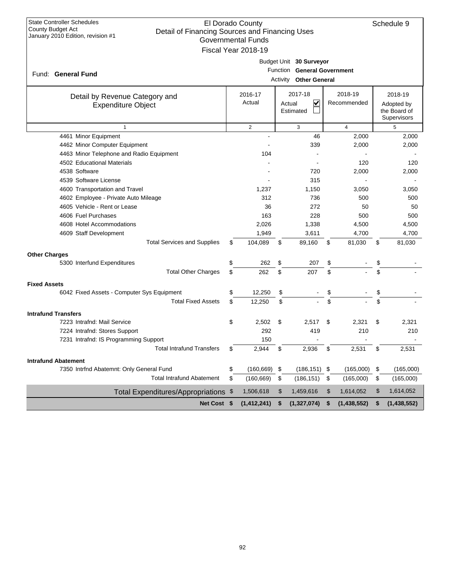| <b>State Controller Schedules</b><br><b>County Budget Act</b><br>Detail of Financing Sources and Financing Uses<br>January 2010 Edition, revision #1 | El Dorado County<br><b>Governmental Funds</b><br>Fiscal Year 2018-19 |                                                                                  |                        | Schedule 9                                           |
|------------------------------------------------------------------------------------------------------------------------------------------------------|----------------------------------------------------------------------|----------------------------------------------------------------------------------|------------------------|------------------------------------------------------|
| Fund: General Fund                                                                                                                                   |                                                                      | Budget Unit 30 Surveyor<br>Function General Government<br>Activity Other General |                        |                                                      |
| Detail by Revenue Category and<br><b>Expenditure Object</b>                                                                                          | 2016-17<br>Actual                                                    | 2017-18<br>V<br>Actual<br>Estimated                                              | 2018-19<br>Recommended | 2018-19<br>Adopted by<br>the Board of<br>Supervisors |
| $\mathbf{1}$                                                                                                                                         | $\overline{2}$                                                       | 3                                                                                | $\overline{4}$         | 5                                                    |
| 4461 Minor Equipment                                                                                                                                 |                                                                      | 46                                                                               | 2,000                  | 2,000                                                |
| 4462 Minor Computer Equipment                                                                                                                        |                                                                      | 339                                                                              | 2,000                  | 2,000                                                |
| 4463 Minor Telephone and Radio Equipment                                                                                                             | 104                                                                  |                                                                                  |                        |                                                      |
| 4502 Educational Materials                                                                                                                           |                                                                      |                                                                                  | 120                    | 120                                                  |
| 4538 Software                                                                                                                                        |                                                                      | 720                                                                              | 2,000                  | 2,000                                                |
| 4539 Software License                                                                                                                                |                                                                      | 315                                                                              |                        |                                                      |
| 4600 Transportation and Travel                                                                                                                       | 1,237                                                                | 1,150                                                                            | 3,050                  | 3,050                                                |
| 4602 Employee - Private Auto Mileage                                                                                                                 | 312                                                                  | 736                                                                              | 500                    | 500                                                  |
| 4605 Vehicle - Rent or Lease                                                                                                                         | 36                                                                   | 272                                                                              | 50                     | 50                                                   |
| 4606 Fuel Purchases                                                                                                                                  | 163                                                                  | 228                                                                              | 500                    | 500                                                  |
| 4608 Hotel Accommodations                                                                                                                            | 2,026                                                                | 1,338                                                                            | 4,500                  | 4,500                                                |
| 4609 Staff Development                                                                                                                               | 1,949                                                                | 3,611                                                                            | 4,700                  | 4,700                                                |
| <b>Total Services and Supplies</b>                                                                                                                   | \$<br>104,089                                                        | \$<br>89,160                                                                     | \$<br>81,030           | \$<br>81,030                                         |
| <b>Other Charges</b>                                                                                                                                 |                                                                      |                                                                                  |                        |                                                      |
| 5300 Interfund Expenditures                                                                                                                          | \$<br>262                                                            | \$<br>207                                                                        | \$                     | \$                                                   |
| <b>Total Other Charges</b>                                                                                                                           | \$<br>262                                                            | \$<br>207                                                                        | \$                     | \$                                                   |
| <b>Fixed Assets</b>                                                                                                                                  |                                                                      |                                                                                  |                        |                                                      |
| 6042 Fixed Assets - Computer Sys Equipment                                                                                                           | \$<br>12,250                                                         | \$                                                                               | \$                     | \$                                                   |
| <b>Total Fixed Assets</b>                                                                                                                            | \$<br>12,250                                                         | \$                                                                               | \$                     | \$                                                   |
| <b>Intrafund Transfers</b>                                                                                                                           |                                                                      |                                                                                  |                        |                                                      |
| 7223 Intrafnd: Mail Service                                                                                                                          | \$<br>2,502                                                          | \$<br>2,517                                                                      | \$<br>2,321            | \$<br>2,321                                          |
| 7224 Intrafnd: Stores Support                                                                                                                        | 292                                                                  | 419                                                                              | 210                    | 210                                                  |
| 7231 Intrafnd: IS Programming Support                                                                                                                | 150                                                                  |                                                                                  |                        |                                                      |
| <b>Total Intrafund Transfers</b>                                                                                                                     | \$<br>2,944                                                          | \$<br>2,936                                                                      | \$<br>2,531            | \$<br>2,531                                          |
| <b>Intrafund Abatement</b>                                                                                                                           |                                                                      |                                                                                  |                        |                                                      |
| 7350 Intrfnd Abatemnt: Only General Fund                                                                                                             | \$<br>$(160, 669)$ \$                                                | $(186, 151)$ \$                                                                  | (165,000)              | \$<br>(165,000)                                      |
| <b>Total Intrafund Abatement</b>                                                                                                                     | \$<br>(160, 669)                                                     | \$<br>(186, 151)                                                                 | \$<br>(165,000)        | \$<br>(165,000)                                      |
| Total Expenditures/Appropriations \$                                                                                                                 | 1,506,618                                                            | \$<br>1,459,616                                                                  | \$<br>1,614,052        | \$<br>1,614,052                                      |
| Net Cost \$                                                                                                                                          | (1, 412, 241)                                                        | \$<br>(1, 327, 074)                                                              | \$<br>(1,438,552)      | \$<br>(1,438,552)                                    |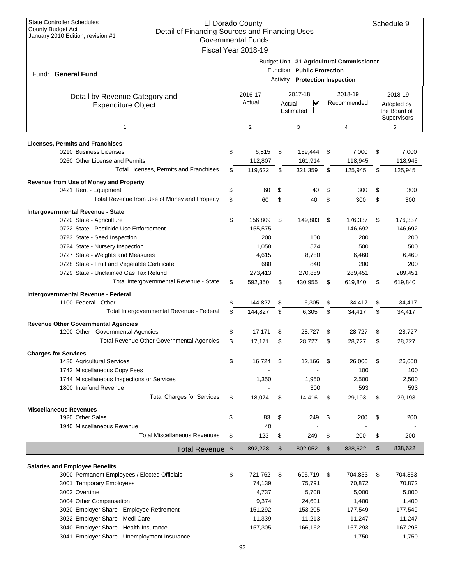| <b>State Controller Schedules</b><br>El Dorado County<br><b>County Budget Act</b><br>Detail of Financing Sources and Financing Uses<br>January 2010 Edition, revision #1<br><b>Governmental Funds</b><br>Fiscal Year 2018-19 |    |                   |        |                                                                     |    |                                          |    |                                                      |  |
|------------------------------------------------------------------------------------------------------------------------------------------------------------------------------------------------------------------------------|----|-------------------|--------|---------------------------------------------------------------------|----|------------------------------------------|----|------------------------------------------------------|--|
| Fund: General Fund                                                                                                                                                                                                           |    |                   |        | Function Public Protection<br><b>Activity Protection Inspection</b> |    | Budget Unit 31 Agricultural Commissioner |    |                                                      |  |
| Detail by Revenue Category and<br><b>Expenditure Object</b>                                                                                                                                                                  |    | 2016-17<br>Actual | Actual | 2017-18<br>✓<br>Estimated                                           |    | 2018-19<br>Recommended                   |    | 2018-19<br>Adopted by<br>the Board of<br>Supervisors |  |
| $\mathbf{1}$                                                                                                                                                                                                                 |    | $\overline{2}$    |        | 3                                                                   |    | $\overline{4}$                           |    | 5                                                    |  |
| <b>Licenses, Permits and Franchises</b>                                                                                                                                                                                      |    |                   |        |                                                                     |    |                                          |    |                                                      |  |
| 0210 Business Licenses                                                                                                                                                                                                       | \$ | 6,815             | \$     | 159,444                                                             | \$ | 7,000                                    | \$ | 7,000                                                |  |
| 0260 Other License and Permits                                                                                                                                                                                               |    | 112,807           |        | 161,914                                                             |    | 118,945                                  |    | 118,945                                              |  |
| Total Licenses, Permits and Franchises                                                                                                                                                                                       | \$ | 119,622           | \$     | 321,359                                                             | \$ | 125,945                                  | \$ | 125,945                                              |  |
| <b>Revenue from Use of Money and Property</b>                                                                                                                                                                                |    |                   |        |                                                                     |    |                                          |    |                                                      |  |
| 0421 Rent - Equipment                                                                                                                                                                                                        | \$ | 60                | \$     | 40                                                                  | \$ | 300                                      | \$ | 300                                                  |  |
| Total Revenue from Use of Money and Property                                                                                                                                                                                 | \$ | 60                | \$     | 40                                                                  | \$ | 300                                      | \$ | 300                                                  |  |
|                                                                                                                                                                                                                              |    |                   |        |                                                                     |    |                                          |    |                                                      |  |
| Intergovernmental Revenue - State                                                                                                                                                                                            |    |                   |        |                                                                     |    |                                          |    |                                                      |  |
| 0720 State - Agriculture                                                                                                                                                                                                     | \$ | 156,809           | \$     | 149,803                                                             | \$ | 176,337                                  | \$ | 176,337                                              |  |
| 0722 State - Pesticide Use Enforcement                                                                                                                                                                                       |    | 155,575<br>200    |        | 100                                                                 |    | 146,692<br>200                           |    | 146,692<br>200                                       |  |
| 0723 State - Seed Inspection                                                                                                                                                                                                 |    | 1,058             |        | 574                                                                 |    |                                          |    |                                                      |  |
| 0724 State - Nursery Inspection                                                                                                                                                                                              |    |                   |        |                                                                     |    | 500                                      |    | 500                                                  |  |
| 0727 State - Weights and Measures                                                                                                                                                                                            |    | 4,615<br>680      |        | 8,780                                                               |    | 6,460<br>200                             |    | 6,460                                                |  |
| 0728 State - Fruit and Vegetable Certificate                                                                                                                                                                                 |    |                   |        | 840                                                                 |    |                                          |    | 200                                                  |  |
| 0729 State - Unclaimed Gas Tax Refund                                                                                                                                                                                        |    | 273,413           |        | 270,859                                                             |    | 289,451                                  |    | 289,451                                              |  |
| Total Intergovernmental Revenue - State                                                                                                                                                                                      | \$ | 592,350           | \$     | 430,955                                                             | \$ | 619,840                                  | \$ | 619,840                                              |  |
| Intergovernmental Revenue - Federal                                                                                                                                                                                          |    |                   |        |                                                                     |    |                                          |    |                                                      |  |
| 1100 Federal - Other                                                                                                                                                                                                         | \$ | 144,827           | \$     | 6,305                                                               | \$ | 34,417                                   | \$ | 34,417                                               |  |
| Total Intergovernmental Revenue - Federal                                                                                                                                                                                    | \$ | 144,827           | \$     | 6,305                                                               | \$ | 34.417                                   | \$ | 34,417                                               |  |
| <b>Revenue Other Governmental Agencies</b>                                                                                                                                                                                   |    |                   |        |                                                                     |    |                                          |    |                                                      |  |
| 1200 Other - Governmental Agencies                                                                                                                                                                                           | \$ | 17,171            | \$     | 28,727                                                              | \$ | 28,727                                   | \$ | 28,727                                               |  |
| <b>Total Revenue Other Governmental Agencies</b>                                                                                                                                                                             | \$ | 17,171            | \$     | 28,727                                                              | \$ | 28,727                                   | \$ | 28,727                                               |  |
|                                                                                                                                                                                                                              |    |                   |        |                                                                     |    |                                          |    |                                                      |  |
| <b>Charges for Services</b><br>1480 Agricultural Services                                                                                                                                                                    | \$ | 16.724            | \$     | 12,166                                                              | \$ | 26,000                                   | \$ | 26,000                                               |  |
| 1742 Miscellaneous Copy Fees                                                                                                                                                                                                 |    |                   |        |                                                                     |    | 100                                      |    | 100                                                  |  |
| 1744 Miscellaneous Inspections or Services                                                                                                                                                                                   |    | 1,350             |        | 1,950                                                               |    | 2,500                                    |    | 2,500                                                |  |
| 1800 Interfund Revenue                                                                                                                                                                                                       |    |                   |        | 300                                                                 |    | 593                                      |    | 593                                                  |  |
| <b>Total Charges for Services</b>                                                                                                                                                                                            | \$ | 18,074            | \$     | 14,416                                                              | \$ | 29,193                                   | \$ | 29,193                                               |  |
|                                                                                                                                                                                                                              |    |                   |        |                                                                     |    |                                          |    |                                                      |  |
| <b>Miscellaneous Revenues</b>                                                                                                                                                                                                |    |                   |        |                                                                     |    |                                          |    |                                                      |  |
| 1920 Other Sales                                                                                                                                                                                                             | \$ | 83                | \$     | 249                                                                 | \$ | 200                                      | \$ | 200                                                  |  |
| 1940 Miscellaneous Revenue                                                                                                                                                                                                   |    | 40                |        |                                                                     |    |                                          |    |                                                      |  |
| <b>Total Miscellaneous Revenues</b>                                                                                                                                                                                          | \$ | 123               | \$     | 249                                                                 | \$ | 200                                      | \$ | 200                                                  |  |
| Total Revenue \$                                                                                                                                                                                                             |    | 892,228           | \$     | 802,052                                                             | \$ | 838,622                                  | \$ | 838,622                                              |  |
| <b>Salaries and Employee Benefits</b>                                                                                                                                                                                        |    |                   |        |                                                                     |    |                                          |    |                                                      |  |
| 3000 Permanent Employees / Elected Officials                                                                                                                                                                                 | \$ | 721,762           | - \$   | 695,719                                                             | \$ | 704,853                                  | \$ | 704,853                                              |  |
| 3001 Temporary Employees                                                                                                                                                                                                     |    | 74,139            |        | 75,791                                                              |    | 70,872                                   |    | 70,872                                               |  |
| 3002 Overtime                                                                                                                                                                                                                |    | 4,737             |        | 5,708                                                               |    | 5,000                                    |    | 5,000                                                |  |
| 3004 Other Compensation                                                                                                                                                                                                      |    | 9,374             |        | 24,601                                                              |    | 1,400                                    |    | 1,400                                                |  |
| 3020 Employer Share - Employee Retirement                                                                                                                                                                                    |    | 151,292           |        | 153,205                                                             |    | 177,549                                  |    | 177,549                                              |  |
| 3022 Employer Share - Medi Care                                                                                                                                                                                              |    | 11,339            |        | 11,213                                                              |    | 11,247                                   |    | 11,247                                               |  |
| 3040 Employer Share - Health Insurance                                                                                                                                                                                       |    | 157,305           |        | 166,162                                                             |    | 167,293                                  |    | 167,293                                              |  |
| 3041 Employer Share - Unemployment Insurance                                                                                                                                                                                 |    |                   |        |                                                                     |    | 1,750                                    |    | 1,750                                                |  |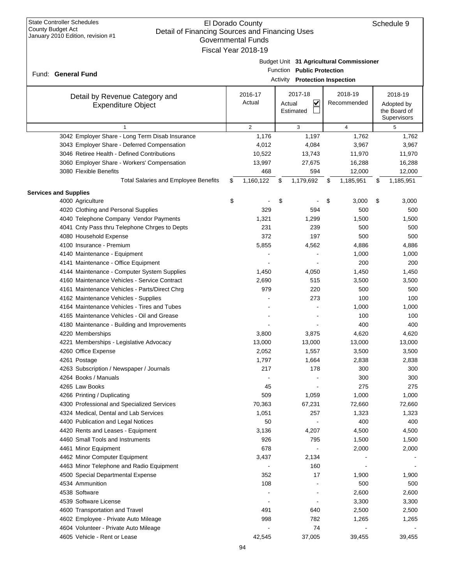# El Dorado County Governmental Funds Fiscal Year 2018-19

| County Budget Act            | Detail of Financing Sources and Financing Uses<br>January 2010 Edition, revision #1 | <b>Governmental Funds</b><br>Fiscal Year 2018-19 |        |                                                                     |                                          |                                                      |
|------------------------------|-------------------------------------------------------------------------------------|--------------------------------------------------|--------|---------------------------------------------------------------------|------------------------------------------|------------------------------------------------------|
|                              | Fund: General Fund                                                                  |                                                  |        | Function Public Protection<br><b>Activity</b> Protection Inspection | Budget Unit 31 Agricultural Commissioner |                                                      |
|                              | Detail by Revenue Category and<br><b>Expenditure Object</b>                         | 2016-17<br>Actual                                | Actual | 2017-18<br>$\checkmark$<br>Estimated                                | 2018-19<br>Recommended                   | 2018-19<br>Adopted by<br>the Board of<br>Supervisors |
|                              | $\mathbf{1}$                                                                        | 2                                                |        | 3                                                                   | $\overline{4}$                           | 5                                                    |
|                              | 3042 Employer Share - Long Term Disab Insurance                                     | 1,176                                            |        | 1,197                                                               | 1,762                                    | 1,762                                                |
|                              | 3043 Employer Share - Deferred Compensation                                         | 4,012                                            |        | 4,084                                                               | 3,967                                    | 3,967                                                |
|                              | 3046 Retiree Health - Defined Contributions                                         | 10,522                                           |        | 13,743                                                              | 11,970                                   | 11,970                                               |
|                              | 3060 Employer Share - Workers' Compensation                                         | 13,997                                           |        | 27,675                                                              | 16,288                                   | 16,288                                               |
|                              | 3080 Flexible Benefits                                                              | 468                                              |        | 594                                                                 | 12,000                                   | 12,000                                               |
|                              | <b>Total Salaries and Employee Benefits</b>                                         | \$<br>1,160,122                                  | \$     | 1,179,692                                                           | \$<br>1,185,951                          | \$<br>1,185,951                                      |
| <b>Services and Supplies</b> |                                                                                     |                                                  |        |                                                                     |                                          |                                                      |
|                              | 4000 Agriculture                                                                    | \$                                               | \$     |                                                                     | \$<br>3,000                              | \$<br>3,000                                          |
|                              | 4020 Clothing and Personal Supplies                                                 | 329                                              |        | 594                                                                 | 500                                      | 500                                                  |
|                              | 4040 Telephone Company Vendor Payments                                              | 1,321                                            |        | 1,299                                                               | 1,500                                    | 1,500                                                |
|                              | 4041 Cnty Pass thru Telephone Chrges to Depts                                       | 231                                              |        | 239                                                                 | 500                                      | 500                                                  |
|                              | 4080 Household Expense                                                              | 372                                              |        | 197                                                                 | 500                                      | 500                                                  |
|                              | 4100 Insurance - Premium                                                            | 5,855                                            |        | 4,562                                                               | 4,886                                    | 4,886                                                |
|                              | 4140 Maintenance - Equipment                                                        |                                                  |        |                                                                     | 1,000                                    | 1,000                                                |
|                              | 4141 Maintenance - Office Equipment                                                 |                                                  |        |                                                                     | 200                                      | 200                                                  |
|                              | 4144 Maintenance - Computer System Supplies                                         | 1,450                                            |        | 4,050                                                               | 1,450                                    | 1,450                                                |
|                              | 4160 Maintenance Vehicles - Service Contract                                        | 2,690                                            |        | 515                                                                 | 3,500                                    | 3,500                                                |
|                              | 4161 Maintenance Vehicles - Parts/Direct Chrg                                       | 979                                              |        | 220                                                                 | 500                                      | 500                                                  |
|                              | 4162 Maintenance Vehicles - Supplies                                                |                                                  |        | 273                                                                 | 100                                      | 100                                                  |
|                              | 4164 Maintenance Vehicles - Tires and Tubes                                         |                                                  |        |                                                                     | 1,000                                    | 1,000                                                |
|                              | 4165 Maintenance Vehicles - Oil and Grease                                          |                                                  |        |                                                                     | 100                                      | 100                                                  |
|                              | 4180 Maintenance - Building and Improvements                                        |                                                  |        |                                                                     | 400                                      | 400                                                  |
|                              | 4220 Memberships                                                                    | 3,800                                            |        | 3,875                                                               | 4,620                                    | 4,620                                                |
|                              | 4221 Memberships - Legislative Advocacy                                             | 13,000                                           |        | 13,000                                                              | 13,000                                   | 13,000                                               |
|                              | 4260 Office Expense                                                                 | 2,052                                            |        | 1,557                                                               | 3,500                                    | 3,500                                                |
|                              | 4261 Postage                                                                        | 1,797                                            |        | 1,664                                                               | 2,838                                    | 2,838                                                |
|                              | 4263 Subscription / Newspaper / Journals                                            | 217                                              |        | 178                                                                 | 300                                      | 300                                                  |
|                              | 4264 Books / Manuals                                                                |                                                  |        |                                                                     | 300                                      | 300                                                  |
|                              | 4265 Law Books                                                                      | 45                                               |        |                                                                     | 275                                      | 275                                                  |
|                              | 4266 Printing / Duplicating                                                         | 509                                              |        | 1,059                                                               | 1,000                                    | 1,000                                                |
|                              | 4300 Professional and Specialized Services                                          | 70,363                                           |        | 67,231                                                              | 72,660                                   | 72,660                                               |
|                              | 4324 Medical, Dental and Lab Services                                               | 1,051                                            |        | 257                                                                 | 1,323                                    | 1,323                                                |
|                              | 4400 Publication and Legal Notices                                                  | 50                                               |        |                                                                     | 400                                      | 400                                                  |
|                              | 4420 Rents and Leases - Equipment                                                   | 3,136                                            |        | 4,207                                                               | 4,500                                    | 4,500                                                |
|                              | 4460 Small Tools and Instruments                                                    | 926                                              |        | 795                                                                 | 1,500                                    | 1,500                                                |
|                              | 4461 Minor Equipment                                                                | 678                                              |        |                                                                     | 2,000                                    | 2,000                                                |
|                              | 4462 Minor Computer Equipment                                                       | 3,437                                            |        | 2,134                                                               |                                          |                                                      |

4463 Minor Telephone and Radio Equipment - 160 - - 4500 Special Departmental Expense 1,900 1,900 1,900 1,900 1,900 1,900 1,900 1,900 1,900 1,900 1,900 1,900 1,900 4534 Ammunition 108 - 500 500 4538 Software - - - 2,600 2,600 2,600 2,600 2,600 2,600 2,600 2,600 2,600 2,600 2,600 2,600 2,600 2,600 2,600 4539 Software License - - 3,300 3,300 3,300 3,300 3,300 3,450 and 3,450 and 3,460 and 3,460 and 3,500 3,300 3,4300 3,500 3,500 3,500 3,500 3,500 3,500 3,500 3,500 3,500 3,500 3,500 and 3,500 and 3,500 and 3,500 3,500 3,500 4600 Transportation and Travel 491 640 2,500 2,500 4602 Employee - Private Auto Mileage 1,265 1,265 1,265 1,265 1,265 1,265 4604 Volunteer - Private Auto Mileage - 74 - -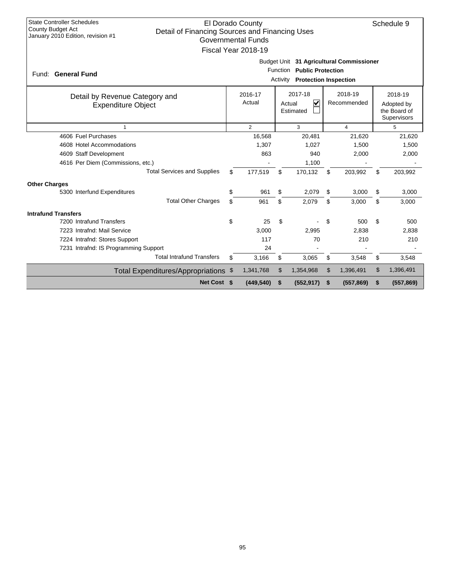| <b>State Controller Schedules</b><br>El Dorado County<br>Schedule 9<br><b>County Budget Act</b><br>Detail of Financing Sources and Financing Uses<br>January 2010 Edition, revision #1<br><b>Governmental Funds</b><br>Fiscal Year 2018-19 |                                                                                                          |            |    |            |    |            |    |            |  |  |  |  |
|--------------------------------------------------------------------------------------------------------------------------------------------------------------------------------------------------------------------------------------------|----------------------------------------------------------------------------------------------------------|------------|----|------------|----|------------|----|------------|--|--|--|--|
| Fund: General Fund                                                                                                                                                                                                                         | Budget Unit 31 Agricultural Commissioner<br>Function Public Protection<br>Activity Protection Inspection |            |    |            |    |            |    |            |  |  |  |  |
| 2017-18<br>2018-19<br>2018-19<br>2016-17<br>Detail by Revenue Category and<br>$\overline{\mathbf{v}}$<br>Actual<br>Recommended<br>Actual<br>Adopted by<br><b>Expenditure Object</b><br>the Board of<br>Estimated<br>Supervisors            |                                                                                                          |            |    |            |    |            |    |            |  |  |  |  |
| $\overline{1}$                                                                                                                                                                                                                             | $\overline{2}$<br>3<br>$\overline{\mathbf{4}}$<br>5                                                      |            |    |            |    |            |    |            |  |  |  |  |
| 4606 Fuel Purchases                                                                                                                                                                                                                        |                                                                                                          | 16,568     |    | 20,481     |    | 21,620     |    | 21,620     |  |  |  |  |
| 4608 Hotel Accommodations                                                                                                                                                                                                                  |                                                                                                          | 1,307      |    | 1,027      |    | 1,500      |    | 1,500      |  |  |  |  |
| 4609 Staff Development                                                                                                                                                                                                                     |                                                                                                          | 863        |    | 940        |    | 2,000      |    | 2,000      |  |  |  |  |
| 4616 Per Diem (Commissions, etc.)                                                                                                                                                                                                          |                                                                                                          |            |    | 1,100      |    |            |    |            |  |  |  |  |
| <b>Total Services and Supplies</b>                                                                                                                                                                                                         | \$                                                                                                       | 177,519    | \$ | 170,132    | \$ | 203,992    | \$ | 203,992    |  |  |  |  |
| <b>Other Charges</b>                                                                                                                                                                                                                       |                                                                                                          |            |    |            |    |            |    |            |  |  |  |  |
| 5300 Interfund Expenditures                                                                                                                                                                                                                | \$                                                                                                       | 961        | \$ | 2,079      | \$ | 3,000      | \$ | 3,000      |  |  |  |  |
| <b>Total Other Charges</b>                                                                                                                                                                                                                 | \$                                                                                                       | 961        | \$ | 2.079      | \$ | 3.000      | \$ | 3,000      |  |  |  |  |
| <b>Intrafund Transfers</b>                                                                                                                                                                                                                 |                                                                                                          |            |    |            |    |            |    |            |  |  |  |  |
| 7200 Intrafund Transfers                                                                                                                                                                                                                   | \$                                                                                                       | 25         | \$ |            | \$ | 500        | \$ | 500        |  |  |  |  |
| 7223 Intrafnd: Mail Service                                                                                                                                                                                                                |                                                                                                          | 3,000      |    | 2,995      |    | 2,838      |    | 2.838      |  |  |  |  |
| 7224 Intrafnd: Stores Support                                                                                                                                                                                                              |                                                                                                          | 117        |    | 70         |    | 210        |    | 210        |  |  |  |  |
| 7231 Intrafnd: IS Programming Support                                                                                                                                                                                                      |                                                                                                          | 24         |    |            |    |            |    |            |  |  |  |  |
| <b>Total Intrafund Transfers</b>                                                                                                                                                                                                           | \$                                                                                                       | 3,166      | \$ | 3,065      | \$ | 3,548      | \$ | 3,548      |  |  |  |  |
| Total Expenditures/Appropriations \$                                                                                                                                                                                                       |                                                                                                          | 1,341,768  | \$ | 1,354,968  | \$ | 1,396,491  | \$ | 1,396,491  |  |  |  |  |
| Net Cost \$                                                                                                                                                                                                                                |                                                                                                          | (449, 540) | \$ | (552, 917) | \$ | (557, 869) | \$ | (557, 869) |  |  |  |  |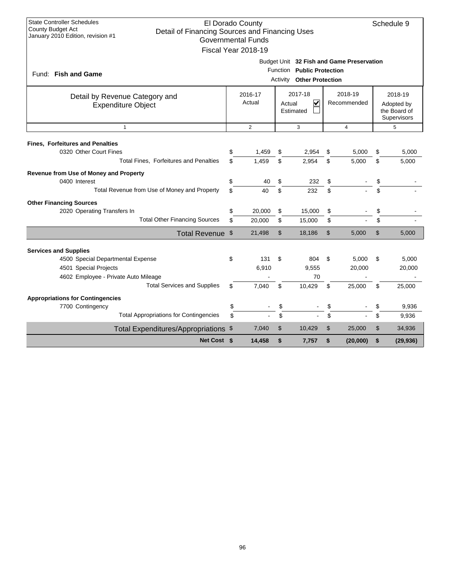| <b>State Controller Schedules</b><br>El Dorado County<br>Schedule 9<br><b>County Budget Act</b><br>Detail of Financing Sources and Financing Uses<br>January 2010 Edition, revision #1<br><b>Governmental Funds</b><br>Fiscal Year 2018-19 |                                                   |         |               |                                  |    |                                           |                                           |           |  |  |  |
|--------------------------------------------------------------------------------------------------------------------------------------------------------------------------------------------------------------------------------------------|---------------------------------------------------|---------|---------------|----------------------------------|----|-------------------------------------------|-------------------------------------------|-----------|--|--|--|
|                                                                                                                                                                                                                                            |                                                   |         |               | Function Public Protection       |    | Budget Unit 32 Fish and Game Preservation |                                           |           |  |  |  |
| Fund: Fish and Game                                                                                                                                                                                                                        |                                                   |         |               | <b>Activity Other Protection</b> |    |                                           |                                           |           |  |  |  |
| Detail by Revenue Category and                                                                                                                                                                                                             |                                                   | 2016-17 |               | 2017-18                          |    | 2018-19                                   |                                           | 2018-19   |  |  |  |
| <b>Expenditure Object</b>                                                                                                                                                                                                                  | Actual<br>V<br>Recommended<br>Actual<br>Estimated |         |               |                                  |    |                                           | Adopted by<br>the Board of<br>Supervisors |           |  |  |  |
| $\mathbf{1}$                                                                                                                                                                                                                               | $\overline{2}$<br>3<br>$\overline{4}$<br>5        |         |               |                                  |    |                                           |                                           |           |  |  |  |
| <b>Fines, Forfeitures and Penalties</b>                                                                                                                                                                                                    |                                                   |         |               |                                  |    |                                           |                                           |           |  |  |  |
| 0320 Other Court Fines                                                                                                                                                                                                                     | \$                                                | 1,459   | \$            | 2,954                            | \$ | 5,000                                     | \$                                        | 5,000     |  |  |  |
| Total Fines, Forfeitures and Penalties                                                                                                                                                                                                     | \$                                                | 1,459   | \$            | 2,954                            | \$ | 5,000                                     | \$                                        | 5,000     |  |  |  |
| Revenue from Use of Money and Property                                                                                                                                                                                                     |                                                   |         |               |                                  |    |                                           |                                           |           |  |  |  |
| 0400 Interest                                                                                                                                                                                                                              | \$                                                | 40      | \$            | 232                              | \$ |                                           | \$                                        |           |  |  |  |
| Total Revenue from Use of Money and Property                                                                                                                                                                                               | \$                                                | 40      | \$            | 232                              | \$ |                                           | \$                                        |           |  |  |  |
| <b>Other Financing Sources</b>                                                                                                                                                                                                             |                                                   |         |               |                                  |    |                                           |                                           |           |  |  |  |
| 2020 Operating Transfers In                                                                                                                                                                                                                | \$                                                | 20,000  | \$            | 15,000                           | \$ |                                           | \$                                        |           |  |  |  |
| <b>Total Other Financing Sources</b>                                                                                                                                                                                                       | \$                                                | 20.000  | \$            | 15,000                           | \$ |                                           | \$                                        |           |  |  |  |
| Total Revenue \$                                                                                                                                                                                                                           |                                                   | 21,498  | $\mathsf{\$}$ | 18,186                           | \$ | 5,000                                     | \$                                        | 5,000     |  |  |  |
| <b>Services and Supplies</b>                                                                                                                                                                                                               |                                                   |         |               |                                  |    |                                           |                                           |           |  |  |  |
| 4500 Special Departmental Expense                                                                                                                                                                                                          | \$                                                | 131     | \$            | 804                              | \$ | 5,000                                     | \$                                        | 5,000     |  |  |  |
| 4501 Special Projects                                                                                                                                                                                                                      |                                                   | 6,910   |               | 9,555                            |    | 20,000                                    |                                           | 20,000    |  |  |  |
| 4602 Employee - Private Auto Mileage                                                                                                                                                                                                       |                                                   |         |               | 70                               |    |                                           |                                           |           |  |  |  |
| <b>Total Services and Supplies</b>                                                                                                                                                                                                         | \$                                                | 7.040   | \$            | 10,429                           | \$ | 25,000                                    | \$                                        | 25,000    |  |  |  |
| <b>Appropriations for Contingencies</b>                                                                                                                                                                                                    |                                                   |         |               |                                  |    |                                           |                                           |           |  |  |  |
| 7700 Contingency                                                                                                                                                                                                                           | \$                                                |         | \$            |                                  | \$ |                                           | \$                                        | 9,936     |  |  |  |
| <b>Total Appropriations for Contingencies</b>                                                                                                                                                                                              | \$                                                |         | \$            |                                  | \$ |                                           | \$                                        | 9,936     |  |  |  |
| Total Expenditures/Appropriations \$                                                                                                                                                                                                       |                                                   | 7,040   | \$            | 10,429                           | \$ | 25,000                                    | \$                                        | 34,936    |  |  |  |
| Net Cost \$                                                                                                                                                                                                                                |                                                   | 14,458  | \$            | 7,757                            | \$ | (20,000)                                  | \$                                        | (29, 936) |  |  |  |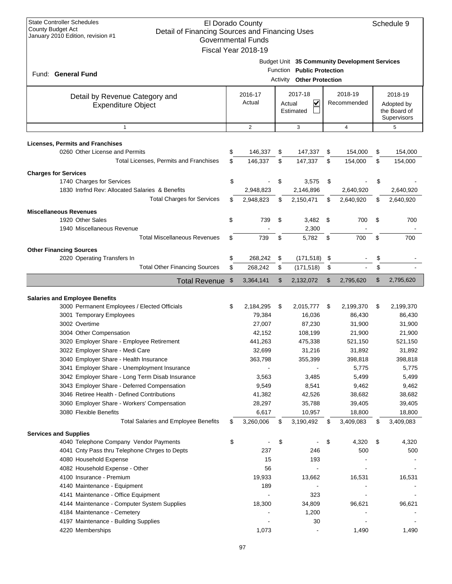| <b>State Controller Schedules</b><br>County Budget Act<br>Detail of Financing Sources and Financing Uses<br>January 2010 Edition, revision #1 | El Dorado County<br><b>Governmental Funds</b><br>Fiscal Year 2018-19 |          |                                                       |               |                                               | Schedule 9                                           |
|-----------------------------------------------------------------------------------------------------------------------------------------------|----------------------------------------------------------------------|----------|-------------------------------------------------------|---------------|-----------------------------------------------|------------------------------------------------------|
| Fund: General Fund                                                                                                                            |                                                                      | Activity | Function Public Protection<br><b>Other Protection</b> |               | Budget Unit 35 Community Development Services |                                                      |
| Detail by Revenue Category and<br><b>Expenditure Object</b>                                                                                   | 2016-17<br>Actual                                                    | Actual   | 2017-18<br>V<br>Estimated                             |               | 2018-19<br>Recommended                        | 2018-19<br>Adopted by<br>the Board of<br>Supervisors |
| $\mathbf{1}$                                                                                                                                  | $\overline{2}$                                                       |          | 3                                                     |               | $\overline{4}$                                | 5                                                    |
| <b>Licenses, Permits and Franchises</b>                                                                                                       |                                                                      |          |                                                       |               |                                               |                                                      |
| 0260 Other License and Permits                                                                                                                | \$<br>146,337                                                        | \$       | 147,337                                               | \$            | 154,000                                       | \$<br>154,000                                        |
| Total Licenses, Permits and Franchises                                                                                                        | \$<br>146,337                                                        | \$       | 147,337                                               | \$            | 154,000                                       | \$<br>154,000                                        |
| <b>Charges for Services</b>                                                                                                                   |                                                                      |          |                                                       |               |                                               |                                                      |
| 1740 Charges for Services                                                                                                                     | \$                                                                   | \$       | 3,575                                                 | \$            |                                               | \$                                                   |
| 1830 Intrind Rev: Allocated Salaries & Benefits                                                                                               | 2,948,823                                                            |          | 2,146,896                                             |               | 2,640,920                                     | 2,640,920                                            |
| <b>Total Charges for Services</b>                                                                                                             | \$<br>2,948,823                                                      | \$       | 2,150,471                                             | \$            | 2,640,920                                     | \$<br>2,640,920                                      |
| <b>Miscellaneous Revenues</b>                                                                                                                 |                                                                      |          |                                                       |               |                                               |                                                      |
| 1920 Other Sales                                                                                                                              | \$<br>739                                                            | \$       | 3,482                                                 | $\mathfrak s$ | 700                                           | \$<br>700                                            |
| 1940 Miscellaneous Revenue                                                                                                                    |                                                                      |          | 2,300                                                 |               |                                               |                                                      |
| <b>Total Miscellaneous Revenues</b>                                                                                                           | \$<br>739                                                            | \$       | 5,782                                                 | \$            | 700                                           | \$<br>700                                            |
| <b>Other Financing Sources</b>                                                                                                                |                                                                      |          |                                                       |               |                                               |                                                      |
| 2020 Operating Transfers In                                                                                                                   | \$<br>268,242                                                        | \$       | (171, 518)                                            | \$            |                                               | \$                                                   |
| <b>Total Other Financing Sources</b>                                                                                                          | \$<br>268,242                                                        | \$       | (171, 518)                                            | \$            |                                               | \$                                                   |
| <b>Total Revenue</b>                                                                                                                          | \$<br>3,364,141                                                      | \$       | 2,132,072                                             | \$            | 2,795,620                                     | \$<br>2,795,620                                      |
|                                                                                                                                               |                                                                      |          |                                                       |               |                                               |                                                      |
| <b>Salaries and Employee Benefits</b>                                                                                                         |                                                                      |          |                                                       |               |                                               |                                                      |
| 3000 Permanent Employees / Elected Officials                                                                                                  | \$<br>2,184,295                                                      | \$       | 2,015,777                                             | - \$          | 2,199,370                                     | \$<br>2,199,370                                      |
|                                                                                                                                               |                                                                      |          |                                                       |               |                                               |                                                      |
| 3001 Temporary Employees                                                                                                                      | 79,384                                                               |          | 16,036                                                |               | 86,430                                        | 86,430                                               |
| 3002 Overtime                                                                                                                                 | 27,007                                                               |          | 87,230                                                |               | 31,900                                        | 31,900                                               |
| 3004 Other Compensation                                                                                                                       | 42,152                                                               |          | 108,199                                               |               | 21,900                                        | 21,900                                               |
| 3020 Employer Share - Employee Retirement                                                                                                     | 441,263                                                              |          | 475,338                                               |               | 521,150                                       | 521,150                                              |
| 3022 Employer Share - Medi Care                                                                                                               | 32,699                                                               |          | 31,216                                                |               | 31,892                                        | 31,892                                               |
| 3040 Employer Share - Health Insurance                                                                                                        | 363,798                                                              |          | 355,399                                               |               | 398,818                                       | 398,818                                              |
| 3041 Employer Share - Unemployment Insurance<br>3042 Employer Share - Long Term Disab Insurance                                               | 3,563                                                                |          | 3,485                                                 |               | 5,775<br>5,499                                | 5,775<br>5,499                                       |
| 3043 Employer Share - Deferred Compensation                                                                                                   | 9,549                                                                |          | 8,541                                                 |               | 9,462                                         | 9,462                                                |
| 3046 Retiree Health - Defined Contributions                                                                                                   | 41,382                                                               |          | 42,526                                                |               | 38,682                                        | 38,682                                               |
| 3060 Employer Share - Workers' Compensation                                                                                                   | 28,297                                                               |          | 35,788                                                |               | 39,405                                        | 39,405                                               |
| 3080 Flexible Benefits                                                                                                                        | 6,617                                                                |          | 10,957                                                |               | 18,800                                        | 18,800                                               |
| <b>Total Salaries and Employee Benefits</b>                                                                                                   | \$<br>3,260,006                                                      | \$       | 3,190,492                                             | \$            | 3,409,083                                     | \$<br>3,409,083                                      |
| <b>Services and Supplies</b>                                                                                                                  |                                                                      |          |                                                       |               |                                               |                                                      |
| 4040 Telephone Company Vendor Payments                                                                                                        | \$                                                                   | \$       |                                                       | \$            | 4,320                                         | \$<br>4,320                                          |
| 4041 Cnty Pass thru Telephone Chrges to Depts                                                                                                 | 237                                                                  |          | 246                                                   |               | 500                                           | 500                                                  |
| 4080 Household Expense                                                                                                                        | 15                                                                   |          | 193                                                   |               |                                               |                                                      |
| 4082 Household Expense - Other                                                                                                                | 56                                                                   |          |                                                       |               |                                               |                                                      |
| 4100 Insurance - Premium                                                                                                                      | 19,933                                                               |          | 13,662                                                |               | 16,531                                        | 16,531                                               |
| 4140 Maintenance - Equipment                                                                                                                  | 189                                                                  |          |                                                       |               |                                               |                                                      |
| 4141 Maintenance - Office Equipment                                                                                                           |                                                                      |          | 323                                                   |               |                                               |                                                      |
| 4144 Maintenance - Computer System Supplies                                                                                                   | 18,300                                                               |          | 34,809                                                |               | 96,621                                        | 96,621                                               |
| 4184 Maintenance - Cemetery<br>4197 Maintenance - Building Supplies                                                                           |                                                                      |          | 1,200<br>30                                           |               |                                               |                                                      |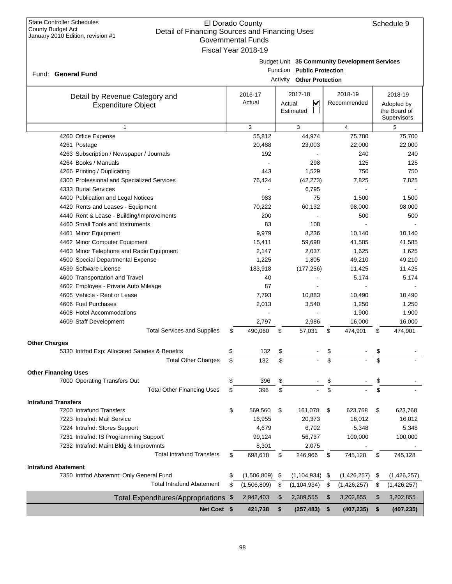Fund: General Fund

### El Dorado County Detail of Financing Sources and Financing Uses Governmental Funds Fiscal Year 2018-19

| Budget Unit 35 Community Development Services |
|-----------------------------------------------|
|                                               |

Function **Public Protection**

|  | <b>Activity Other Protection</b> |
|--|----------------------------------|
|  |                                  |

| Detail by Revenue Category and                                    | 2016-17           |        | 2017-18            | 2018-19           |          | 2018-19      |
|-------------------------------------------------------------------|-------------------|--------|--------------------|-------------------|----------|--------------|
| <b>Expenditure Object</b>                                         | Actual            | Actual | V                  | Recommended       |          | Adopted by   |
|                                                                   |                   |        | Estimated          |                   |          | the Board of |
|                                                                   |                   |        |                    |                   |          | Supervisors  |
| $\mathbf{1}$                                                      | $\overline{2}$    |        | 3                  | $\overline{4}$    |          | 5            |
| 4260 Office Expense                                               | 55,812            |        | 44,974             | 75,700            |          | 75,700       |
| 4261 Postage                                                      | 20,488            |        | 23,003             | 22,000            |          | 22,000       |
| 4263 Subscription / Newspaper / Journals                          | 192               |        |                    | 240               |          | 240          |
| 4264 Books / Manuals                                              |                   |        | 298                | 125               |          | 125          |
| 4266 Printing / Duplicating                                       | 443               |        | 1,529              | 750               |          | 750          |
| 4300 Professional and Specialized Services                        | 76,424            |        | (42, 273)          | 7,825             |          | 7,825        |
| 4333 Burial Services                                              |                   |        | 6,795              |                   |          |              |
| 4400 Publication and Legal Notices                                | 983               |        | 75                 | 1,500             |          | 1,500        |
| 4420 Rents and Leases - Equipment                                 | 70,222            |        | 60,132             | 98,000            |          | 98,000       |
| 4440 Rent & Lease - Building/Improvements                         | 200               |        |                    | 500               |          | 500          |
| 4460 Small Tools and Instruments                                  | 83                |        | 108                |                   |          |              |
| 4461 Minor Equipment                                              | 9,979             |        | 8,236              | 10,140            |          | 10.140       |
| 4462 Minor Computer Equipment                                     | 15,411            |        | 59,698             | 41,585            |          | 41.585       |
| 4463 Minor Telephone and Radio Equipment                          | 2,147             |        | 2,037              | 1,625             |          | 1,625        |
| 4500 Special Departmental Expense                                 | 1,225             |        | 1,805              | 49,210            |          | 49,210       |
| 4539 Software License                                             | 183,918           |        | (177, 256)         | 11,425            |          | 11,425       |
| 4600 Transportation and Travel                                    | 40                |        |                    | 5,174             |          | 5,174        |
| 4602 Employee - Private Auto Mileage                              | 87                |        |                    |                   |          |              |
| 4605 Vehicle - Rent or Lease                                      | 7,793             |        | 10,883             | 10,490            |          | 10,490       |
| 4606 Fuel Purchases                                               | 2,013             |        | 3,540              | 1,250             |          | 1,250        |
| 4608 Hotel Accommodations                                         |                   |        |                    | 1,900             |          | 1,900        |
| 4609 Staff Development                                            | 2,797             |        | 2,986              | 16,000            |          | 16,000       |
| <b>Total Services and Supplies</b>                                | \$<br>490,060     | \$     | 57,031             | \$<br>474,901     | \$       | 474,901      |
| <b>Other Charges</b>                                              |                   |        |                    |                   |          |              |
| 5330 Intrfnd Exp: Allocated Salaries & Benefits                   | \$<br>132         | \$     |                    | \$                | \$       |              |
| <b>Total Other Charges</b>                                        | \$<br>132         | \$     |                    | \$                | \$       |              |
|                                                                   |                   |        |                    |                   |          |              |
| <b>Other Financing Uses</b>                                       | \$                |        |                    |                   |          |              |
| 7000 Operating Transfers Out<br><b>Total Other Financing Uses</b> | 396               | \$     |                    | \$                | \$<br>\$ |              |
|                                                                   | \$<br>396         | \$     |                    | \$                |          |              |
| <b>Intrafund Transfers</b>                                        |                   |        |                    |                   |          |              |
| 7200 Intrafund Transfers                                          | \$<br>569,560     | \$     | 161,078            | \$<br>623,768     | \$       | 623,768      |
| 7223 Intrafnd: Mail Service                                       | 16,955            |        | 20,373             | 16,012            |          | 16,012       |
| 7224 Intrafnd: Stores Support                                     | 4,679             |        | 6,702              | 5,348             |          | 5,348        |
| 7231 Intrafnd: IS Programming Support                             | 99,124            |        | 56,737             | 100,000           |          | 100,000      |
| 7232 Intrafnd: Maint Bldg & Improvmnts                            | 8,301             |        | 2,075              |                   |          |              |
| <b>Total Intrafund Transfers</b>                                  | \$<br>698,618     | \$     | 246,966            | \$<br>745,128     | \$       | 745,128      |
| <b>Intrafund Abatement</b>                                        |                   |        |                    |                   |          |              |
| 7350 Intrfnd Abatemnt: Only General Fund                          | \$<br>(1,506,809) | \$     | $(1, 104, 934)$ \$ | (1,426,257)       | \$       | (1,426,257)  |
| <b>Total Intrafund Abatement</b>                                  | \$<br>(1,506,809) | \$     | (1, 104, 934)      | \$<br>(1,426,257) | \$       | (1,426,257)  |
| Total Expenditures/Appropriations \$                              | 2,942,403         | \$     | 2,389,555          | \$<br>3,202,855   | \$       | 3,202,855    |
| Net Cost \$                                                       |                   |        | (257, 483)         |                   |          |              |
|                                                                   | 421,738           | \$     |                    | \$<br>(407, 235)  | \$       | (407, 235)   |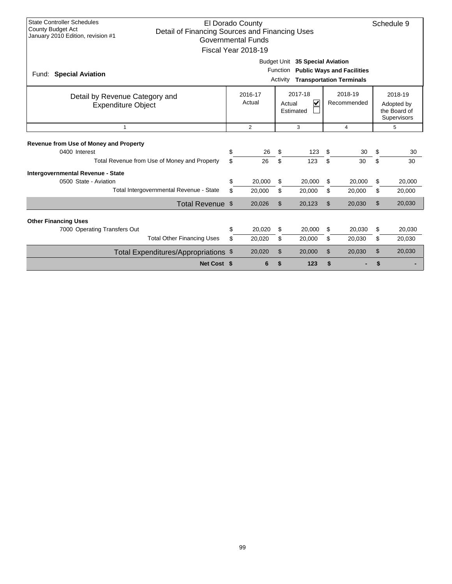| <b>State Controller Schedules</b><br>El Dorado County<br><b>County Budget Act</b><br>Detail of Financing Sources and Financing Uses<br>January 2010 Edition, revision #1<br><b>Governmental Funds</b><br>Fiscal Year 2018-19 |                                                                                                                                 |                |                |        |    |                |                |        |  |  |  |
|------------------------------------------------------------------------------------------------------------------------------------------------------------------------------------------------------------------------------|---------------------------------------------------------------------------------------------------------------------------------|----------------|----------------|--------|----|----------------|----------------|--------|--|--|--|
| <b>Special Aviation</b><br>Fund:                                                                                                                                                                                             | Budget Unit 35 Special Aviation<br><b>Public Ways and Facilities</b><br>Function<br><b>Transportation Terminals</b><br>Activity |                |                |        |    |                |                |        |  |  |  |
| 2017-18<br>2018-19<br>2016-17<br>2018-19<br>Detail by Revenue Category and<br>Actual<br>V<br>Recommended<br>Actual<br>Adopted by<br><b>Expenditure Object</b><br>the Board of<br>Estimated<br>Supervisors                    |                                                                                                                                 |                |                |        |    |                |                |        |  |  |  |
| $\mathbf{1}$                                                                                                                                                                                                                 |                                                                                                                                 | $\overline{2}$ |                | 3      |    | $\overline{4}$ |                | 5      |  |  |  |
| Revenue from Use of Money and Property<br>0400 Interest                                                                                                                                                                      | \$                                                                                                                              | 26             | \$             | 123    | \$ | 30             | \$             | 30     |  |  |  |
| Total Revenue from Use of Money and Property                                                                                                                                                                                 | \$                                                                                                                              | 26             | \$             | 123    | \$ | 30             | \$             | 30     |  |  |  |
| Intergovernmental Revenue - State<br>0500 State - Aviation                                                                                                                                                                   | \$                                                                                                                              | 20,000         | \$             | 20,000 | \$ | 20,000         | \$             | 20,000 |  |  |  |
| Total Intergovernmental Revenue - State                                                                                                                                                                                      | \$                                                                                                                              | 20,000         | \$             | 20,000 | \$ | 20,000         | \$             | 20,000 |  |  |  |
| Total Revenue \$                                                                                                                                                                                                             |                                                                                                                                 | 20,026         | $\mathfrak{L}$ | 20,123 | \$ | 20.030         | $\mathfrak{L}$ | 20,030 |  |  |  |
| <b>Other Financing Uses</b>                                                                                                                                                                                                  |                                                                                                                                 |                |                |        |    |                |                |        |  |  |  |
| 7000 Operating Transfers Out                                                                                                                                                                                                 | \$                                                                                                                              | 20,020         | \$             | 20,000 | \$ | 20.030         | \$             | 20.030 |  |  |  |
| <b>Total Other Financing Uses</b>                                                                                                                                                                                            | \$                                                                                                                              | 20,020         | \$             | 20,000 | \$ | 20,030         | \$             | 20,030 |  |  |  |
| Total Expenditures/Appropriations \$                                                                                                                                                                                         |                                                                                                                                 | 20,020         | \$             | 20,000 | \$ | 20,030         | \$             | 20,030 |  |  |  |
| Net Cost \$                                                                                                                                                                                                                  |                                                                                                                                 | 6              | \$             | 123    | \$ |                | \$             |        |  |  |  |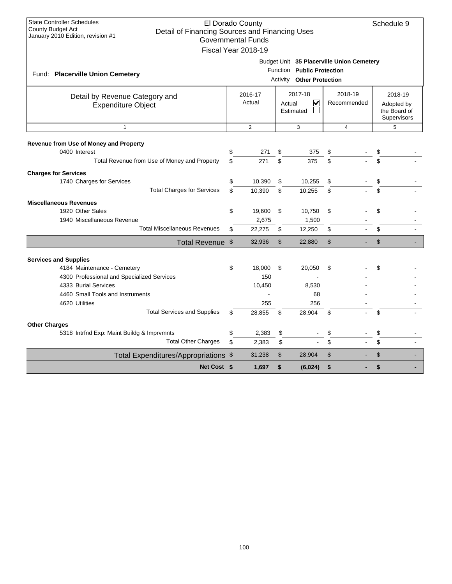| <b>State Controller Schedules</b><br>County Budget Act<br>Detail of Financing Sources and Financing Uses<br>January 2010 Edition, revision #1                                                                                 |                                                                                                          | El Dorado County<br><b>Governmental Funds</b><br>Fiscal Year 2018-19 |                |                                                                                                      |                |                |                                                      | Schedule 9 |  |
|-------------------------------------------------------------------------------------------------------------------------------------------------------------------------------------------------------------------------------|----------------------------------------------------------------------------------------------------------|----------------------------------------------------------------------|----------------|------------------------------------------------------------------------------------------------------|----------------|----------------|------------------------------------------------------|------------|--|
| Fund: Placerville Union Cemetery                                                                                                                                                                                              |                                                                                                          |                                                                      |                | Budget Unit 35 Placerville Union Cemetery<br>Function Public Protection<br>Activity Other Protection |                |                |                                                      |            |  |
| Detail by Revenue Category and<br><b>Expenditure Object</b>                                                                                                                                                                   | 2018-19<br>2017-18<br>2016-17<br>$\overline{\mathsf{v}}$<br>Actual<br>Recommended<br>Actual<br>Estimated |                                                                      |                |                                                                                                      |                |                | 2018-19<br>Adopted by<br>the Board of<br>Supervisors |            |  |
| $\mathbf{1}$                                                                                                                                                                                                                  |                                                                                                          | $\overline{2}$                                                       |                | 3                                                                                                    |                | $\overline{4}$ |                                                      | 5          |  |
| <b>Revenue from Use of Money and Property</b><br>0400 Interest<br>Total Revenue from Use of Money and Property                                                                                                                | \$<br>\$                                                                                                 | 271<br>271                                                           | \$<br>\$       | 375<br>375                                                                                           | \$<br>\$.      |                | \$<br>\$                                             |            |  |
| <b>Charges for Services</b><br>1740 Charges for Services<br><b>Total Charges for Services</b>                                                                                                                                 | \$<br>\$                                                                                                 | 10,390<br>10.390                                                     | \$<br>\$       | 10,255<br>10,255                                                                                     | \$<br>\$       |                | \$<br>\$                                             |            |  |
| <b>Miscellaneous Revenues</b><br>1920 Other Sales<br>1940 Miscellaneous Revenue                                                                                                                                               | \$                                                                                                       | 19,600<br>2,675                                                      | \$             | 10,750<br>1,500                                                                                      | \$             |                | \$                                                   |            |  |
| <b>Total Miscellaneous Revenues</b>                                                                                                                                                                                           | \$                                                                                                       | 22,275                                                               | \$             | 12,250                                                                                               | \$             |                | \$                                                   |            |  |
| Total Revenue \$                                                                                                                                                                                                              |                                                                                                          | 32,936                                                               | $\mathfrak{L}$ | 22,880                                                                                               | $\mathfrak{S}$ |                | $\mathfrak{S}$                                       |            |  |
| <b>Services and Supplies</b><br>4184 Maintenance - Cemetery<br>4300 Professional and Specialized Services<br>4333 Burial Services<br>4460 Small Tools and Instruments<br>4620 Utilities<br><b>Total Services and Supplies</b> | \$<br>\$                                                                                                 | 18.000<br>150<br>10,450<br>255<br>28,855                             | \$<br>\$       | 20,050<br>8,530<br>68<br>256<br>28,904                                                               | \$<br>\$       |                | \$<br>\$                                             |            |  |
| <b>Other Charges</b>                                                                                                                                                                                                          |                                                                                                          |                                                                      |                |                                                                                                      |                |                |                                                      |            |  |
| 5318 Intrind Exp: Maint Buildg & Imprymnts<br><b>Total Other Charges</b>                                                                                                                                                      | \$<br>\$                                                                                                 | 2,383<br>2,383                                                       | \$<br>\$       |                                                                                                      | \$             |                | \$<br>\$                                             |            |  |
| Total Expenditures/Appropriations \$                                                                                                                                                                                          |                                                                                                          | 31,238                                                               | \$             | 28,904                                                                                               | \$             |                | \$                                                   |            |  |
| Net Cost \$                                                                                                                                                                                                                   |                                                                                                          | 1,697                                                                | \$             | (6,024)                                                                                              | \$             |                | \$                                                   |            |  |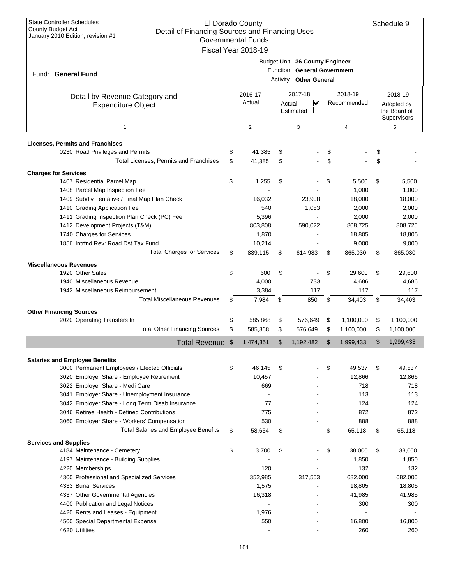| <b>State Controller Schedules</b><br>El Dorado County<br><b>County Budget Act</b><br>Detail of Financing Sources and Financing Uses<br>January 2010 Edition, revision #1<br><b>Governmental Funds</b><br>Fiscal Year 2018-19 |                             |                |     |                                                                                                |    |                |                                                      |           |  |  |
|------------------------------------------------------------------------------------------------------------------------------------------------------------------------------------------------------------------------------|-----------------------------|----------------|-----|------------------------------------------------------------------------------------------------|----|----------------|------------------------------------------------------|-----------|--|--|
| Fund: General Fund                                                                                                                                                                                                           |                             |                |     | Budget Unit 36 County Engineer<br>Function General Government<br><b>Activity Other General</b> |    |                |                                                      |           |  |  |
| Detail by Revenue Category and<br><b>Expenditure Object</b>                                                                                                                                                                  | 2016-17<br>Actual<br>Actual |                |     | 2018-19<br>2017-18<br>$\overline{\mathbf{v}}$<br>Recommended<br>Estimated                      |    |                | 2018-19<br>Adopted by<br>the Board of<br>Supervisors |           |  |  |
| $\mathbf{1}$                                                                                                                                                                                                                 |                             | $\overline{2}$ |     | 3                                                                                              |    | $\overline{4}$ |                                                      | 5         |  |  |
| <b>Licenses, Permits and Franchises</b>                                                                                                                                                                                      |                             |                |     |                                                                                                |    |                |                                                      |           |  |  |
| 0230 Road Privileges and Permits                                                                                                                                                                                             | \$                          | 41,385         | \$  |                                                                                                | \$ |                | \$                                                   |           |  |  |
| Total Licenses, Permits and Franchises                                                                                                                                                                                       | \$                          | 41,385         | \$  |                                                                                                | \$ |                | \$                                                   |           |  |  |
| <b>Charges for Services</b>                                                                                                                                                                                                  |                             |                |     |                                                                                                |    |                |                                                      |           |  |  |
| 1407 Residential Parcel Map                                                                                                                                                                                                  | \$                          | 1,255          | \$  |                                                                                                | \$ | 5,500          | \$                                                   | 5,500     |  |  |
| 1408 Parcel Map Inspection Fee                                                                                                                                                                                               |                             |                |     |                                                                                                |    | 1,000          |                                                      | 1,000     |  |  |
| 1409 Subdiv Tentative / Final Map Plan Check                                                                                                                                                                                 |                             | 16,032         |     | 23,908                                                                                         |    | 18,000         |                                                      | 18,000    |  |  |
| 1410 Grading Application Fee                                                                                                                                                                                                 |                             | 540            |     | 1,053                                                                                          |    | 2,000          |                                                      | 2,000     |  |  |
| 1411 Grading Inspection Plan Check (PC) Fee                                                                                                                                                                                  |                             | 5,396          |     |                                                                                                |    | 2,000          |                                                      | 2,000     |  |  |
| 1412 Development Projects (T&M)                                                                                                                                                                                              |                             | 803,808        |     | 590,022                                                                                        |    | 808,725        |                                                      | 808,725   |  |  |
| 1740 Charges for Services                                                                                                                                                                                                    |                             | 1,870          |     |                                                                                                |    | 18,805         |                                                      | 18,805    |  |  |
| 1856 Intrfnd Rev: Road Dst Tax Fund                                                                                                                                                                                          |                             | 10,214         |     |                                                                                                |    | 9,000          |                                                      | 9,000     |  |  |
| <b>Total Charges for Services</b>                                                                                                                                                                                            | \$                          | 839,115        | \$  | 614,983                                                                                        | \$ | 865,030        | \$                                                   | 865,030   |  |  |
| <b>Miscellaneous Revenues</b>                                                                                                                                                                                                |                             |                |     |                                                                                                |    |                |                                                      |           |  |  |
| 1920 Other Sales                                                                                                                                                                                                             | \$                          | 600            | \$  |                                                                                                | \$ | 29,600         | \$                                                   | 29,600    |  |  |
| 1940 Miscellaneous Revenue                                                                                                                                                                                                   |                             | 4,000          |     | 733                                                                                            |    | 4,686          |                                                      | 4,686     |  |  |
| 1942 Miscellaneous Reimbursement                                                                                                                                                                                             |                             | 3,384          |     | 117                                                                                            |    | 117            |                                                      | 117       |  |  |
| <b>Total Miscellaneous Revenues</b>                                                                                                                                                                                          | \$                          | 7,984          | \$  | 850                                                                                            | \$ | 34,403         | \$                                                   | 34,403    |  |  |
| <b>Other Financing Sources</b>                                                                                                                                                                                               |                             |                |     |                                                                                                |    |                |                                                      |           |  |  |
| 2020 Operating Transfers In                                                                                                                                                                                                  | \$                          | 585,868        | \$  | 576,649                                                                                        | \$ | 1,100,000      | \$                                                   | 1,100,000 |  |  |
| <b>Total Other Financing Sources</b>                                                                                                                                                                                         | \$                          | 585,868        | \$  | 576,649                                                                                        | \$ | 1,100,000      | \$                                                   | 1,100,000 |  |  |
| Total Revenue \$                                                                                                                                                                                                             |                             | 1,474,351      | \$. | 1,192,482                                                                                      | ፍ  | 1,999,433      | \$                                                   | 1,999,433 |  |  |
|                                                                                                                                                                                                                              |                             |                |     |                                                                                                |    |                |                                                      |           |  |  |
| <b>Salaries and Employee Benefits</b><br>3000 Permanent Employees / Elected Officials                                                                                                                                        | \$                          | 46,145         | \$  |                                                                                                | \$ | 49,537         | \$                                                   | 49,537    |  |  |
| 3020 Employer Share - Employee Retirement                                                                                                                                                                                    |                             | 10,457         |     |                                                                                                |    | 12,866         |                                                      | 12,866    |  |  |
| 3022 Employer Share - Medi Care                                                                                                                                                                                              |                             | 669            |     |                                                                                                |    | 718            |                                                      | 718       |  |  |
| 3041 Employer Share - Unemployment Insurance                                                                                                                                                                                 |                             |                |     |                                                                                                |    | 113            |                                                      | 113       |  |  |
| 3042 Employer Share - Long Term Disab Insurance                                                                                                                                                                              |                             | 77             |     |                                                                                                |    | 124            |                                                      | 124       |  |  |
| 3046 Retiree Health - Defined Contributions                                                                                                                                                                                  |                             | 775            |     |                                                                                                |    | 872            |                                                      | 872       |  |  |
| 3060 Employer Share - Workers' Compensation                                                                                                                                                                                  |                             | 530            |     |                                                                                                |    | 888            |                                                      | 888       |  |  |
| <b>Total Salaries and Employee Benefits</b>                                                                                                                                                                                  | \$                          | 58,654         | \$  |                                                                                                | \$ | 65,118         | \$                                                   | 65,118    |  |  |
| <b>Services and Supplies</b>                                                                                                                                                                                                 |                             |                |     |                                                                                                |    |                |                                                      |           |  |  |
| 4184 Maintenance - Cemetery                                                                                                                                                                                                  | \$                          | 3,700          | \$  |                                                                                                | \$ | 38,000         | \$                                                   | 38,000    |  |  |
| 4197 Maintenance - Building Supplies                                                                                                                                                                                         |                             |                |     |                                                                                                |    | 1,850          |                                                      | 1,850     |  |  |
| 4220 Memberships                                                                                                                                                                                                             |                             | 120            |     |                                                                                                |    | 132            |                                                      | 132       |  |  |
| 4300 Professional and Specialized Services                                                                                                                                                                                   |                             | 352,985        |     | 317,553                                                                                        |    | 682,000        |                                                      | 682,000   |  |  |
| 4333 Burial Services                                                                                                                                                                                                         |                             | 1,575          |     |                                                                                                |    | 18,805         |                                                      | 18,805    |  |  |
| 4337 Other Governmental Agencies                                                                                                                                                                                             |                             | 16,318         |     |                                                                                                |    | 41,985         |                                                      | 41,985    |  |  |
| 4400 Publication and Legal Notices                                                                                                                                                                                           |                             |                |     |                                                                                                |    | 300            |                                                      | 300       |  |  |
| 4420 Rents and Leases - Equipment                                                                                                                                                                                            |                             | 1,976          |     |                                                                                                |    |                |                                                      |           |  |  |
| 4500 Special Departmental Expense                                                                                                                                                                                            |                             | 550            |     |                                                                                                |    | 16,800         |                                                      | 16,800    |  |  |
| 4620 Utilities                                                                                                                                                                                                               |                             |                |     |                                                                                                |    | 260            |                                                      | 260       |  |  |
|                                                                                                                                                                                                                              |                             |                |     |                                                                                                |    |                |                                                      |           |  |  |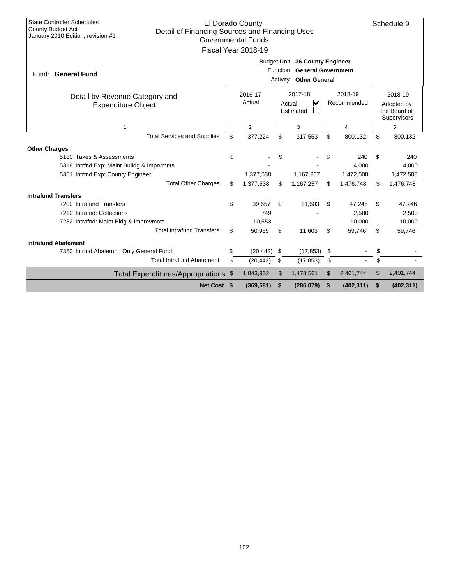| <b>State Controller Schedules</b><br>El Dorado County<br>Schedule 9<br><b>County Budget Act</b><br>Detail of Financing Sources and Financing Uses<br>January 2010 Edition, revision #1<br><b>Governmental Funds</b><br>Fiscal Year 2018-19 |                                                                                                             |                                                                     |    |            |     |                        |                                                      |            |  |  |  |
|--------------------------------------------------------------------------------------------------------------------------------------------------------------------------------------------------------------------------------------------|-------------------------------------------------------------------------------------------------------------|---------------------------------------------------------------------|----|------------|-----|------------------------|------------------------------------------------------|------------|--|--|--|
| Fund: General Fund                                                                                                                                                                                                                         | Budget Unit 36 County Engineer<br><b>General Government</b><br>Function<br><b>Other General</b><br>Activity |                                                                     |    |            |     |                        |                                                      |            |  |  |  |
| Detail by Revenue Category and<br><b>Expenditure Object</b>                                                                                                                                                                                |                                                                                                             | 2016-17<br>2017-18<br>$\checkmark$<br>Actual<br>Actual<br>Estimated |    |            |     | 2018-19<br>Recommended | 2018-19<br>Adopted by<br>the Board of<br>Supervisors |            |  |  |  |
| $\overline{1}$                                                                                                                                                                                                                             |                                                                                                             | $\overline{2}$                                                      |    | 3          |     | $\overline{4}$         |                                                      | 5          |  |  |  |
| <b>Total Services and Supplies</b>                                                                                                                                                                                                         | \$                                                                                                          | 377,224                                                             | \$ | 317,553    | \$  | 800,132                | \$                                                   | 800,132    |  |  |  |
| <b>Other Charges</b>                                                                                                                                                                                                                       |                                                                                                             |                                                                     |    |            |     |                        |                                                      |            |  |  |  |
| 5180 Taxes & Assessments                                                                                                                                                                                                                   | \$                                                                                                          |                                                                     | \$ |            | \$  | 240                    | \$                                                   | 240        |  |  |  |
| 5318 Intrind Exp: Maint Buildg & Imprymnts                                                                                                                                                                                                 |                                                                                                             |                                                                     |    |            |     | 4.000                  |                                                      | 4,000      |  |  |  |
| 5351 Intrfnd Exp: County Engineer                                                                                                                                                                                                          |                                                                                                             | 1,377,538                                                           |    | 1,167,257  |     | 1,472,508              |                                                      | 1,472,508  |  |  |  |
| <b>Total Other Charges</b>                                                                                                                                                                                                                 | \$                                                                                                          | 1,377,538                                                           | \$ | 1,167,257  | \$  | 1,476,748              | \$                                                   | 1,476,748  |  |  |  |
| <b>Intrafund Transfers</b>                                                                                                                                                                                                                 |                                                                                                             |                                                                     |    |            |     |                        |                                                      |            |  |  |  |
| 7200 Intrafund Transfers                                                                                                                                                                                                                   | \$                                                                                                          | 39,657                                                              | \$ | 11,603     | \$. | 47,246                 | S                                                    | 47,246     |  |  |  |
| 7210 Intrafnd: Collections                                                                                                                                                                                                                 |                                                                                                             | 749                                                                 |    |            |     | 2,500                  |                                                      | 2,500      |  |  |  |
| 7232 Intrafnd: Maint Bldg & Improvmnts                                                                                                                                                                                                     |                                                                                                             | 10,553                                                              |    |            |     | 10,000                 |                                                      | 10,000     |  |  |  |
| <b>Total Intrafund Transfers</b>                                                                                                                                                                                                           | \$                                                                                                          | 50,959                                                              | \$ | 11,603     | \$  | 59,746                 | \$                                                   | 59,746     |  |  |  |
| <b>Intrafund Abatement</b>                                                                                                                                                                                                                 |                                                                                                             |                                                                     |    |            |     |                        |                                                      |            |  |  |  |
| 7350 Intrfnd Abatemnt: Only General Fund                                                                                                                                                                                                   | \$                                                                                                          | (20, 442)                                                           | \$ | (17, 853)  | \$  |                        | \$                                                   |            |  |  |  |
| <b>Total Intrafund Abatement</b>                                                                                                                                                                                                           | \$                                                                                                          | (20, 442)                                                           | \$ | (17, 853)  | \$  |                        | \$                                                   |            |  |  |  |
| Total Expenditures/Appropriations \$                                                                                                                                                                                                       |                                                                                                             | 1,843,932                                                           | \$ | 1,478,561  | \$  | 2,401,744              | \$                                                   | 2,401,744  |  |  |  |
| Net Cost \$                                                                                                                                                                                                                                |                                                                                                             | (369, 581)                                                          | \$ | (286, 079) | \$  | (402, 311)             | \$                                                   | (402, 311) |  |  |  |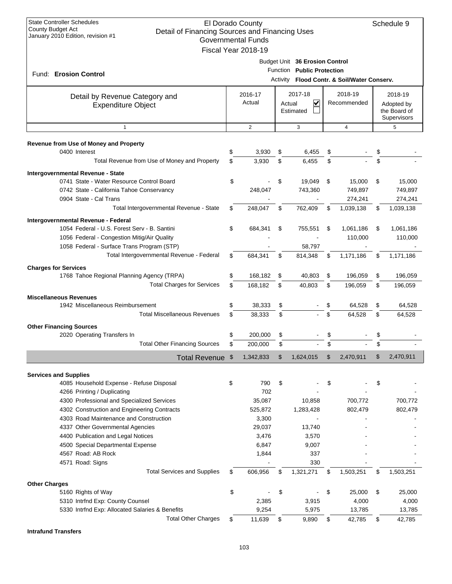| <b>State Controller Schedules</b><br>El Dorado County<br>Schedule 9<br>County Budget Act<br>Detail of Financing Sources and Financing Uses<br>January 2010 Edition, revision #1<br><b>Governmental Funds</b><br>Fiscal Year 2018-19 |                                                                                                                |                                                          |          |                     |          |                              |          |                                                      |  |  |
|-------------------------------------------------------------------------------------------------------------------------------------------------------------------------------------------------------------------------------------|----------------------------------------------------------------------------------------------------------------|----------------------------------------------------------|----------|---------------------|----------|------------------------------|----------|------------------------------------------------------|--|--|
| Fund: Erosion Control                                                                                                                                                                                                               | Budget Unit 36 Erosion Control<br>Function Public Protection<br>Flood Contr. & Soil/Water Conserv.<br>Activity |                                                          |          |                     |          |                              |          |                                                      |  |  |
| Detail by Revenue Category and<br><b>Expenditure Object</b>                                                                                                                                                                         |                                                                                                                | 2016-17<br>2017-18<br>Actual<br>V<br>Actual<br>Estimated |          |                     |          | 2018-19<br>Recommended       |          | 2018-19<br>Adopted by<br>the Board of<br>Supervisors |  |  |
| $\mathbf{1}$                                                                                                                                                                                                                        |                                                                                                                | $\overline{2}$                                           |          | 3                   |          | 4                            |          | 5                                                    |  |  |
| Revenue from Use of Money and Property<br>0400 Interest                                                                                                                                                                             | \$                                                                                                             | 3,930                                                    | \$       | 6,455               | \$       |                              | \$<br>\$ |                                                      |  |  |
| Total Revenue from Use of Money and Property                                                                                                                                                                                        | \$                                                                                                             | 3,930                                                    | \$       | 6,455               | \$       |                              |          |                                                      |  |  |
| Intergovernmental Revenue - State<br>0741 State - Water Resource Control Board<br>0742 State - California Tahoe Conservancy<br>0904 State - Cal Trans                                                                               | \$                                                                                                             | 248,047                                                  | \$       | 19,049<br>743,360   | \$       | 15.000<br>749,897<br>274,241 | \$       | 15,000<br>749,897<br>274,241                         |  |  |
| Total Intergovernmental Revenue - State                                                                                                                                                                                             | \$                                                                                                             | 248,047                                                  | \$       | 762,409             | \$       | 1,039,138                    | \$       | 1,039,138                                            |  |  |
| Intergovernmental Revenue - Federal<br>1054 Federal - U.S. Forest Serv - B. Santini<br>1056 Federal - Congestion Mitig/Air Quality<br>1058 Federal - Surface Trans Program (STP)                                                    | \$                                                                                                             | 684,341                                                  | \$       | 755,551<br>58,797   | \$       | 1,061,186<br>110,000         | \$       | 1,061,186<br>110,000                                 |  |  |
| Total Intergovernmental Revenue - Federal                                                                                                                                                                                           | \$                                                                                                             | 684,341                                                  | \$       | 814,348             | \$       | 1,171,186                    | \$       | 1,171,186                                            |  |  |
| <b>Charges for Services</b>                                                                                                                                                                                                         |                                                                                                                |                                                          |          |                     |          |                              |          |                                                      |  |  |
| 1768 Tahoe Regional Planning Agency (TRPA)<br><b>Total Charges for Services</b>                                                                                                                                                     | \$<br>\$                                                                                                       | 168,182<br>168,182                                       | \$<br>\$ | 40,803<br>40,803    | \$<br>\$ | 196,059<br>196,059           | \$<br>\$ | 196,059<br>196,059                                   |  |  |
| <b>Miscellaneous Revenues</b>                                                                                                                                                                                                       |                                                                                                                |                                                          |          |                     |          |                              |          |                                                      |  |  |
| 1942 Miscellaneous Reimbursement<br><b>Total Miscellaneous Revenues</b>                                                                                                                                                             | \$                                                                                                             | 38,333                                                   | \$       |                     | \$       | 64,528                       | \$       | 64,528                                               |  |  |
|                                                                                                                                                                                                                                     | \$                                                                                                             | 38,333                                                   | \$       |                     | \$       | 64,528                       | \$       | 64,528                                               |  |  |
| <b>Other Financing Sources</b>                                                                                                                                                                                                      |                                                                                                                |                                                          |          |                     |          |                              |          |                                                      |  |  |
| 2020 Operating Transfers In<br><b>Total Other Financing Sources</b>                                                                                                                                                                 | \$                                                                                                             | 200,000<br>200,000                                       | \$<br>\$ |                     | \$       |                              | \$       |                                                      |  |  |
|                                                                                                                                                                                                                                     |                                                                                                                |                                                          |          |                     |          |                              |          |                                                      |  |  |
| Total Revenue \$                                                                                                                                                                                                                    |                                                                                                                | 1,342,833                                                | \$       | 1,624,015           | \$       | 2,470,911                    | \$       | 2,470,911                                            |  |  |
| <b>Services and Supplies</b><br>4085 Household Expense - Refuse Disposal                                                                                                                                                            | \$                                                                                                             | 790                                                      | \$       |                     | \$       |                              | \$       |                                                      |  |  |
| 4266 Printing / Duplicating<br>4300 Professional and Specialized Services<br>4302 Construction and Engineering Contracts                                                                                                            |                                                                                                                | 702<br>35,087<br>525,872                                 |          | 10,858<br>1,283,428 |          | 700,772<br>802,479           |          | 700,772<br>802,479                                   |  |  |
| 4303 Road Maintenance and Construction                                                                                                                                                                                              |                                                                                                                | 3,300                                                    |          |                     |          |                              |          |                                                      |  |  |
| 4337 Other Governmental Agencies                                                                                                                                                                                                    |                                                                                                                | 29,037                                                   |          | 13,740              |          |                              |          |                                                      |  |  |
| 4400 Publication and Legal Notices                                                                                                                                                                                                  |                                                                                                                | 3,476                                                    |          | 3,570               |          |                              |          |                                                      |  |  |
| 4500 Special Departmental Expense                                                                                                                                                                                                   |                                                                                                                | 6,847                                                    |          | 9,007               |          |                              |          |                                                      |  |  |
| 4567 Road: AB Rock<br>4571 Road: Signs                                                                                                                                                                                              |                                                                                                                | 1,844                                                    |          | 337<br>330          |          |                              |          |                                                      |  |  |
| <b>Total Services and Supplies</b>                                                                                                                                                                                                  | \$                                                                                                             | 606,956                                                  | \$       | 1,321,271           | \$       | 1,503,251                    | \$       | 1,503,251                                            |  |  |
| <b>Other Charges</b>                                                                                                                                                                                                                |                                                                                                                |                                                          |          |                     |          |                              |          |                                                      |  |  |
| 5160 Rights of Way                                                                                                                                                                                                                  | \$                                                                                                             |                                                          | \$       |                     | \$       | 25,000                       | \$       | 25,000                                               |  |  |
| 5310 Intrfnd Exp: County Counsel                                                                                                                                                                                                    |                                                                                                                | 2,385                                                    |          | 3,915               |          | 4,000                        |          | 4,000                                                |  |  |
| 5330 Intrfnd Exp: Allocated Salaries & Benefits                                                                                                                                                                                     |                                                                                                                | 9,254                                                    |          | 5,975               |          | 13,785                       |          | 13,785                                               |  |  |
| <b>Total Other Charges</b>                                                                                                                                                                                                          | \$                                                                                                             | 11,639                                                   | \$       | 9,890               | \$       | 42,785                       | \$       | 42,785                                               |  |  |

**Intrafund Transfers**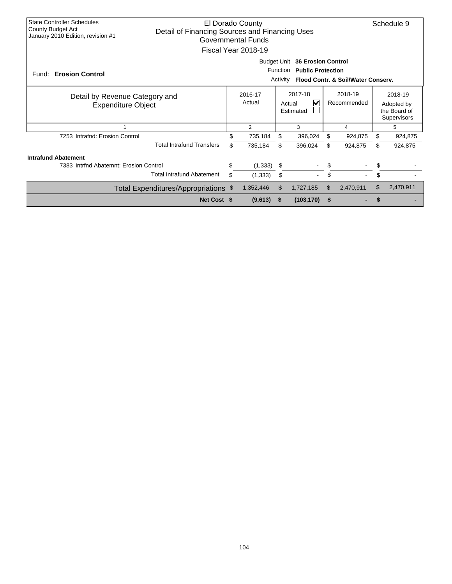| <b>State Controller Schedules</b><br>El Dorado County<br>County Budget Act<br>Detail of Financing Sources and Financing Uses<br>January 2010 Edition, revision #1<br>Governmental Funds<br>Fiscal Year 2018-19 |                                                                                                                                           |    |                                     |          |            |                        |                                                      |    |           |  |
|----------------------------------------------------------------------------------------------------------------------------------------------------------------------------------------------------------------|-------------------------------------------------------------------------------------------------------------------------------------------|----|-------------------------------------|----------|------------|------------------------|------------------------------------------------------|----|-----------|--|
| Fund: Erosion Control                                                                                                                                                                                          | <b>Budget Unit</b><br><b>36 Erosion Control</b><br>Function<br><b>Public Protection</b><br>Flood Contr. & Soil/Water Conserv.<br>Activity |    |                                     |          |            |                        |                                                      |    |           |  |
| Detail by Revenue Category and<br><b>Expenditure Object</b>                                                                                                                                                    | 2016-17<br>Actual                                                                                                                         |    | 2017-18<br>V<br>Actual<br>Estimated |          |            | 2018-19<br>Recommended | 2018-19<br>Adopted by<br>the Board of<br>Supervisors |    |           |  |
|                                                                                                                                                                                                                |                                                                                                                                           |    | $\overline{2}$                      |          | 3          |                        | 4                                                    |    | 5         |  |
| 7253 Intrafnd: Erosion Control                                                                                                                                                                                 |                                                                                                                                           | \$ | 735,184                             | \$       | 396,024    | \$                     | 924,875                                              | \$ | 924,875   |  |
|                                                                                                                                                                                                                | <b>Total Intrafund Transfers</b>                                                                                                          | \$ | 735,184                             | \$       | 396,024    | \$                     | 924,875                                              | \$ | 924,875   |  |
| <b>Intrafund Abatement</b>                                                                                                                                                                                     |                                                                                                                                           |    |                                     |          |            |                        |                                                      |    |           |  |
| 7383 Intrind Abatemnt: Erosion Control                                                                                                                                                                         |                                                                                                                                           | \$ | (1, 333)                            | \$       |            | \$                     |                                                      | \$ |           |  |
|                                                                                                                                                                                                                | <b>Total Intrafund Abatement</b>                                                                                                          | \$ | (1, 333)                            | \$       | $\sim$     | \$                     |                                                      | \$ |           |  |
|                                                                                                                                                                                                                | Total Expenditures/Appropriations \$                                                                                                      |    | 1,352,446                           | \$       | 1,727,185  | \$                     | 2,470,911                                            | \$ | 2,470,911 |  |
|                                                                                                                                                                                                                | Net Cost \$                                                                                                                               |    | (9,613)                             | <b>S</b> | (103, 170) | \$                     |                                                      |    |           |  |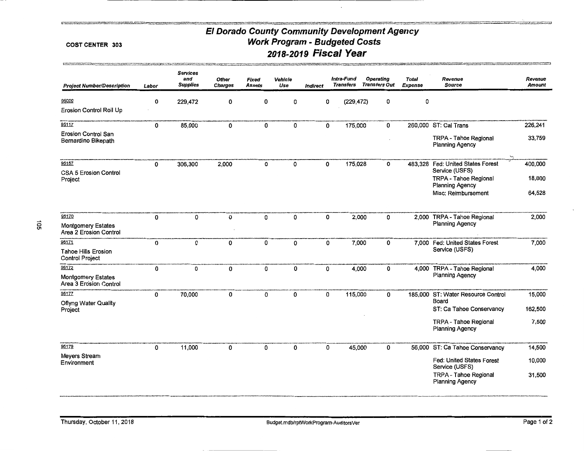#### COST CENTER 303

g van de gebruik van de plats op de gegen te meer te gegen op de gegen en van de gewone gewone van de gegen we<br>De gewone van de teenstelling van de gewone van de gewone van de gewone van de gewone van de gewone van de gew

| <b>Project Number/Description</b>                    | Labor | <b>Services</b><br>and<br><b>Supplies</b> | <b>Other</b><br><b>Charges</b> | Fixed<br><b>Assets</b> | Vehicle<br>Use | Indirect | Intra-Fund<br>Transfers |        | <b>Operating</b><br><b>Transfers Out</b> | <b>Total</b><br>Expense | Revenue<br><b>Source</b>                               | Revenue<br>Amount |
|------------------------------------------------------|-------|-------------------------------------------|--------------------------------|------------------------|----------------|----------|-------------------------|--------|------------------------------------------|-------------------------|--------------------------------------------------------|-------------------|
| 95000                                                | 0     | 229,472                                   | 0                              | 0                      | 0              | 0        | (229, 472)              |        | 0                                        | 0                       |                                                        |                   |
| Erosion Control Roll Up                              |       |                                           |                                |                        |                |          |                         |        |                                          |                         |                                                        |                   |
| 95117                                                | 0     | 85,000                                    | 0                              | 0                      | 0              | 0        | 175,000                 |        | 0                                        |                         | 260,000 ST: Cal Trans                                  | 226,241           |
| <b>Erosion Control San</b><br>Bernardino Bikepath    |       |                                           |                                |                        |                |          |                         |        |                                          |                         | TRPA - Tahoe Regional<br><b>Planning Agency</b>        | 33,759            |
| 95157                                                | 0     | 306,300                                   | 2,000                          | 0                      | 0              | 0        | 175,028                 |        | 0                                        |                         | 483,328 Fed: United States Forest                      | 400,000           |
| <b>CSA 5 Erosion Control</b>                         |       |                                           |                                |                        |                |          |                         |        |                                          |                         | Service (USFS)                                         |                   |
| Project                                              |       |                                           |                                |                        |                |          |                         |        |                                          |                         | TRPA - Tahoe Regional<br><b>Planning Agency</b>        | 18,800            |
|                                                      |       |                                           |                                |                        |                |          |                         |        |                                          |                         | Misc: Reimbursement                                    | 64,528            |
| 95170                                                | 0     | $\mathbf{0}$                              | 0                              | 0                      | 0              | 0        |                         | 2,000  | 0                                        |                         | 2,000 TRPA - Tahoe Regional                            | 2,000             |
| <b>Montgomery Estates</b><br>Area 2 Erosion Control  |       |                                           |                                |                        |                |          |                         |        |                                          |                         | <b>Planning Agency</b>                                 |                   |
| 95171                                                | 0     | 0                                         | 0                              | 0                      | 0              | 0        |                         | 7,000  | 0                                        |                         | 7,000 Fed: United States Forest                        | 7,000             |
| <b>Tahoe Hills Erosion</b><br><b>Control Project</b> |       |                                           |                                |                        |                |          |                         |        |                                          |                         | Service (USFS)                                         |                   |
| 95172                                                | 0     | 0                                         | 0                              | 0                      | 0              | 0        |                         | 4,000  | 0                                        |                         | 4,000 TRPA - Tahoe Regional                            | 4,000             |
| <b>Montgomery Estates</b><br>Area 3 Erosion Control  |       |                                           |                                |                        |                |          |                         |        |                                          |                         | <b>Planning Agency</b>                                 |                   |
| 95177                                                | 0     | 70,000                                    | 0                              | 0                      | 0              | 0        | 115,000                 |        | 0                                        |                         | 185,000 ST: Water Resource Control<br>Board            | 15,000            |
| <b>Oflyng Water Quality</b><br>Project               |       |                                           |                                |                        |                |          |                         |        |                                          |                         | ST: Ca Tahoe Conservancy                               | 162,500           |
|                                                      |       |                                           |                                |                        |                |          |                         |        |                                          |                         | TRPA - Tahoe Regional<br>Planning Agency               | 7,500             |
| 95179                                                | 0     | 11,000                                    | 0                              | 0                      | 0              | 0        |                         | 45,000 | 0                                        |                         | 56,000 ST: Ca Tahoe Conservancy                        | 14,500            |
| Meyers Stream<br>Environment                         |       |                                           |                                |                        |                |          |                         |        |                                          |                         | Fed: United States Forest<br>Service (USFS)            | 10,000            |
|                                                      |       |                                           |                                |                        |                |          |                         |        |                                          |                         | <b>TRPA - Tahoe Regional</b><br><b>Planning Agency</b> | 31,500            |

.<br>Malazi ini katalog katika di promotori in katalog akademik da bayan mangara katalog katalog katalog akademik d<br>Malazi ini katalog katalog katalog katalog katalog katalog katalog katalog katalog katalog katalog dinamik da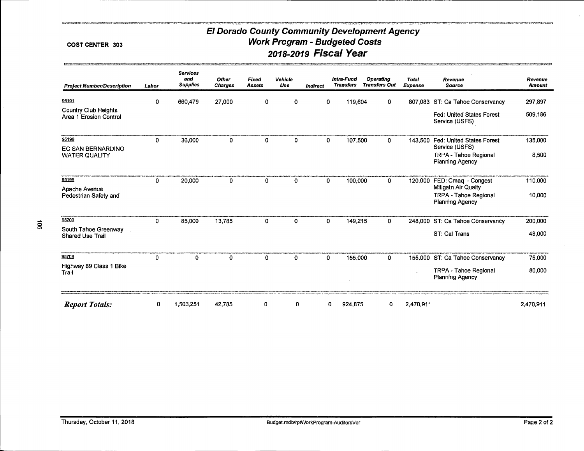#### COST CENTER 303

.<br>The first product of the control of the control of the control of the control of the control of the control of

| <b>Project Number/Description</b>              | Labor | <b>Services</b><br>and<br><b>Supplies</b> | <b>Other</b><br><b>Charges</b> | Fixed<br><b>Assets</b> | Vehicle<br>Use | Indirect     | Intra-Fund<br><b>Transfers</b> | Operating<br><b>Transfers Out</b> | <b>Total</b><br>Expense | Revenue<br><b>Source</b>                                                      | Revenue<br><b>Amount</b> |
|------------------------------------------------|-------|-------------------------------------------|--------------------------------|------------------------|----------------|--------------|--------------------------------|-----------------------------------|-------------------------|-------------------------------------------------------------------------------|--------------------------|
| 95191                                          | 0     | 660,479                                   | 27,000                         | 0                      | 0              | 0            | 119,604                        | 0                                 |                         | 807,083 ST: Ca Tahoe Conservancy                                              | 297,897                  |
| Country Club Heights<br>Area 1 Erosion Control |       |                                           |                                |                        |                |              |                                |                                   |                         | <b>Fed: United States Forest</b><br>Service (USFS)                            | 509,186                  |
| 95198                                          | 0     | 36,000                                    | 0                              | 0                      | 0              | 0            | 107,500                        | 0                                 | 143,500                 | Fed: United States Forest                                                     | 135,000                  |
| EC SAN BERNARDINO<br><b>WATER QUALITY</b>      |       |                                           |                                |                        |                |              |                                |                                   |                         | Service (USFS)<br>TRPA - Tahoe Regional<br><b>Planning Agency</b>             | 8,500                    |
| 95199                                          | 0     | 20,000                                    | 0                              | 0                      | 0              | 0            | 100,000                        | 0                                 | 120,000                 | FED: Cmaq - Congest                                                           | 110,000                  |
| Apache Avenue<br>Pedestrian Safety and         |       |                                           |                                |                        |                |              |                                |                                   |                         | Mitigatn Air Qualty<br><b>TRPA - Tahoe Regional</b><br><b>Planning Agency</b> | 10,000                   |
| 95200                                          | 0     | 85,000                                    | 13,785                         | 0                      | 0              | $\mathbf{0}$ | 149,215                        | 0                                 |                         | 248,000 ST: Ca Tahoe Conservancy                                              | 200,000                  |
| South Tahoe Greenway<br>Shared Use Trail       |       |                                           |                                |                        |                |              |                                |                                   |                         | ST: Cal Trans                                                                 | 48,000                   |
| 95708                                          | 0     | 0                                         | 0                              | 0                      | 0              | $\mathbf{0}$ | 155,000                        | 0                                 |                         | 155,000 ST: Ca Tahoe Conservancy                                              | 75,000                   |
| Highway 89 Class 1 Bike<br>Trail               |       |                                           |                                |                        |                |              |                                |                                   |                         | TRPA - Tahoe Regional<br><b>Planning Agency</b>                               | 80,000                   |
| <b>Report Totals:</b>                          | 0     | 1,503,251                                 | 42,785                         | 0                      | 0              |              | 924,875<br>0                   | 0                                 | 2,470,911               |                                                                               | 2,470,911                |

**PERSONAL PROPERTY**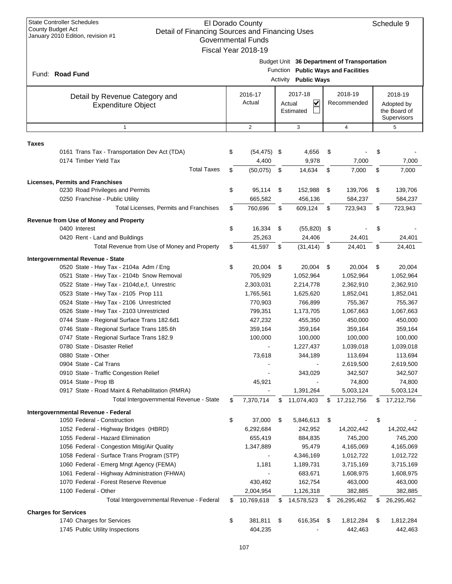|       | <b>State Controller Schedules</b><br>County Budget Act<br>Detail of Financing Sources and Financing Uses<br>January 2010 Edition, revision #1 | El Dorado County<br><b>Governmental Funds</b><br>Fiscal Year 2018-19 |                      |                                                |    |                                                                                  |    | Schedule 9                                           |  |
|-------|-----------------------------------------------------------------------------------------------------------------------------------------------|----------------------------------------------------------------------|----------------------|------------------------------------------------|----|----------------------------------------------------------------------------------|----|------------------------------------------------------|--|
|       | Fund: Road Fund                                                                                                                               |                                                                      | Function<br>Activity | <b>Public Ways</b>                             |    | Budget Unit 36 Department of Transportation<br><b>Public Ways and Facilities</b> |    |                                                      |  |
|       | Detail by Revenue Category and<br><b>Expenditure Object</b>                                                                                   | 2016-17<br>Actual                                                    |                      | 2017-18<br>$\checkmark$<br>Actual<br>Estimated |    | 2018-19<br>Recommended                                                           |    | 2018-19<br>Adopted by<br>the Board of<br>Supervisors |  |
|       | $\mathbf{1}$                                                                                                                                  | $\overline{2}$                                                       |                      | 3                                              |    | $\overline{4}$                                                                   |    | 5                                                    |  |
| Taxes |                                                                                                                                               |                                                                      |                      |                                                |    |                                                                                  |    |                                                      |  |
|       | 0161 Trans Tax - Transportation Dev Act (TDA)<br>0174 Timber Yield Tax                                                                        | \$<br>$(54, 475)$ \$<br>4,400                                        |                      | 4,656<br>9,978                                 | \$ | 7,000                                                                            | \$ | 7,000                                                |  |
|       | <b>Total Taxes</b>                                                                                                                            | \$<br>(50,075)                                                       | \$                   | 14,634                                         | \$ | 7,000                                                                            | \$ | 7,000                                                |  |
|       | <b>Licenses, Permits and Franchises</b>                                                                                                       |                                                                      |                      |                                                |    |                                                                                  |    |                                                      |  |
|       | 0230 Road Privileges and Permits<br>0250 Franchise - Public Utility                                                                           | \$<br>95,114<br>665,582                                              | \$                   | 152,988<br>456,136                             | \$ | 139,706<br>584,237                                                               | \$ | 139,706<br>584,237                                   |  |
|       | Total Licenses, Permits and Franchises                                                                                                        | \$<br>760,696                                                        | \$                   | 609,124                                        | \$ | 723,943                                                                          | \$ | 723,943                                              |  |
|       | Revenue from Use of Money and Property                                                                                                        |                                                                      |                      |                                                |    |                                                                                  |    |                                                      |  |
|       | 0400 Interest                                                                                                                                 | \$<br>16,334                                                         | \$                   | (55, 820)                                      | \$ |                                                                                  | \$ |                                                      |  |
|       | 0420 Rent - Land and Buildings                                                                                                                | 25,263                                                               |                      | 24,406                                         |    | 24,401                                                                           |    | 24,401                                               |  |
|       | Total Revenue from Use of Money and Property                                                                                                  | \$<br>41,597                                                         | \$                   | (31, 414)                                      | \$ | 24,401                                                                           | \$ | 24,401                                               |  |
|       | Intergovernmental Revenue - State                                                                                                             |                                                                      |                      |                                                |    |                                                                                  |    |                                                      |  |
|       | 0520 State - Hwy Tax - 2104a Adm / Eng                                                                                                        | \$<br>20,004                                                         | \$                   | 20,004                                         | \$ | 20,004                                                                           | \$ | 20,004                                               |  |
|       | 0521 State - Hwy Tax - 2104b Snow Removal                                                                                                     | 705,929                                                              |                      | 1,052,964                                      |    | 1,052,964                                                                        |    | 1,052,964                                            |  |
|       | 0522 State - Hwy Tax - 2104d, e, f, Unrestric                                                                                                 | 2,303,031                                                            |                      | 2,214,778                                      |    | 2,362,910                                                                        |    | 2,362,910                                            |  |
|       | 0523 State - Hwy Tax - 2105 Prop 111                                                                                                          | 1,765,561                                                            |                      | 1,625,620                                      |    | 1,852,041                                                                        |    | 1,852,041                                            |  |
|       | 0524 State - Hwy Tax - 2106 Unrestricted                                                                                                      | 770,903                                                              |                      | 766,899                                        |    | 755,367                                                                          |    | 755,367                                              |  |
|       | 0526 State - Hwy Tax - 2103 Unrestricted                                                                                                      | 799,351                                                              |                      | 1,173,705                                      |    | 1,067,663                                                                        |    | 1,067,663                                            |  |
|       | 0744 State - Regional Surface Trans 182.6d1                                                                                                   | 427,232                                                              |                      | 455,350                                        |    | 450,000                                                                          |    | 450,000                                              |  |
|       | 0746 State - Regional Surface Trans 185.6h                                                                                                    | 359,164                                                              |                      | 359,164                                        |    | 359,164                                                                          |    | 359,164                                              |  |
|       | 0747 State - Regional Surface Trans 182.9                                                                                                     | 100,000                                                              |                      | 100,000                                        |    | 100,000                                                                          |    | 100,000                                              |  |
|       | 0780 State - Disaster Relief                                                                                                                  |                                                                      |                      | 1,227,437                                      |    | 1,039,018                                                                        |    | 1,039,018                                            |  |
|       | 0880 State - Other                                                                                                                            | 73,618                                                               |                      | 344,189                                        |    | 113,694                                                                          |    | 113,694                                              |  |
|       | 0904 State - Cal Trans                                                                                                                        |                                                                      |                      |                                                |    | 2,619,500                                                                        |    | 2,619,500                                            |  |
|       | 0910 State - Traffic Congestion Relief<br>0914 State - Prop IB                                                                                | 45,921                                                               |                      | 343,029                                        |    | 342,507<br>74,800                                                                |    | 342,507<br>74,800                                    |  |
|       | 0917 State - Road Maint & Rehabilitation (RMRA)                                                                                               |                                                                      |                      | 1,391,264                                      |    | 5,003,124                                                                        |    | 5,003,124                                            |  |
|       | Total Intergovernmental Revenue - State                                                                                                       | \$<br>7,370,714                                                      | \$                   | 11,074,403                                     | \$ | 17,212,756                                                                       | \$ | 17,212,756                                           |  |
|       | Intergovernmental Revenue - Federal                                                                                                           |                                                                      |                      |                                                |    |                                                                                  |    |                                                      |  |
|       | 1050 Federal - Construction                                                                                                                   | \$<br>37,000                                                         | \$                   | 5,846,613                                      | \$ |                                                                                  | \$ |                                                      |  |
|       | 1052 Federal - Highway Bridges (HBRD)                                                                                                         | 6,292,684                                                            |                      | 242,952                                        |    | 14,202,442                                                                       |    | 14,202,442                                           |  |
|       | 1055 Federal - Hazard Elimination                                                                                                             | 655,419                                                              |                      | 884,835                                        |    | 745,200                                                                          |    | 745,200                                              |  |
|       | 1056 Federal - Congestion Mitig/Air Quality                                                                                                   | 1,347,889                                                            |                      | 95,479                                         |    | 4,165,069                                                                        |    | 4,165,069                                            |  |
|       | 1058 Federal - Surface Trans Program (STP)                                                                                                    |                                                                      |                      | 4,346,169                                      |    | 1,012,722                                                                        |    | 1,012,722                                            |  |
|       | 1060 Federal - Emerg Mngt Agency (FEMA)                                                                                                       | 1,181                                                                |                      | 1,189,731                                      |    | 3,715,169                                                                        |    | 3,715,169                                            |  |
|       | 1061 Federal - Highway Administration (FHWA)                                                                                                  |                                                                      |                      | 683,671                                        |    | 1,608,975                                                                        |    | 1,608,975                                            |  |
|       | 1070 Federal - Forest Reserve Revenue                                                                                                         | 430,492                                                              |                      | 162,754                                        |    | 463,000                                                                          |    | 463,000                                              |  |
|       | 1100 Federal - Other                                                                                                                          | 2,004,954                                                            |                      | 1,126,318                                      |    | 382,885                                                                          |    | 382,885                                              |  |
|       | Total Intergovernmental Revenue - Federal                                                                                                     | \$<br>10,769,618                                                     | S                    | 14,578,523                                     | S  | 26,295,462                                                                       | \$ | 26,295,462                                           |  |
|       | <b>Charges for Services</b>                                                                                                                   |                                                                      |                      |                                                |    |                                                                                  |    |                                                      |  |
|       | 1740 Charges for Services                                                                                                                     | \$<br>381,811                                                        | \$                   | 616,354                                        | \$ | 1,812,284                                                                        | \$ | 1,812,284                                            |  |
|       | 1745 Public Utility Inspections                                                                                                               | 404,235                                                              |                      |                                                |    | 442,463                                                                          |    | 442,463                                              |  |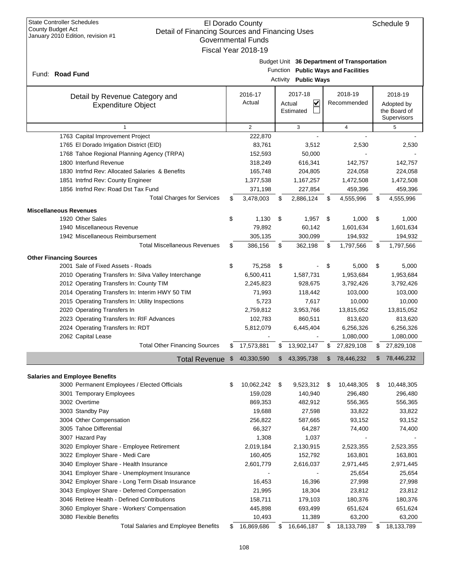### El Dorado County Detail of Financing Sources and Financing Uses Governmental Funds Fiscal Year 2018-19

| Budget Unit 36 Department of Transportation |
|---------------------------------------------|

Function **Public Ways and Facilities**

| Fund: Road Fund                                             | $\frac{1}{2}$ and $\frac{1}{2}$ and $\frac{1}{2}$ and $\frac{1}{2}$ and $\frac{1}{2}$ and $\frac{1}{2}$ and $\frac{1}{2}$ and $\frac{1}{2}$ and $\frac{1}{2}$ and $\frac{1}{2}$ and $\frac{1}{2}$ and $\frac{1}{2}$ and $\frac{1}{2}$ and $\frac{1}{2}$ and $\frac{1}{2}$ and $\frac{1}{2}$ a<br><b>Activity</b> Public Ways |                   |    |                                     |    |                        |     |                                                      |  |  |  |
|-------------------------------------------------------------|------------------------------------------------------------------------------------------------------------------------------------------------------------------------------------------------------------------------------------------------------------------------------------------------------------------------------|-------------------|----|-------------------------------------|----|------------------------|-----|------------------------------------------------------|--|--|--|
| Detail by Revenue Category and<br><b>Expenditure Object</b> |                                                                                                                                                                                                                                                                                                                              | 2016-17<br>Actual |    | 2017-18<br>V<br>Actual<br>Estimated |    | 2018-19<br>Recommended |     | 2018-19<br>Adopted by<br>the Board of<br>Supervisors |  |  |  |
| $\mathbf{1}$                                                |                                                                                                                                                                                                                                                                                                                              | $\overline{2}$    |    | 3                                   |    | $\overline{4}$         |     | 5                                                    |  |  |  |
| 1763 Capital Improvement Project                            |                                                                                                                                                                                                                                                                                                                              | 222,870           |    |                                     |    |                        |     |                                                      |  |  |  |
| 1765 El Dorado Irrigation District (EID)                    |                                                                                                                                                                                                                                                                                                                              | 83,761            |    | 3,512                               |    | 2,530                  |     | 2,530                                                |  |  |  |
| 1768 Tahoe Regional Planning Agency (TRPA)                  |                                                                                                                                                                                                                                                                                                                              | 152,593           |    | 50,000                              |    |                        |     |                                                      |  |  |  |
| 1800 Interfund Revenue                                      |                                                                                                                                                                                                                                                                                                                              | 318,249           |    | 616,341                             |    | 142,757                |     | 142,757                                              |  |  |  |
| 1830 Intrind Rev: Allocated Salaries & Benefits             |                                                                                                                                                                                                                                                                                                                              | 165,748           |    | 204,805                             |    | 224,058                |     | 224,058                                              |  |  |  |
| 1851 Intrfnd Rev: County Engineer                           |                                                                                                                                                                                                                                                                                                                              | 1,377,538         |    | 1,167,257                           |    | 1,472,508              |     | 1,472,508                                            |  |  |  |
| 1856 Intrfnd Rev: Road Dst Tax Fund                         |                                                                                                                                                                                                                                                                                                                              | 371,198           |    | 227,854                             |    | 459,396                |     | 459,396                                              |  |  |  |
| <b>Total Charges for Services</b>                           | \$                                                                                                                                                                                                                                                                                                                           | 3,478,003         | \$ | 2,886,124                           | \$ | 4,555,996              | \$  | 4,555,996                                            |  |  |  |
| <b>Miscellaneous Revenues</b>                               |                                                                                                                                                                                                                                                                                                                              |                   |    |                                     |    |                        |     |                                                      |  |  |  |
| 1920 Other Sales                                            | \$                                                                                                                                                                                                                                                                                                                           | 1,130             | \$ | 1,957                               | \$ | 1,000                  | \$  | 1,000                                                |  |  |  |
| 1940 Miscellaneous Revenue                                  |                                                                                                                                                                                                                                                                                                                              | 79,892            |    | 60,142                              |    | 1,601,634              |     | 1,601,634                                            |  |  |  |
| 1942 Miscellaneous Reimbursement                            |                                                                                                                                                                                                                                                                                                                              | 305,135           |    | 300,099                             |    | 194,932                |     | 194,932                                              |  |  |  |
| <b>Total Miscellaneous Revenues</b>                         | \$                                                                                                                                                                                                                                                                                                                           | 386,156           | \$ | 362,198                             | \$ | 1,797,566              | \$  | 1,797,566                                            |  |  |  |
| <b>Other Financing Sources</b>                              |                                                                                                                                                                                                                                                                                                                              |                   |    |                                     |    |                        |     |                                                      |  |  |  |
| 2001 Sale of Fixed Assets - Roads                           | \$                                                                                                                                                                                                                                                                                                                           | 75,258            | \$ |                                     | \$ | 5,000                  | \$  | 5,000                                                |  |  |  |
| 2010 Operating Transfers In: Silva Valley Interchange       |                                                                                                                                                                                                                                                                                                                              | 6,500,411         |    | 1,587,731                           |    | 1,953,684              |     | 1,953,684                                            |  |  |  |
| 2012 Operating Transfers In: County TIM                     |                                                                                                                                                                                                                                                                                                                              | 2,245,823         |    | 928,675                             |    | 3,792,426              |     | 3,792,426                                            |  |  |  |
| 2014 Operating Transfers In: Interim HWY 50 TIM             |                                                                                                                                                                                                                                                                                                                              | 71,993            |    | 118,442                             |    | 103,000                |     | 103,000                                              |  |  |  |
| 2015 Operating Transfers In: Utility Inspections            |                                                                                                                                                                                                                                                                                                                              | 5,723             |    | 7,617                               |    | 10,000                 |     | 10,000                                               |  |  |  |
| 2020 Operating Transfers In                                 |                                                                                                                                                                                                                                                                                                                              | 2,759,812         |    | 3,953,766                           |    | 13,815,052             |     | 13,815,052                                           |  |  |  |
| 2023 Operating Transfers In: RIF Advances                   |                                                                                                                                                                                                                                                                                                                              | 102,783           |    | 860,511                             |    | 813,620                |     | 813,620                                              |  |  |  |
| 2024 Operating Transfers In: RDT                            |                                                                                                                                                                                                                                                                                                                              | 5,812,079         |    | 6,445,404                           |    | 6,256,326              |     | 6,256,326                                            |  |  |  |
| 2062 Capital Lease                                          |                                                                                                                                                                                                                                                                                                                              |                   |    |                                     |    | 1,080,000              |     | 1,080,000                                            |  |  |  |
| <b>Total Other Financing Sources</b>                        | \$                                                                                                                                                                                                                                                                                                                           | 17,573,881        | \$ | 13,902,147                          | \$ | 27,829,108             | \$  | 27,829,108                                           |  |  |  |
| <b>Total Revenue</b>                                        | $\sqrt[6]{3}$                                                                                                                                                                                                                                                                                                                | 40,330,590        | \$ | 43,395,738                          | \$ | 78,446,232             | \$  | 78,446,232                                           |  |  |  |
|                                                             |                                                                                                                                                                                                                                                                                                                              |                   |    |                                     |    |                        |     |                                                      |  |  |  |
| <b>Salaries and Employee Benefits</b>                       |                                                                                                                                                                                                                                                                                                                              |                   |    |                                     |    |                        |     |                                                      |  |  |  |
| 3000 Permanent Employees / Elected Officials                | \$                                                                                                                                                                                                                                                                                                                           | 10,062,242        | \$ | 9,523,312                           | \$ | 10,448,305             | S   | 10,448,305                                           |  |  |  |
| 3001 Temporary Employees                                    |                                                                                                                                                                                                                                                                                                                              | 159,028           |    | 140,940                             |    | 296,480                |     | 296,480                                              |  |  |  |
| 3002 Overtime                                               |                                                                                                                                                                                                                                                                                                                              | 869,353           |    | 482,912                             |    | 556,365                |     | 556,365                                              |  |  |  |
| 3003 Standby Pay                                            |                                                                                                                                                                                                                                                                                                                              | 19,688            |    | 27,598                              |    | 33,822                 |     | 33,822                                               |  |  |  |
| 3004 Other Compensation                                     |                                                                                                                                                                                                                                                                                                                              | 256,822           |    | 587,665                             |    | 93,152                 |     | 93,152                                               |  |  |  |
| 3005 Tahoe Differential                                     |                                                                                                                                                                                                                                                                                                                              | 66,327            |    | 64,287                              |    | 74,400                 |     | 74,400                                               |  |  |  |
| 3007 Hazard Pay                                             |                                                                                                                                                                                                                                                                                                                              | 1,308             |    | 1,037                               |    |                        |     |                                                      |  |  |  |
| 3020 Employer Share - Employee Retirement                   |                                                                                                                                                                                                                                                                                                                              | 2,019,184         |    | 2,130,915                           |    | 2,523,355              |     | 2,523,355                                            |  |  |  |
| 3022 Employer Share - Medi Care                             |                                                                                                                                                                                                                                                                                                                              | 160,405           |    | 152,792                             |    | 163,801                |     | 163,801                                              |  |  |  |
| 3040 Employer Share - Health Insurance                      |                                                                                                                                                                                                                                                                                                                              | 2,601,779         |    | 2,616,037                           |    | 2,971,445              |     | 2,971,445                                            |  |  |  |
| 3041 Employer Share - Unemployment Insurance                |                                                                                                                                                                                                                                                                                                                              |                   |    |                                     |    | 25,654                 |     | 25,654                                               |  |  |  |
| 3042 Employer Share - Long Term Disab Insurance             |                                                                                                                                                                                                                                                                                                                              | 16,453            |    | 16,396                              |    | 27,998                 |     | 27,998                                               |  |  |  |
| 3043 Employer Share - Deferred Compensation                 |                                                                                                                                                                                                                                                                                                                              | 21,995            |    | 18,304                              |    | 23,812                 |     | 23,812                                               |  |  |  |
| 3046 Retiree Health - Defined Contributions                 |                                                                                                                                                                                                                                                                                                                              | 158,711           |    | 179,103                             |    | 180,376                |     | 180,376                                              |  |  |  |
| 3060 Employer Share - Workers' Compensation                 |                                                                                                                                                                                                                                                                                                                              | 445,898           |    | 693,499                             |    | 651,624                |     | 651,624                                              |  |  |  |
| 3080 Flexible Benefits                                      |                                                                                                                                                                                                                                                                                                                              | 10,493            |    | 11,389                              |    | 63,200                 |     | 63,200                                               |  |  |  |
| <b>Total Salaries and Employee Benefits</b>                 | \$                                                                                                                                                                                                                                                                                                                           | 16,869,686        | \$ | 16,646,187                          | \$ | 18,133,789             | \$. | 18,133,789                                           |  |  |  |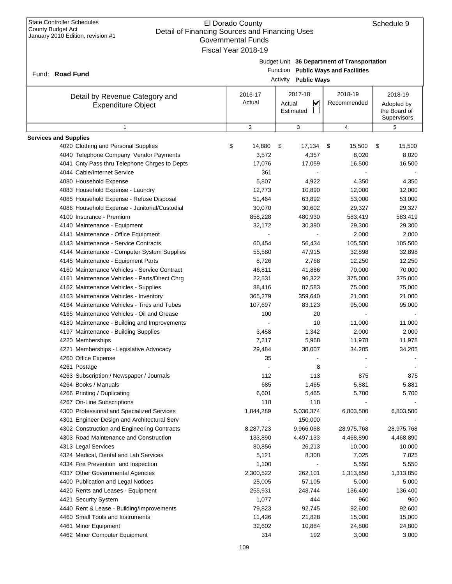| <b>State Controller Schedules</b><br>El Dorado County<br>County Budget Act<br>Detail of Financing Sources and Financing Uses<br>January 2010 Edition, revision #1<br><b>Governmental Funds</b><br>Fiscal Year 2018-19 |                   |        | Schedule 9                           |                                                                                    |                                                      |
|-----------------------------------------------------------------------------------------------------------------------------------------------------------------------------------------------------------------------|-------------------|--------|--------------------------------------|------------------------------------------------------------------------------------|------------------------------------------------------|
| Fund: Road Fund                                                                                                                                                                                                       |                   |        | Activity Public Ways                 | Budget Unit 36 Department of Transportation<br>Function Public Ways and Facilities |                                                      |
| Detail by Revenue Category and<br><b>Expenditure Object</b>                                                                                                                                                           | 2016-17<br>Actual | Actual | 2017-18<br>$\checkmark$<br>Estimated | 2018-19<br>Recommended                                                             | 2018-19<br>Adopted by<br>the Board of<br>Supervisors |
| $\mathbf{1}$                                                                                                                                                                                                          | $\overline{2}$    |        | 3                                    | 4                                                                                  | 5                                                    |
| <b>Services and Supplies</b>                                                                                                                                                                                          |                   |        |                                      |                                                                                    |                                                      |
| 4020 Clothing and Personal Supplies                                                                                                                                                                                   | \$<br>14,880      | \$     | 17,134                               | 15,500<br>\$                                                                       | 15,500<br>\$                                         |
| 4040 Telephone Company Vendor Payments                                                                                                                                                                                | 3,572             |        | 4,357                                | 8,020                                                                              | 8,020                                                |
| 4041 Cnty Pass thru Telephone Chrges to Depts                                                                                                                                                                         | 17,076            |        | 17,059                               | 16,500                                                                             | 16,500                                               |
| 4044 Cable/Internet Service                                                                                                                                                                                           | 361               |        |                                      |                                                                                    |                                                      |
| 4080 Household Expense                                                                                                                                                                                                | 5,807             |        | 4,922                                | 4,350                                                                              | 4,350                                                |
| 4083 Household Expense - Laundry<br>4085 Household Expense - Refuse Disposal                                                                                                                                          | 12,773<br>51,464  |        | 10,890<br>63,892                     | 12,000<br>53,000                                                                   | 12,000<br>53,000                                     |
| 4086 Household Expense - Janitorial/Custodial                                                                                                                                                                         | 30,070            |        | 30,602                               | 29,327                                                                             | 29,327                                               |
| 4100 Insurance - Premium                                                                                                                                                                                              | 858,228           |        | 480,930                              | 583,419                                                                            | 583,419                                              |
| 4140 Maintenance - Equipment                                                                                                                                                                                          | 32,172            |        | 30,390                               | 29,300                                                                             | 29,300                                               |
| 4141 Maintenance - Office Equipment                                                                                                                                                                                   |                   |        |                                      | 2,000                                                                              | 2,000                                                |
| 4143 Maintenance - Service Contracts                                                                                                                                                                                  | 60,454            |        | 56,434                               | 105,500                                                                            | 105,500                                              |
| 4144 Maintenance - Computer System Supplies                                                                                                                                                                           | 55,580            |        | 47,915                               | 32,898                                                                             | 32,898                                               |
| 4145 Maintenance - Equipment Parts                                                                                                                                                                                    | 8,726             |        | 2,768                                | 12,250                                                                             | 12,250                                               |
| 4160 Maintenance Vehicles - Service Contract                                                                                                                                                                          | 46,811            |        | 41,886                               | 70,000                                                                             | 70,000                                               |
| 4161 Maintenance Vehicles - Parts/Direct Chrg                                                                                                                                                                         | 22,531            |        | 96,322                               | 375,000                                                                            | 375,000                                              |
| 4162 Maintenance Vehicles - Supplies                                                                                                                                                                                  | 88,416            |        | 87,583                               | 75,000                                                                             | 75,000                                               |
| 4163 Maintenance Vehicles - Inventory                                                                                                                                                                                 | 365,279           |        | 359,640                              | 21,000                                                                             | 21,000                                               |
| 4164 Maintenance Vehicles - Tires and Tubes                                                                                                                                                                           | 107,697           |        | 83,123                               | 95,000                                                                             | 95,000                                               |
| 4165 Maintenance Vehicles - Oil and Grease                                                                                                                                                                            | 100               |        | 20                                   |                                                                                    |                                                      |
| 4180 Maintenance - Building and Improvements                                                                                                                                                                          |                   |        | 10                                   | 11,000                                                                             | 11,000                                               |
| 4197 Maintenance - Building Supplies                                                                                                                                                                                  | 3,458             |        | 1,342                                | 2,000                                                                              | 2,000                                                |
| 4220 Memberships                                                                                                                                                                                                      | 7,217             |        | 5,968                                | 11,978                                                                             | 11,978                                               |
| 4221 Memberships - Legislative Advocacy                                                                                                                                                                               | 29,484            |        | 30,007                               | 34,205                                                                             | 34,205                                               |
| 4260 Office Expense                                                                                                                                                                                                   | 35                |        |                                      |                                                                                    |                                                      |
| 4261 Postage                                                                                                                                                                                                          |                   |        | 8                                    |                                                                                    |                                                      |
| 4263 Subscription / Newspaper / Journals<br>4264 Books / Manuals                                                                                                                                                      | 112<br>685        |        | 113<br>1,465                         | 875<br>5,881                                                                       | 875<br>5,881                                         |
| 4266 Printing / Duplicating                                                                                                                                                                                           | 6,601             |        | 5,465                                | 5,700                                                                              | 5,700                                                |
| 4267 On-Line Subscriptions                                                                                                                                                                                            | 118               |        | 118                                  |                                                                                    |                                                      |
| 4300 Professional and Specialized Services                                                                                                                                                                            | 1,844,289         |        | 5,030,374                            | 6,803,500                                                                          | 6,803,500                                            |
| 4301 Engineer Design and Architectural Serv                                                                                                                                                                           |                   |        | 150,000                              |                                                                                    |                                                      |
| 4302 Construction and Engineering Contracts                                                                                                                                                                           | 8,287,723         |        | 9,966,068                            | 28,975,768                                                                         | 28,975,768                                           |
| 4303 Road Maintenance and Construction                                                                                                                                                                                | 133,890           |        | 4,497,133                            | 4,468,890                                                                          | 4,468,890                                            |
| 4313 Legal Services                                                                                                                                                                                                   | 80,856            |        | 26,213                               | 10,000                                                                             | 10,000                                               |
| 4324 Medical, Dental and Lab Services                                                                                                                                                                                 | 5,121             |        | 8,308                                | 7,025                                                                              | 7,025                                                |
| 4334 Fire Prevention and Inspection                                                                                                                                                                                   | 1,100             |        | $\blacksquare$                       | 5,550                                                                              | 5,550                                                |
| 4337 Other Governmental Agencies                                                                                                                                                                                      | 2,300,522         |        | 262,101                              | 1,313,850                                                                          | 1,313,850                                            |
| 4400 Publication and Legal Notices                                                                                                                                                                                    | 25,005            |        | 57,105                               | 5,000                                                                              | 5,000                                                |
| 4420 Rents and Leases - Equipment                                                                                                                                                                                     | 255,931           |        | 248,744                              | 136,400                                                                            | 136,400                                              |
| 4421 Security System                                                                                                                                                                                                  | 1,077             |        | 444                                  | 960                                                                                | 960                                                  |
| 4440 Rent & Lease - Building/Improvements                                                                                                                                                                             | 79,823            |        | 92,745                               | 92,600                                                                             | 92,600                                               |
| 4460 Small Tools and Instruments                                                                                                                                                                                      | 11,426            |        | 21,828                               | 15,000                                                                             | 15,000                                               |
| 4461 Minor Equipment                                                                                                                                                                                                  | 32,602            |        | 10,884                               | 24,800                                                                             | 24,800                                               |
| 4462 Minor Computer Equipment                                                                                                                                                                                         | 314               |        | 192                                  | 3,000                                                                              | 3,000                                                |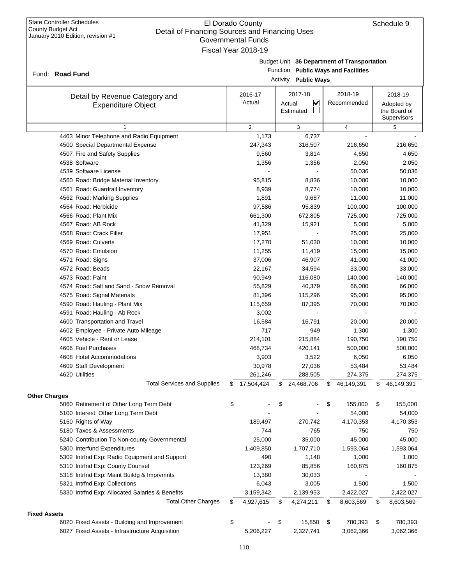### El Dorado County Detail of Financing Sources and Financing Uses Governmental Funds Fiscal Year 2018-19

|                                                             |    | Governmental Funds  |                                |                                |    |                                             |    |              |  |  |
|-------------------------------------------------------------|----|---------------------|--------------------------------|--------------------------------|----|---------------------------------------------|----|--------------|--|--|
|                                                             |    | Fiscal Year 2018-19 |                                |                                |    |                                             |    |              |  |  |
|                                                             |    |                     |                                |                                |    | Budget Unit 36 Department of Transportation |    |              |  |  |
| Fund: Road Fund                                             |    |                     | Function                       |                                |    | <b>Public Ways and Facilities</b>           |    |              |  |  |
|                                                             |    |                     | Activity<br><b>Public Ways</b> |                                |    |                                             |    |              |  |  |
|                                                             |    | 2016-17             |                                | 2017-18                        |    | 2018-19                                     |    | 2018-19      |  |  |
| Detail by Revenue Category and<br><b>Expenditure Object</b> |    | Actual              |                                | $\blacktriangledown$<br>Actual |    | Recommended                                 |    | Adopted by   |  |  |
|                                                             |    |                     |                                | Estimated                      |    |                                             |    | the Board of |  |  |
|                                                             |    |                     |                                |                                |    |                                             |    | Supervisors  |  |  |
| $\mathbf{1}$                                                |    | $\overline{2}$      |                                | 3                              |    | $\pmb{4}$                                   |    | 5            |  |  |
| 4463 Minor Telephone and Radio Equipment                    |    | 1,173               |                                | 6,737                          |    |                                             |    |              |  |  |
| 4500 Special Departmental Expense                           |    | 247,343             |                                | 316,507                        |    | 216,650                                     |    | 216,650      |  |  |
| 4507 Fire and Safety Supplies                               |    | 9,560               |                                | 3,814                          |    | 4,650                                       |    | 4,650        |  |  |
| 4538 Software                                               |    | 1,356               |                                | 1,356                          |    | 2,050                                       |    | 2,050        |  |  |
| 4539 Software License                                       |    |                     |                                |                                |    | 50,036                                      |    | 50,036       |  |  |
| 4560 Road: Bridge Material Inventory                        |    | 95,815              |                                | 8,836                          |    | 10,000                                      |    | 10,000       |  |  |
| 4561 Road: Guardrail Inventory                              |    | 8,939               |                                | 8,774                          |    | 10,000                                      |    | 10,000       |  |  |
| 4562 Road: Marking Supplies                                 |    | 1,891               |                                | 9,687                          |    | 11,000                                      |    | 11,000       |  |  |
| 4564 Road: Herbicide                                        |    | 97,586              |                                | 95,839                         |    | 100,000                                     |    | 100,000      |  |  |
| 4566 Road: Plant Mix                                        |    | 661,300             |                                | 672,805                        |    | 725,000                                     |    | 725,000      |  |  |
| 4567 Road: AB Rock                                          |    | 41,329              |                                | 15,921                         |    | 5,000                                       |    | 5,000        |  |  |
| 4568 Road: Crack Filler                                     |    | 17,951              |                                |                                |    | 25,000                                      |    | 25,000       |  |  |
| 4569 Road: Culverts                                         |    | 17,270              |                                | 51,030                         |    | 10,000                                      |    | 10,000       |  |  |
| 4570 Road: Emulsion                                         |    | 11,255              |                                | 11,419                         |    | 15,000                                      |    | 15,000       |  |  |
| 4571 Road: Signs                                            |    | 37,006              |                                | 46,907                         |    | 41,000                                      |    | 41,000       |  |  |
| 4572 Road: Beads                                            |    | 22,167              |                                | 34,594                         |    | 33,000                                      |    | 33,000       |  |  |
| 4573 Road: Paint                                            |    | 90,949              |                                | 116,080                        |    | 140,000                                     |    | 140,000      |  |  |
| 4574 Road: Salt and Sand - Snow Removal                     |    | 55,829              |                                | 40,379                         |    | 66,000                                      |    | 66,000       |  |  |
| 4575 Road: Signal Materials                                 |    | 81,396              |                                | 115,296                        |    | 95,000                                      |    | 95,000       |  |  |
| 4590 Road: Hauling - Plant Mix                              |    | 115,659             |                                | 87,395                         |    | 70,000                                      |    | 70,000       |  |  |
| 4591 Road: Hauling - Ab Rock                                |    | 3,002               |                                |                                |    |                                             |    |              |  |  |
| 4600 Transportation and Travel                              |    | 16,584              |                                | 16,791                         |    | 20,000                                      |    | 20,000       |  |  |
| 4602 Employee - Private Auto Mileage                        |    | 717                 |                                | 949                            |    | 1,300                                       |    | 1,300        |  |  |
| 4605 Vehicle - Rent or Lease                                |    | 214,101             |                                | 215,884                        |    | 190,750                                     |    | 190,750      |  |  |
| 4606 Fuel Purchases                                         |    | 468,734             |                                | 420,141                        |    | 500,000                                     |    | 500,000      |  |  |
| 4608 Hotel Accommodations                                   |    | 3,903               |                                | 3,522                          |    | 6,050                                       |    | 6,050        |  |  |
| 4609 Staff Development                                      |    | 30,978              |                                | 27,036                         |    | 53,484                                      |    | 53,484       |  |  |
| 4620 Utilities                                              |    | 261,246             |                                | 288,505                        |    | 274,375                                     |    | 274,375      |  |  |
| <b>Total Services and Supplies</b>                          | S  | 17,504,424          | \$                             | 24,468,706                     | \$ | 46,149,391                                  | S  | 46,149,391   |  |  |
| <b>Other Charges</b>                                        |    |                     |                                |                                |    |                                             |    |              |  |  |
| 5060 Retirement of Other Long Term Debt                     | \$ |                     | \$                             |                                | \$ | 155,000                                     | \$ | 155,000      |  |  |
| 5100 Interest: Other Long Term Debt                         |    |                     |                                |                                |    | 54,000                                      |    | 54,000       |  |  |
| 5160 Rights of Way                                          |    | 189,497             |                                | 270,742                        |    | 4,170,353                                   |    | 4,170,353    |  |  |
| 5180 Taxes & Assessments                                    |    | 744                 |                                | 765                            |    | 750                                         |    | 750          |  |  |
| 5240 Contribution To Non-county Governmental                |    | 25,000              |                                | 35,000                         |    | 45,000                                      |    | 45,000       |  |  |
| 5300 Interfund Expenditures                                 |    | 1,409,850           |                                | 1,707,710                      |    | 1,593,064                                   |    | 1,593,064    |  |  |
| 5302 Intrfnd Exp: Radio Equipment and Support               |    | 490                 |                                | 1,148                          |    | 1,000                                       |    | 1,000        |  |  |
| 5310 Intrfnd Exp: County Counsel                            |    | 123,269             |                                | 85,856                         |    | 160,875                                     |    | 160,875      |  |  |
| 5318 Intrind Exp: Maint Buildg & Imprvmnts                  |    | 13,380              |                                | 30,033                         |    |                                             |    |              |  |  |
| 5321 Intrfnd Exp: Collections                               |    | 6,043               |                                | 3,005                          |    | 1,500                                       |    | 1,500        |  |  |
| 5330 Intrfnd Exp: Allocated Salaries & Benefits             |    | 3,159,342           |                                | 2,139,953                      |    | 2,422,027                                   |    | 2,422,027    |  |  |
| <b>Total Other Charges</b>                                  | S  | 4,927,615           | \$                             | 4,274,211                      | \$ | 8,603,569                                   | \$ | 8,603,569    |  |  |
| <b>Fixed Assets</b>                                         |    |                     |                                |                                |    |                                             |    |              |  |  |
| 6020 Fixed Assets - Building and Improvement                | \$ |                     | \$                             | 15,850                         | \$ | 780,393                                     | \$ | 780,393      |  |  |
|                                                             |    |                     |                                |                                |    |                                             |    |              |  |  |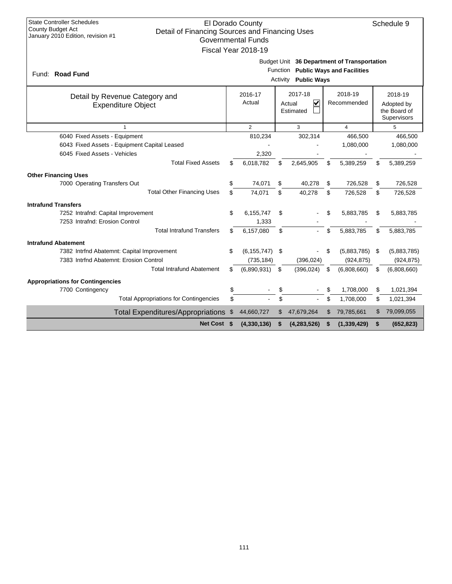| <b>State Controller Schedules</b>                                                                               |                                               | El Dorado County          |          |                                   |    |                                             |    | Schedule 9  |  |  |
|-----------------------------------------------------------------------------------------------------------------|-----------------------------------------------|---------------------------|----------|-----------------------------------|----|---------------------------------------------|----|-------------|--|--|
| <b>County Budget Act</b><br>Detail of Financing Sources and Financing Uses<br>January 2010 Edition, revision #1 |                                               |                           |          |                                   |    |                                             |    |             |  |  |
|                                                                                                                 |                                               | <b>Governmental Funds</b> |          |                                   |    |                                             |    |             |  |  |
|                                                                                                                 |                                               | Fiscal Year 2018-19       |          |                                   |    |                                             |    |             |  |  |
|                                                                                                                 |                                               |                           |          |                                   |    | Budget Unit 36 Department of Transportation |    |             |  |  |
| Fund: Road Fund                                                                                                 | <b>Public Ways and Facilities</b><br>Function |                           |          |                                   |    |                                             |    |             |  |  |
|                                                                                                                 |                                               |                           | Activity | <b>Public Ways</b>                |    |                                             |    |             |  |  |
| Detail by Revenue Category and                                                                                  |                                               | 2016-17                   |          | 2017-18                           |    | 2018-19                                     |    | 2018-19     |  |  |
| <b>Expenditure Object</b>                                                                                       |                                               | Actual                    |          | $\overline{\mathbf{v}}$<br>Actual |    | Recommended                                 |    | Adopted by  |  |  |
| Estimated                                                                                                       |                                               |                           |          |                                   |    |                                             |    |             |  |  |
| Supervisors<br>$\overline{2}$<br>3<br>$\overline{4}$<br>5<br>1                                                  |                                               |                           |          |                                   |    |                                             |    |             |  |  |
| 6040 Fixed Assets - Equipment                                                                                   |                                               | 810,234                   |          | 302,314                           |    | 466,500                                     |    | 466,500     |  |  |
| 6043 Fixed Assets - Equipment Capital Leased                                                                    |                                               |                           |          |                                   |    | 1,080,000                                   |    | 1,080,000   |  |  |
| 6045 Fixed Assets - Vehicles                                                                                    |                                               | 2,320                     |          |                                   |    |                                             |    |             |  |  |
| <b>Total Fixed Assets</b>                                                                                       | \$                                            | 6,018,782                 | \$       | 2,645,905                         | \$ | 5,389,259                                   | \$ | 5,389,259   |  |  |
| <b>Other Financing Uses</b>                                                                                     |                                               |                           |          |                                   |    |                                             |    |             |  |  |
| 7000 Operating Transfers Out                                                                                    | \$                                            | 74,071                    | \$       | 40,278                            | \$ | 726.528                                     | \$ | 726,528     |  |  |
| <b>Total Other Financing Uses</b>                                                                               | \$                                            | 74,071                    | \$       | 40,278                            | \$ | 726,528                                     | \$ | 726,528     |  |  |
| <b>Intrafund Transfers</b>                                                                                      |                                               |                           |          |                                   |    |                                             |    |             |  |  |
| 7252 Intrafnd: Capital Improvement                                                                              | \$                                            | 6,155,747                 | \$       |                                   | \$ | 5,883,785                                   | \$ | 5,883,785   |  |  |
| 7253 Intrafnd: Erosion Control                                                                                  |                                               | 1,333                     |          |                                   |    |                                             |    |             |  |  |
| <b>Total Intrafund Transfers</b>                                                                                | \$                                            | 6.157.080                 | \$       |                                   | \$ | 5.883.785                                   | \$ | 5,883,785   |  |  |
| <b>Intrafund Abatement</b>                                                                                      |                                               |                           |          |                                   |    |                                             |    |             |  |  |
| 7382 Intrfnd Abatemnt: Capital Improvement                                                                      | \$                                            | (6, 155, 747)             | \$       |                                   | \$ | (5,883,785)                                 | \$ | (5,883,785) |  |  |
| 7383 Intrfnd Abatemnt: Erosion Control                                                                          |                                               | (735, 184)                |          | (396, 024)                        |    | (924, 875)                                  |    | (924, 875)  |  |  |
| <b>Total Intrafund Abatement</b>                                                                                | \$                                            | (6,890,931)               | \$       | (396, 024)                        | \$ | (6,808,660)                                 | \$ | (6,808,660) |  |  |
| <b>Appropriations for Contingencies</b>                                                                         |                                               |                           |          |                                   |    |                                             |    |             |  |  |
| 7700 Contingency                                                                                                | \$                                            |                           | \$       |                                   | \$ | 1,708,000                                   | \$ | 1,021,394   |  |  |
| <b>Total Appropriations for Contingencies</b>                                                                   | \$                                            |                           | \$       |                                   | \$ | 1,708,000                                   | \$ | 1,021,394   |  |  |
| <b>Total Expenditures/Appropriations</b>                                                                        | - \$                                          | 44,660,727                | \$       | 47,679,264                        | \$ | 79,785,661                                  | S  | 79,099,055  |  |  |
| Net Cost \$                                                                                                     |                                               | (4,330,136)               | S        | (4, 283, 526)                     | \$ | (1, 339, 429)                               | \$ | (652, 823)  |  |  |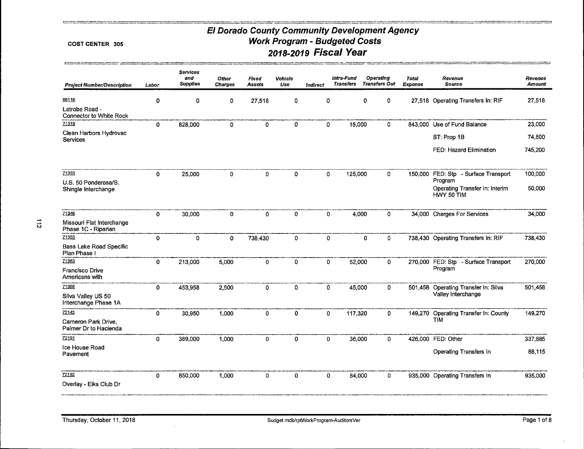#### COST CENTER 305

 $\blacksquare$ 

| <b>Project Number/Description</b>               | Labor        | <b>Services</b><br>and<br><b>Supplies</b> | <b>Other</b><br><b>Charges</b> | Fixed<br><b>Assets</b> | Vehicle<br>Use | <b>Indirect</b> | Intra-Fund<br><b>Transfers</b> |             | Operating<br><b>Transfers Out</b> | <b>Total</b><br>Expense | Revenue<br><b>Source</b>                        | Revenue<br>Amount |
|-------------------------------------------------|--------------|-------------------------------------------|--------------------------------|------------------------|----------------|-----------------|--------------------------------|-------------|-----------------------------------|-------------------------|-------------------------------------------------|-------------------|
| 66116                                           | 0            | 0                                         | 0                              | 27,518                 | 0              | 0               |                                | $\mathbf 0$ | 0                                 |                         | 27,518 Operating Transfers In: RIF              | 27,518            |
| Latrobe Road -<br>Connector to White Rock       |              |                                           |                                |                        |                |                 |                                |             |                                   |                         |                                                 |                   |
| 71319                                           | 0            | 828,000                                   | 0                              | 0                      | 0              | 0               |                                | 15,000      | 0                                 |                         | 843,000 Use of Fund Balance                     | 23,000            |
| Clean Harbors Hydrovac<br>Services              |              |                                           |                                |                        |                |                 |                                |             |                                   |                         | ST: Prop 1B                                     | 74,800            |
|                                                 |              |                                           |                                |                        |                |                 |                                |             |                                   |                         | FED: Hazard Elimination                         | 745,200           |
| 71333                                           | $\mathbf 0$  | 25,000                                    | 0                              | 0                      | $\mathbf 0$    | 0               |                                | 125,000     | $\mathbf{0}$                      |                         | 150,000 FED: Stp - Surface Transport<br>Program | 100,000           |
| U.S. 50 Ponderosa/S.<br>Shingle Interchange     |              |                                           |                                |                        |                |                 |                                |             |                                   |                         | Operating Transfer In: Interim<br>HWY 50 TIM    | 50,000            |
| 71346                                           | 0            | 30,000                                    | $\mathbf 0$                    | $\Omega$               | $\mathbf 0$    | $\mathbf{0}$    |                                | 4,000       | $\mathbf 0$                       |                         | 34,000 Charges For Services                     | 34,000            |
| Missouri Flat Interchange<br>Phase 1C - Ripanan |              |                                           |                                |                        |                |                 |                                |             |                                   |                         |                                                 |                   |
| 71353                                           | 0            | 0                                         | 0                              | 738,430                | 0              | 0               |                                | 0           | 0                                 |                         | 738,430 Operating Transfers In: RIF             | 738,430           |
| Bass Lake Road Specific<br>Plan Phase I         |              |                                           |                                |                        |                |                 |                                |             |                                   |                         |                                                 |                   |
| 71363                                           | 0            | 213,000                                   | 5,000                          | 0                      | 0              |                 | 0                              | 52,000      | 0                                 |                         | 270,000 FED: Stp - Surface Transport            | 270,000           |
| Francisco Drive<br>Americans with               |              |                                           |                                |                        |                |                 |                                |             |                                   |                         | Program                                         |                   |
| 71368                                           | $\mathbf 0$  | 453,958                                   | 2,500                          | 0                      | 0              |                 | 0                              | 45,000      | $\mathbf 0$                       |                         | 501,458 Operating Transfer In: Silva            | 501,458           |
| Silva Valley US 50<br>Interchange Phase 1A      |              |                                           |                                |                        |                |                 |                                |             |                                   |                         | Valley Interchange                              |                   |
| 72143                                           | 0            | 30,950                                    | 1,000                          | 0                      | 0              |                 | 0                              | 117,320     | 0                                 |                         | 149,270 Operating Transfer In: County           | 149,270           |
| Cameron Park Drive.<br>Palmer Dr to Hacienda    |              |                                           |                                |                        |                |                 |                                |             |                                   |                         | TIM                                             |                   |
| 72191                                           | 0            | 389,000                                   | 1,000                          | 0                      | 0              | 0               |                                | 36,000      | 0                                 |                         | 426,000 FED: Other                              | 337,885           |
| lce House Road<br>Pavement                      |              |                                           |                                |                        |                |                 |                                |             |                                   |                         | Operating Transfers In                          | 88,115            |
| 72192                                           | $\mathbf{o}$ | 850,000                                   | 1,000                          | 0                      | 0              |                 | 0                              | 84,000      | 0                                 |                         | 935,000 Operating Transfers In                  | 935,000           |
| Overlay - Eiks Club Dr                          |              |                                           |                                |                        |                |                 |                                |             |                                   |                         |                                                 |                   |
|                                                 |              |                                           |                                |                        |                |                 |                                |             |                                   |                         |                                                 |                   |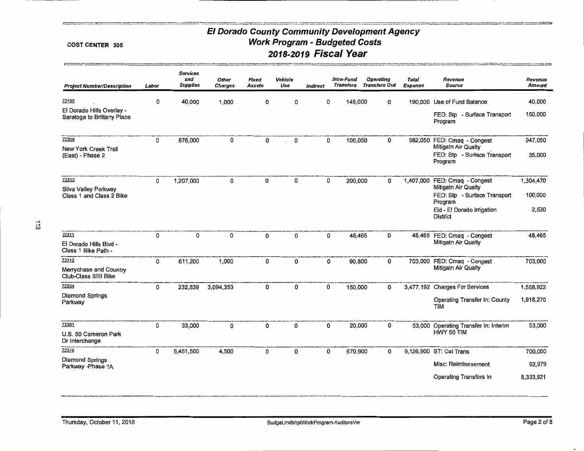#### COST CENTER 305

ments.

 $\ddot{5}$ 

| <b>Project Number/Description</b>                       | Labor | Services<br>and<br><b>Supplies</b> | Other<br>Charges | Fixed<br>Assets | Vehicle<br>Use | Indirect | Intra-Fund<br>Transfers |         | Operating<br>Transfers Out | <b>Total</b><br>Expense | Revenue<br>Source                       | Revenue<br>Amount |
|---------------------------------------------------------|-------|------------------------------------|------------------|-----------------|----------------|----------|-------------------------|---------|----------------------------|-------------------------|-----------------------------------------|-------------------|
| 72193                                                   | 0     | 40,000                             | 1,000            | 0               | 0              | 0        |                         | 149,000 | 0                          |                         | 190,000 Use of Fund Balance             | 40,000            |
| El Dorado Hills Overlay -<br>Saratoga to Brittany Place |       |                                    |                  |                 |                |          |                         |         |                            |                         | FED: Stp - Surface Transport<br>Program | 150,000           |
| 72308                                                   | 0     | 876,000                            | 0                | 0               | 0              | 0        |                         | 106,050 | 0                          |                         | 982,050 FED: Cmag - Congest             | 947,050           |
| New York Creek Trail                                    |       |                                    |                  |                 |                |          |                         |         |                            |                         | Mitigatn Air Qualty                     |                   |
| (East) - Phase 2                                        |       |                                    |                  |                 |                |          |                         |         |                            |                         | FED: Stp - Surface Transport<br>Program | 35,000            |
| 72310                                                   | 0     | 1,207,000                          | 0                | 0               | 0              | 0        |                         | 200,000 | 0                          | 1,407,000               | FED: Cmaq - Congest                     | 1,304,470         |
| Silva Valley Parkway                                    |       |                                    |                  |                 |                |          |                         |         |                            |                         | Mitigatn Air Qualty                     |                   |
| Class 1 and Class 2 Bike                                |       |                                    |                  |                 |                |          |                         |         |                            |                         | FED: Stp - Surface Transport<br>Program | 100,000           |
|                                                         |       |                                    |                  |                 |                |          |                         |         |                            |                         | Eid - El Dorado Irrigation<br>District  | 2,530             |
| 72311                                                   | 0     | 0                                  | 0                | 0               | 0              | 0        |                         | 48,465  | 0                          |                         | 48,465 FED: Cmaq - Congest              | 48,465            |
| El Dorado Hills Blvd -<br>Class 1 Bike Path -           |       |                                    |                  |                 |                |          |                         |         |                            |                         | Mitigath Air Qualty                     |                   |
| 72312                                                   | 0     | 611,200                            | 1,000            | 0               | 0              | 0        |                         | 90,800  | 0                          | 703,000                 | FED: Cmaq - Congest                     | 703,000           |
| Merrychase and Country<br>Club-Class II/III Bike        |       |                                    |                  |                 |                |          |                         |         |                            |                         | Mitigath Air Qualty                     |                   |
| 72334                                                   | 0     | 232,839                            | 3,094,353        | 0               | 0              | 0        |                         | 150,000 | 0                          |                         | 3,477,192 Charges For Services          | 1,558,922         |
| Diamond Springs<br>Parkway                              |       |                                    |                  |                 |                |          |                         |         |                            |                         | Operating Transfer In: County<br>TIM    | 1,918,270         |
| 72361                                                   | 0     | 33,000                             | 0                | 0               | 0              | 0        |                         | 20,000  | 0                          |                         | 53,000 Operating Transfer In: Interim   | 53,000            |
| U.S. 50 Cameron Park<br>Dr Interchange                  |       |                                    |                  |                 |                |          |                         |         |                            |                         | HWY 50 TIM                              |                   |
| 72375                                                   | 0     | 8,451,500                          | 4,500            | 0               | 0              | 0        |                         | 670,900 | 0                          |                         | 9,126,900 ST: Cal Trans                 | 700,000           |
| Diamond Springs<br>Parkway - Phase 1A                   |       |                                    |                  |                 |                |          |                         |         |                            |                         | Misc: Reimbursement                     | 92,979            |
|                                                         |       |                                    |                  |                 |                |          |                         |         |                            |                         | Operating Transfers In                  | 8,333,921         |
|                                                         |       |                                    |                  |                 |                |          |                         |         |                            |                         |                                         |                   |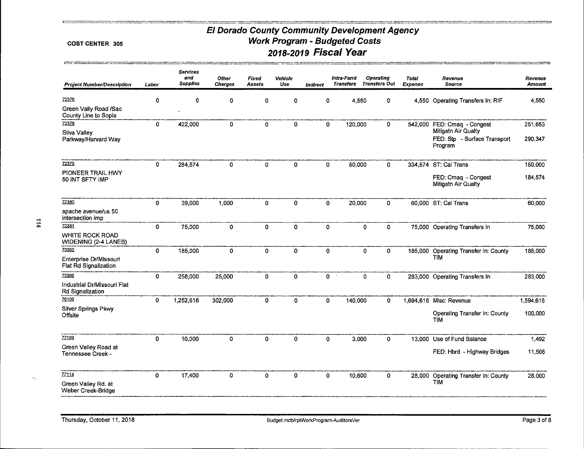#### **COST CENTER 305**

| <b>Project Number/Description</b>                     | Labor        | <b>Services</b><br>and<br><b>Supplies</b> | Other<br><b>Charges</b> | Fixed<br>Assets | Vehicle<br>Use | Indirect     | Intra-Fund<br><b>Transfers</b> |         | Operating<br><b>Transfers Out</b> | <b>Total</b><br>Expense | Revenue<br><b>Source</b>                                       | Revenue<br><b>Amount</b> |
|-------------------------------------------------------|--------------|-------------------------------------------|-------------------------|-----------------|----------------|--------------|--------------------------------|---------|-----------------------------------|-------------------------|----------------------------------------------------------------|--------------------------|
| 72376                                                 | $\mathbf{0}$ | $\Omega$                                  | 0                       | 0               | $\Omega$       | 0            |                                | 4,550   | 0                                 |                         | 4,550 Operating Transfers In: RIF                              | 4,550                    |
| Green Vally Road /Sac<br>County Line to Sopia         |              |                                           |                         |                 |                |              |                                |         |                                   |                         |                                                                |                          |
| 72378                                                 | $\mathbf 0$  | 422,000                                   | 0                       | $\mathbf{0}$    | 0              | $\mathbf{0}$ |                                | 120,000 | 0                                 | 542,000                 | FED: Cmaq - Congest                                            | 251,653                  |
| Silva Valley<br>Parkway/Harvard Way                   |              |                                           |                         |                 |                |              |                                |         |                                   |                         | Mitigatn Air Qualty<br>FED: Stp - Surface Transport<br>Program | 290,347                  |
| 72379                                                 | 0            | 284,574                                   | $\mathbf 0$             | $\mathbf 0$     | 0              | 0            |                                | 50,000  | 0                                 |                         | 334,574 ST: Cal Trans                                          | 150,000                  |
| PIONEER TRAIL HWY<br>50 INT SFTY IMP                  |              |                                           |                         |                 |                |              |                                |         |                                   |                         | FED: Cmaq - Congest<br>Mitigatn Air Qualty                     | 184,574                  |
| 72380                                                 | $\mathbf 0$  | 39,000                                    | 1,000                   | $\mathbf{0}$    | 0              | $\mathbf 0$  |                                | 20,000  | 0                                 |                         | 60,000 ST: Cal Trans                                           | 60,000                   |
| apache avenue/us 50<br>intersection imp               |              |                                           |                         |                 |                |              |                                |         |                                   |                         |                                                                |                          |
| 72381                                                 | $\mathbf 0$  | 75,000                                    | 0                       | $\mathbf 0$     | 0              | 0            |                                |         | $\mathbf 0$<br>0                  |                         | 75,000 Operating Transfers In                                  | 75,000                   |
| <b>WHITE ROCK ROAD</b><br><b>WIDENING (2-4 LANES)</b> |              |                                           |                         |                 |                |              |                                |         |                                   |                         |                                                                |                          |
| 73365                                                 | $\mathbf 0$  | 185,000                                   | 0                       | $\mathbf 0$     | 0              | 0            |                                |         | $\mathbf{0}$<br>0                 | 185,000                 | Operating Transfer In: County                                  | 185,000                  |
| Enterprise Dr/Missouri<br>Flat Rd Signalization       |              |                                           |                         |                 |                |              |                                |         |                                   |                         | <b>TIM</b>                                                     |                          |
| 73366                                                 | $\mathbf 0$  | 258,000                                   | 25,000                  | $\mathbf 0$     | 0              |              | 0                              |         | $\mathbf 0$<br>0                  |                         | 283,000 Operating Transfers In                                 | 283,000                  |
| Industrial Dr/Missouri Flat<br>Rd Signalization       |              |                                           |                         |                 |                |              |                                |         |                                   |                         |                                                                |                          |
| 76108                                                 | $\mathbf{0}$ | 1,252,616                                 | 302,000                 | $\mathbf 0$     | 0              | 0            |                                | 140,000 | 0                                 |                         | 1,694,616 Misc: Revenue                                        | 1,594,616                |
| Silver Springs Pkwy<br>Offsite                        |              |                                           |                         |                 |                |              |                                |         |                                   |                         | Operating Transfer In: County<br><b>TIM</b>                    | 100,000                  |
| 77109                                                 | $\mathbf 0$  | 10,000                                    | 0                       | $\mathbf 0$     | $\mathbf 0$    | $\mathbf 0$  |                                | 3,000   | $\mathbf 0$                       |                         | 13,000 Use of Fund Balance                                     | 1,492                    |
| Green Valley Road at<br>Tennessee Creek -             |              |                                           |                         |                 |                |              |                                |         |                                   |                         | FED: Hbrd - Highway Bridges                                    | 11,508                   |
| 77114                                                 | $\mathbf 0$  | 17,400                                    | 0                       | 0               | $\mathbf{0}$   | 0            |                                | 10,600  | $\mathbf 0$                       |                         | 28,000 Operating Transfer In: County                           | 28,000                   |
| Green Valley Rd. at<br>Weber Creek-Bridge             |              |                                           |                         |                 |                |              |                                |         |                                   |                         | TIM                                                            |                          |

 $\sim$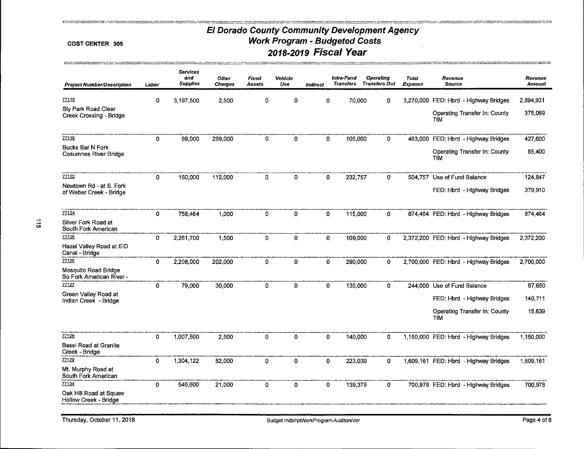#### COST CENTER 305

 $\sim$ 

|                                                         |              | <b>Services</b><br>and | Other          | Fixed       | Vehicle      |              | Intra-Fund       | <b>Operating</b>     | <b>Total</b> | Revenue                                     | Revenue   |
|---------------------------------------------------------|--------------|------------------------|----------------|-------------|--------------|--------------|------------------|----------------------|--------------|---------------------------------------------|-----------|
| <b>Project Number/Description</b>                       | Labor        | <b>Supplies</b>        | <b>Charges</b> | Assets      | Use          | indirect     | <b>Transfers</b> | <b>Transfers Out</b> | Expense      | <b>Source</b>                               | Amount    |
| 77115                                                   | $\mathbf 0$  | 3.197.500              | 2,500          | 0           | 0            | 0            |                  | 70,000<br>0          | 3,270,000    | FED: Hbrd - Highway Bridges                 | 2,894,931 |
| Sly Park Road Clear<br>Creek Crossing - Bridge          |              |                        |                |             |              |              |                  |                      |              | Operating Transfer In: County<br><b>TIM</b> | 375,069   |
| <b>ZZ116</b>                                            | $\mathbf{0}$ | 89,000                 | 289,000        | 0           | 0            | $\mathbf{0}$ | 105,000          | 0                    | 483,000      | FED: Hbrd - Highway Bridges                 | 427,600   |
| <b>Bucks Bar N Fork</b><br><b>Cosumnes River Bridge</b> |              |                        |                |             |              |              |                  |                      |              | Operating Transfer In: County<br><b>TIM</b> | 55,400    |
| 77122                                                   | $\Omega$     | 160,000                | 112,000        | 0           | 0            | 0            | 232,757          | 0                    |              | 504,757 Use of Fund Balance                 | 124,847   |
| Newtown Rd - at S. Fork<br>of Weber Creek - Bridge      |              |                        |                |             |              |              |                  |                      |              | FED: Hbrd - Highway Bridges                 | 379,910   |
| 77124                                                   | 0            | 758,464                | 1,000          | 0           | $\mathbf{0}$ | $\mathbf 0$  | 115,000          | 0                    |              | 874,464 FED: Hbrd - Highway Bridges         | 874,464   |
| Silver Fork Road at<br>South Fork American              |              |                        |                |             |              |              |                  |                      |              |                                             |           |
| 77125                                                   | $\circ$      | 2,261,700              | 1,500          | $\mathbf 0$ | 0            | $\mathbf 0$  | 109,000          | 0                    |              | 2,372,200 FED: Hbrd - Highway Bridges       | 2,372,200 |
| Hazel Valley Road at EID<br>Canal - Bridge              |              |                        |                |             |              |              |                  |                      |              |                                             |           |
| 77126                                                   | $\mathbf 0$  | 2,208,000              | 202,000        | 0           | 0            | $\mathbf 0$  | 290,000          | 0                    |              | 2,700,000 FED: Hbrd - Highway Bridges       | 2,700,000 |
| Mosquito Road Bridge<br>So Fork American River -        |              |                        |                |             |              |              |                  |                      |              |                                             |           |
| 77127                                                   | 0            | 79,000                 | 30,000         | 0           | $\Omega$     | 0            | 135,000          | 0                    |              | 244,000 Use of Fund Balance                 | 87,650    |
| Green Valley Road at<br>Indian Creek - Bridge           |              |                        |                |             |              |              |                  |                      |              | FED: Hbrd - Highway Bridges                 | 140,711   |
|                                                         |              |                        |                |             |              |              |                  |                      |              | Operating Transfer In: County<br><b>TIM</b> | 15,639    |
| 77128                                                   | 0            | 1,007,500              | 2,500          | 0           | 0            | 0            | 140,000          | 0                    |              | 1,150,000 FED: Hbrd - Highway Bridges       | 1,150,000 |
| <b>Bassi Road at Granite</b><br>Creek - Bridge          |              |                        |                |             |              |              |                  |                      |              |                                             |           |
| 77129                                                   | $\mathbf 0$  | 1,304,122              | 82,000         | 0           | 0            | $\mathbf 0$  | 223,039          | 0                    |              | 1,609,161 FED: Hbrd - Highway Bridges       | 1,609,161 |
| Mt. Murphy Road at<br>South Fork American               |              |                        |                |             |              |              |                  |                      |              |                                             |           |
| 77134                                                   | $\mathbf 0$  | 540,600                | 21,000         | 0           | 0            | $\mathbf{0}$ | 139,378          | 0                    |              | 700,978 FED: Hbrd - Highway Bridges         | 700,978   |
| Oak Hill Road at Squaw<br>Hollow Creek - Bridge         |              |                        |                |             |              |              |                  |                      |              |                                             |           |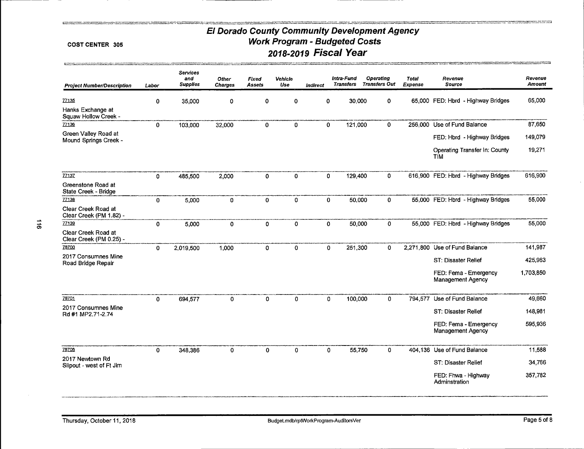#### COST CENTER 305

**Experience and Construction Construction** 

| <b>Project Number/Description</b>              | Labor        | Services<br>and<br><b>Supplies</b> | Other<br><b>Charges</b> | Fixed<br>Assets | Vehicle<br>Use | Indirect    | Intra-Fund<br><b>Transfers</b> | Operating<br><b>Transfers Out</b> | <b>Total</b><br>Expense | Revenue<br>Source                                 | Revenue<br>Amount |
|------------------------------------------------|--------------|------------------------------------|-------------------------|-----------------|----------------|-------------|--------------------------------|-----------------------------------|-------------------------|---------------------------------------------------|-------------------|
| 77135                                          | $\mathbf 0$  | 35,000                             | 0                       | 0               | 0              | 0           |                                | 30,000<br>$\mathbf{0}$            |                         | 65,000 FED: Hbrd - Highway Bridges                | 65,000            |
| Hanks Exchange at<br>Squaw Hollow Creek -      |              |                                    |                         |                 |                |             |                                |                                   |                         |                                                   |                   |
| 77136                                          | $\mathbf 0$  | 103,000                            | 32,000                  | 0               | 0              | $\mathbf 0$ |                                | $\mathbf 0$<br>121,000            |                         | 256,000 Use of Fund Balance                       | 87,650            |
| Green Valley Road at<br>Mound Springs Creek -  |              |                                    |                         |                 |                |             |                                |                                   |                         | FED: Hbrd - Highway Bridges                       | 149,079           |
|                                                |              |                                    |                         |                 |                |             |                                |                                   |                         | Operating Transfer In: County<br>TIM              | 19,271            |
| 77137                                          | $\mathbf{0}$ | 485,500                            | 2,000                   | $\mathbf 0$     | 0              | 0           |                                | 0<br>129,400                      |                         | 616,900 FED: Hbrd - Highway Bridges               | 616,900           |
| Greenstone Road at<br>State Creek - Bridge     |              |                                    |                         |                 |                |             |                                |                                   |                         |                                                   |                   |
| 77138                                          | 0            | 5,000                              | 0                       | $\mathbf 0$     | 0              | $\mathbf 0$ |                                | $\mathbf 0$<br>50,000             |                         | 55,000 FED: Hbrd - Highway Bridges                | 55,000            |
| Clear Creek Road at<br>Clear Creek (PM 1.82) - |              |                                    |                         |                 |                |             |                                |                                   |                         |                                                   |                   |
| 77139                                          | $\mathbf{0}$ | 5,000                              | $\mathbf{0}$            | 0               | $\mathbf{0}$   | $\mathbf 0$ |                                | 50,000<br>$\mathbf{0}$            |                         | 55,000 FED: Hbrd - Highway Bridges                | 55,000            |
| Clear Creek Road at<br>Clear Creek (PM 0.25) - |              |                                    |                         |                 |                |             |                                |                                   |                         |                                                   |                   |
| 78700                                          | $\mathbf{0}$ | 2,019.500                          | 1,000                   | 0               | 0              |             | $\mathbf{0}$                   | 251,300<br>0                      | 2,271,800               | Use of Fund Balance                               | 141,987           |
| 2017 Consumnes Mine<br>Road Bridge Repair      |              |                                    |                         |                 |                |             |                                |                                   |                         | ST: Disaster Relief                               | 425,963           |
|                                                |              |                                    |                         |                 |                |             |                                |                                   |                         | FED: Fema - Emergency<br><b>Management Agency</b> | 1,703,850         |
| 78701                                          | $\mathbf{0}$ | 694,577                            | $\mathbf{0}$            | 0               | $\mathbf{0}$   |             | $\mathbf{0}$                   | 100,000<br>$\mathbf{0}$           | 794.577                 | Use of Fund Balance                               | 49,660            |
| 2017 Consumnes Mine<br>Rd #1 MP2.71-2.74       |              |                                    |                         |                 |                |             |                                |                                   |                         | ST: Disaster Relief                               | 148,981           |
|                                                |              |                                    |                         |                 |                |             |                                |                                   |                         | FED: Fema - Emergency<br>Management Agency        | 595,936           |
| 78706                                          | $\mathbf 0$  | 348,386                            | 0                       | 0               | 0              |             | 0                              | 55,750<br>$\mathbf{0}$            |                         | 404,136 Use of Fund Balance                       | 11,588            |
| 2017 Newtown Rd<br>Slipout - west of Ft Jim    |              |                                    |                         |                 |                |             |                                |                                   |                         | ST: Disaster Relief                               | 34,766            |
|                                                |              |                                    |                         |                 |                |             |                                |                                   |                         | FED: Fhwa - Highway<br>Adminstration              | 357,782           |
|                                                |              |                                    |                         |                 |                |             |                                |                                   |                         |                                                   |                   |

.<br>«Картыру менен келден серде продосту стендинин интернет мерекеттерин компьютерин серде суботную история менен<br>«Картыру менен современно подоблеждания современной современной советственной водину постояние советственной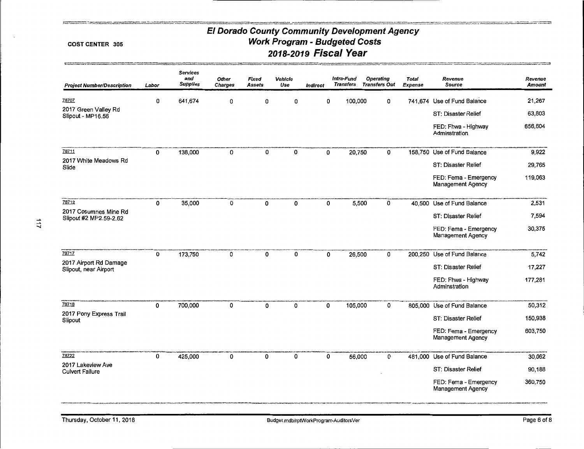#### COST CENTER 305

# El Dorado County Community Development Agency **Work Program - Budgeted Costs** 2018-2019 Fiscal Year

| <b>Project Number/Description</b>               | Labor        | <b>Services</b><br>and<br><b>Supplies</b> | Other<br>Charges | Fixed<br>Assets | Vehicle<br>Use | <b>Indirect</b> | Intra-Fund<br><b>Transfers</b> | <b>Operating</b><br><b>Transfers Out</b> | Total<br><b>Expense</b> | Revenue<br><b>Source</b>                          | Revenue<br><b>Amount</b> |
|-------------------------------------------------|--------------|-------------------------------------------|------------------|-----------------|----------------|-----------------|--------------------------------|------------------------------------------|-------------------------|---------------------------------------------------|--------------------------|
| 78707                                           | 0            | 641,674                                   | 0                | 0               | 0              | 0               | 100,000                        | 0                                        |                         | 741.674 Use of Fund Balance                       | 21,267                   |
| 2017 Green Valley Rd<br>Slipout - MP16.56       |              |                                           |                  |                 |                |                 |                                |                                          |                         | ST: Disaster Relief                               | 63,803                   |
|                                                 |              |                                           |                  |                 |                |                 |                                |                                          |                         | FED: Fhwa - Highway<br>Adminstration              | 656,604                  |
| 78711                                           | 0            | 138,000                                   | 0                | 0               | 0              | 0               | 20,750                         | 0                                        |                         | 158,750 Use of Fund Balance                       | 9,922                    |
| 2017 White Meadows Rd<br>Slide                  |              |                                           |                  |                 |                |                 |                                |                                          |                         | ST: Disaster Relief                               | 29,765                   |
|                                                 |              |                                           |                  |                 |                |                 |                                |                                          |                         | FED: Fema - Emergency<br><b>Management Agency</b> | 119,063                  |
| 78712                                           | 0            | 35,000                                    | 0                | 0               | 0              | 0               |                                | 5,500<br>0                               |                         | 40,500 Use of Fund Balance                        | 2,531                    |
| 2017 Cosumnes Mine Rd<br>Slipout #2 MP2.59-2.62 |              |                                           |                  |                 |                |                 |                                |                                          |                         | ST: Disaster Relief                               | 7,594                    |
|                                                 |              |                                           |                  |                 |                |                 |                                |                                          |                         | FED: Fema - Emergency<br><b>Management Agency</b> | 30,375                   |
| 78717                                           | 0            | 173,750                                   | 0                | 0               | 0              | 0               | 26,500                         | 0                                        |                         | 200,250 Use of Fund Balance                       | 5,742                    |
| 2017 Airport Rd Damage<br>Slipout, near Airport |              |                                           |                  |                 |                |                 |                                |                                          |                         | <b>ST: Disaster Relief</b>                        | 17,227                   |
|                                                 |              |                                           |                  |                 |                |                 |                                |                                          |                         | FED: Fhwa - Highway<br>Adminstration              | 177,281                  |
| 78718                                           | 0            | 700,000                                   | 0                | 0               | 0              | 0               | 105,000                        | 0                                        | 805,000                 | Use of Fund Balance                               | 50,312                   |
| 2017 Pony Express Trail<br>Slipout              |              |                                           |                  |                 |                |                 |                                |                                          |                         | ST: Disaster Relief                               | 150,938                  |
|                                                 |              |                                           |                  |                 |                |                 |                                |                                          |                         | FED: Fema - Emergency<br><b>Management Agency</b> | 603,750                  |
| 78722                                           | $\mathbf{0}$ | 425,000                                   | 0                | $\Omega$        | 0              | 0               | 56,000                         | 0                                        |                         | 481,000 Use of Fund Balance                       | 30,062                   |
| 2017 Lakeview Ave<br><b>Culvert Failure</b>     |              |                                           |                  |                 |                |                 |                                |                                          |                         | ST: Disaster Relief                               | 90,188                   |
|                                                 |              |                                           |                  |                 |                |                 |                                |                                          |                         | FED: Fema - Emergency<br>Management Agency        | 360,750                  |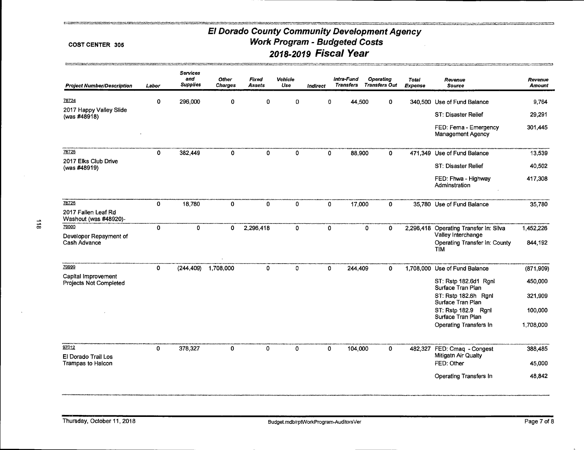#### COST CENTER 305

tić.

| <b>Project Number/Description</b>               | Labor       | <b>Services</b><br>and<br><b>Supplies</b> | <b>Other</b><br><b>Charges</b> | Fixed<br><b>Assets</b> | Vehicle<br>Use | Indirect    | Intra-Fund<br><b>Transfers</b> | <b>Operating</b><br><b>Transfers Out</b> | <b>Total</b><br><b>Expense</b> | Revenue<br><b>Source</b>                           | Revenue<br><b>Amount</b> |
|-------------------------------------------------|-------------|-------------------------------------------|--------------------------------|------------------------|----------------|-------------|--------------------------------|------------------------------------------|--------------------------------|----------------------------------------------------|--------------------------|
| 78724                                           | $\mathbf 0$ | 296,000                                   | 0                              | 0                      | 0              | 0           | 44,500                         | 0                                        |                                | 340,500 Use of Fund Balance                        | 9.764                    |
| 2017 Happy Valley Slide<br>(was #48918)         |             |                                           |                                |                        |                |             |                                |                                          |                                | ST: Disaster Relief                                | 29,291                   |
|                                                 |             |                                           |                                |                        |                |             |                                |                                          |                                | FED: Fema - Emergency<br>Management Agency         | 301,445                  |
| 78725                                           | 0           | 382,449                                   | 0                              | $\mathbf 0$            | $\mathbf 0$    | 0           | 88,900                         | 0                                        | 471.349                        | Use of Fund Balance                                | 13,539                   |
| 2017 Elks Club Drive<br>(was #48919)            |             |                                           |                                |                        |                |             |                                |                                          |                                | ST: Disaster Relief                                | 40,502                   |
|                                                 |             |                                           |                                |                        |                |             |                                |                                          |                                | FED: Fhwa - Highway<br>Adminstration               | 417,308                  |
| 78726                                           | 0           | 18,780                                    | 0                              | $\mathbf 0$            | $\mathbf 0$    | 0           | 17,000                         | $\mathbf{0}$                             |                                | 35,780 Use of Fund Balance                         | 35,780                   |
| 2017 Fallen Leaf Rd<br>Washout (was #48920)-    |             |                                           |                                |                        |                |             |                                |                                          |                                |                                                    |                          |
| 79000<br>Developer Repayment of                 | $\mathbf 0$ | 0                                         | 0                              | 2,296,418              | $\mathbf 0$    | $\mathbf 0$ |                                | $\mathbf 0$<br>$\mathbf{0}$              | 2,296,418                      | Operating Transfer In: Silva<br>Valley Interchange | 1,452,226                |
| Cash Advance                                    |             |                                           |                                |                        |                |             |                                |                                          |                                | Operating Transfer In: County<br><b>TIM</b>        | 844,192                  |
| 79999                                           | $\mathbf 0$ | (244, 409)                                | 1,708,000                      | 0                      | $\circ$        | 0           | 244,409                        | $\mathbf{0}$                             | 1,708,000                      | Use of Fund Balance                                | (871, 909)               |
| Capital Improvement<br>Projects Not Completed   |             |                                           |                                |                        |                |             |                                |                                          |                                | ST: Rstp 182.6d1 Rgnl<br>Surface Tran Plan         | 450,000                  |
|                                                 |             |                                           |                                |                        |                |             |                                |                                          |                                | ST: Rstp 182.6h Rgnl<br>Surface Tran Plan          | 321,909                  |
|                                                 |             |                                           |                                |                        |                |             |                                |                                          |                                | ST: Rstp 182.9 Rgnl<br>Surface Tran Plan           | 100,000                  |
|                                                 |             |                                           |                                |                        |                |             |                                |                                          |                                | Operating Transfers In                             | 1,708,000                |
| 97012                                           | $\mathbf 0$ | 378,327                                   | 0                              | $\pmb{0}$              | $\mathbf 0$    | $\mathbf 0$ | 104,000                        | 0                                        | 482,327                        | FED: Cmaq - Congest                                | 388,485                  |
| El Dorado Trail Los<br><b>Trampas to Halcon</b> |             |                                           |                                |                        |                |             |                                |                                          |                                | Mitigatn Air Qualty<br>FED: Other                  | 45,000                   |
|                                                 |             |                                           |                                |                        |                |             |                                |                                          |                                | Operating Transfers In                             | 48,842                   |

Thursday, October 11, 2018

*<u>Contractor Communications of the American State Communications (Section 2001)</u>*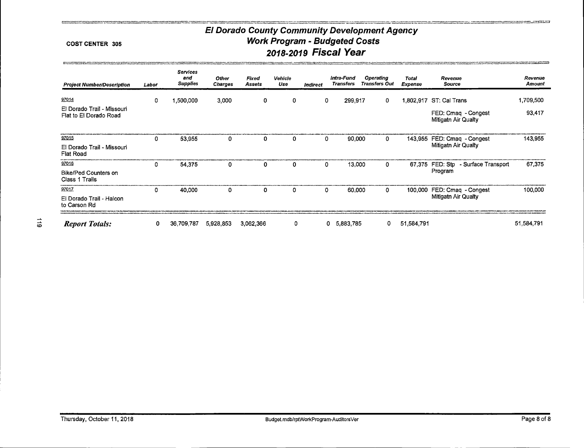#### **COST CENTER 305**

**STATE ARMS** 

 $\mathbf{r}$ 

| <b>Project Number/Description</b>                    | Labor | <b>Services</b><br>and<br><b>Supplies</b> | <b>Other</b><br><b>Charges</b> | Fixed<br>Assets | Vehicle<br>Use | Indirect | Intra-Fund<br><b>Transfers</b> | Operating<br><b>Transfers Out</b> | Total<br>Expense | Revenue<br><b>Source</b>                   | Revenue<br>Amount |
|------------------------------------------------------|-------|-------------------------------------------|--------------------------------|-----------------|----------------|----------|--------------------------------|-----------------------------------|------------------|--------------------------------------------|-------------------|
| 97014                                                | 0     | 1,500,000                                 | 3,000                          | 0               | 0              | 0        | 299,917                        | $\mathbf{0}$                      |                  | 1,802,917 ST: Cal Trans                    | 1,709,500         |
| El Dorado Trail - Missouri<br>Flat to El Dorado Road |       |                                           |                                |                 |                |          |                                |                                   |                  | FED: Cmaq - Congest<br>Mitigatn Air Qualty | 93,417            |
| 97015                                                | 0     | 53,955                                    | 0                              | 0               | 0              | 0        | 90,000                         | 0                                 |                  | 143,955 FED: Cmag - Congest                | 143,955           |
| El Dorado Trail - Missouri<br><b>Flat Road</b>       |       |                                           |                                |                 |                |          |                                |                                   |                  | Mitigath Air Qualty                        |                   |
| 97016                                                | 0     | 54,375                                    | 0                              | 0               | 0              | 0        | 13,000                         | 0                                 | 67,375           | FED: Stp - Surface Transport               | 67,375            |
| <b>Bike/Ped Counters on</b><br>Class 1 Trails        |       |                                           |                                |                 |                |          |                                |                                   |                  | Program                                    |                   |
| 97017                                                | 0     | 40,000                                    | 0                              | 0               | 0              | 0        | 60,000                         | 0                                 | 100,000          | FED: Cmaq - Congest                        | 100,000           |
| El Dorado Trail - Halcon<br>to Carson Rd             |       |                                           |                                |                 |                |          |                                |                                   |                  | Mitigath Air Qualty                        |                   |
| <b>Report Totals:</b>                                | 0     | 36,709.787                                | 5,928,853                      | 3,062,366       | 0              |          | 5,883,785<br>0                 | 0                                 | 51,584,791       |                                            | 51,584,791        |

ككت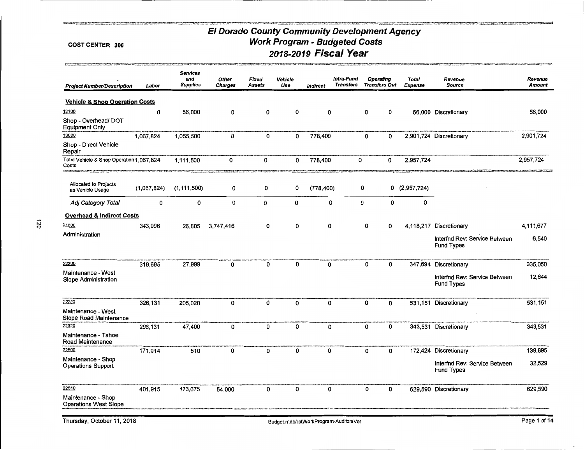e e an grupo e comencial a provincia e a comencial de la comencial de la comencial de la comencial de la comen<br>Comencial de la comencial de la comencial de la comencial de la comencial de la comencial de la comencial de

#### COST CENTER 306

.<br>Математика територия (представи до станции) имеют серитории, презимвают существо доставили на сериодной природ<br>Математика советива совети случательно продолжение доступить на сериодности на сериодности (до советили в до

| <b>Project Number/Description</b>                                                     | Labor       | <b>Services</b><br>and<br><b>Supplies</b> | <b>Other</b><br>Charges | Fixed<br>Assets | <b>Vehicle</b><br>Use | <b>Indirect</b> | Intra-Fund<br><b>Transfers</b> | <b>Operating</b> | <b>Transfers Out</b> | <b>Total</b><br>Expense | Revenue<br><b>Source</b>                           | Revenue<br>Amount |
|---------------------------------------------------------------------------------------|-------------|-------------------------------------------|-------------------------|-----------------|-----------------------|-----------------|--------------------------------|------------------|----------------------|-------------------------|----------------------------------------------------|-------------------|
| <b>Vehicle &amp; Shop Operation Costs</b>                                             |             |                                           |                         |                 |                       |                 |                                |                  |                      |                         |                                                    |                   |
| 12100                                                                                 | 0           | 56,000                                    | 0                       | 0               | 0                     | 0               |                                | 0                | 0                    |                         | 56,000 Discretionary                               | 56,000            |
| Shop - Overhead/ DOT<br><b>Equipment Only</b>                                         |             |                                           |                         |                 |                       |                 |                                |                  |                      |                         |                                                    |                   |
| 13000                                                                                 | 1,067,824   | 1,055,500                                 | 0                       | 0               | 0                     | 778,400         |                                | 0                | 0                    |                         | 2,901,724 Discretionary                            | 2,901,724         |
| Shop - Direct Vehicle<br>Repair                                                       |             |                                           |                         |                 |                       |                 |                                |                  |                      |                         |                                                    |                   |
| Total Vehicle & Shop Operation 1,067,824<br>Costs<br><b><i><u>ANA COMPANY</u></i></b> |             | 1,111,500                                 | 0                       | 0               | 0                     | 778,400         | 0                              |                  | 0                    | 2,957,724               |                                                    | 2,957,724         |
| Allocated to Projects<br>as Vehicle Usage                                             | (1,067,824) | (1, 111, 500)                             | 0                       | 0               | 0                     | (778, 400)      |                                | 0                |                      | 0(2,957,724)            |                                                    |                   |
| Adj Category Total                                                                    | 0           | 0                                         | 0                       | 0               | 0                     | 0               |                                | 0                | 0                    | 0                       |                                                    |                   |
| <b>Overhead &amp; Indirect Costs</b>                                                  |             |                                           |                         |                 |                       |                 |                                |                  |                      |                         |                                                    |                   |
| 21000                                                                                 | 343,996     | 26,805                                    | 3,747,416               | 0               | 0                     | 0               |                                | 0                | 0                    |                         | 4,118,217 Discretionary                            | 4,111,677         |
| Administration                                                                        |             |                                           |                         |                 |                       |                 |                                |                  |                      |                         | Interfnd Rev: Service Between<br><b>Fund Types</b> | 6,540             |
| 22200                                                                                 | 319,695     | 27,999                                    | 0                       | 0               | 0                     | 0               |                                | 0                | 0                    |                         | 347,694 Discretionary                              | 335,050           |
| Maintenance - West<br>Slope Administration                                            |             |                                           |                         |                 |                       |                 |                                |                  |                      |                         | Interfnd Rev: Service Between<br><b>Fund Types</b> | 12,644            |
| 22220                                                                                 | 326,131     | 205,020                                   | 0                       | 0               | 0                     | 0               |                                | 0                | 0                    |                         | 531,151 Discretionary                              | 531,151           |
| Maintenance - West<br>Slope Road Maintenance                                          |             |                                           |                         |                 |                       |                 |                                |                  |                      |                         |                                                    |                   |
| 22320                                                                                 | 296,131     | 47,400                                    | 0                       | 0               | 0                     | 0               |                                | 0                | 0                    |                         | 343,531 Discretionary                              | 343,531           |
| Maintenance - Tahoe<br>Road Maintenance                                               |             |                                           |                         |                 |                       |                 |                                |                  |                      |                         |                                                    |                   |
| 22500                                                                                 | 171,914     | 510                                       | 0                       | 0               | 0                     | 0               |                                | 0                | 0                    |                         | 172,424 Discretionary                              | 139,895           |
| Maintenance - Shop<br><b>Operations Support</b>                                       |             |                                           |                         |                 |                       |                 |                                |                  |                      |                         | Interfnd Rev: Service Between<br><b>Fund Types</b> | 32,529            |
| 22510<br>Maintenance - Shop<br><b>Operations West Slope</b>                           | 401,915     | 173,675                                   | 54,000                  | 0               | 0                     | 0               |                                | 0                | 0                    |                         | 629,590 Discretionary                              | 629,590           |

 $\lambda$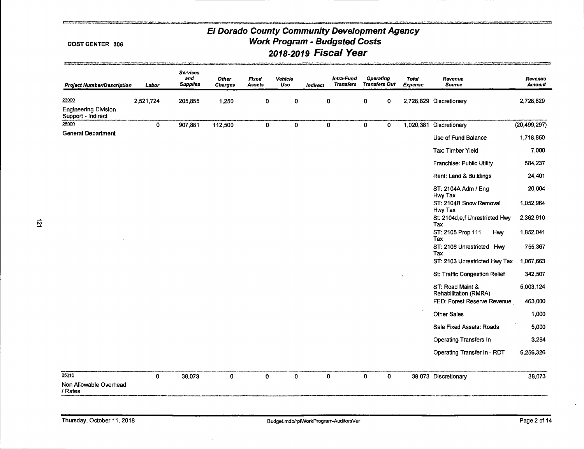#### **COST CENTER 306**

**CO** 

 $\vec{z}$ 

| <b>Project Number/Description</b>                 | $\epsilon$<br>Labor | Services<br>and<br><b>Supplies</b> | <b>Other</b><br><b>Charges</b> | Fixed<br><b>Assets</b> | Vehicle<br>Use | Indirect    | Intra-Fund<br><b>Transfers</b> | <b>Operating</b><br><b>Transfers Out</b> |             | <b>Total</b><br>Expense | Revenue<br><b>Source</b>                     | Revenue<br>Amount |
|---------------------------------------------------|---------------------|------------------------------------|--------------------------------|------------------------|----------------|-------------|--------------------------------|------------------------------------------|-------------|-------------------------|----------------------------------------------|-------------------|
| 23000                                             | 2,521,724           | 205,855                            | 1,250                          | 0                      | 0              | 0           |                                | 0                                        | 0           |                         | 2,728,829 Discretionary                      | 2,728,829         |
| <b>Engineering Division</b><br>Support - Indirect |                     | $\ddot{\phantom{a}}$               |                                |                        |                |             |                                |                                          |             |                         |                                              |                   |
| 25000                                             | 0                   | 907,881                            | 112,500                        | $\mathbf{0}$           | 0              | $\mathbf 0$ |                                | $\mathbf 0$                              | 0           |                         | 1,020,381 Discretionary                      | (20, 499, 297)    |
| <b>General Department</b>                         |                     |                                    |                                |                        |                |             |                                |                                          |             |                         | Use of Fund Balance                          | 1,718,850         |
|                                                   |                     |                                    |                                |                        |                |             |                                |                                          |             |                         | Tax: Timber Yield                            | 7,000             |
|                                                   |                     |                                    |                                |                        |                |             |                                |                                          |             |                         | Franchise: Public Utility                    | 584,237           |
|                                                   |                     |                                    |                                |                        |                |             |                                |                                          |             |                         | Rent: Land & Buildings                       | 24,401            |
|                                                   |                     |                                    |                                |                        |                |             |                                |                                          |             |                         | ST: 2104A Adm / Eng                          | 20,004            |
|                                                   |                     |                                    |                                |                        |                |             |                                |                                          |             |                         | Hwy Tax<br>ST: 2104B Snow Removal<br>Hwy Tax | 1,052,964         |
|                                                   |                     |                                    |                                |                        |                |             |                                |                                          |             |                         | St. 2104d,e,f Unrestricted Hwy<br>Tax        | 2,362,910         |
|                                                   |                     |                                    |                                |                        |                |             |                                |                                          |             |                         | ST: 2105 Prop 111<br><b>Hwy</b><br>Tax       | 1,852,041         |
|                                                   |                     |                                    |                                |                        |                |             |                                |                                          |             |                         | ST: 2106 Unrestricted Hwy<br>Tax             | 755,367           |
|                                                   |                     |                                    |                                |                        |                |             |                                |                                          |             |                         | ST: 2103 Unrestricted Hwy Tax                | 1,067,663         |
|                                                   |                     |                                    |                                |                        |                |             |                                |                                          |             |                         | St: Traffic Congestion Relief                | 342,507           |
|                                                   |                     |                                    |                                |                        |                |             |                                |                                          |             |                         | ST: Road Maint &<br>Rehabilitation (RMRA)    | 5,003,124         |
|                                                   |                     |                                    |                                |                        |                |             |                                |                                          |             |                         | FED: Forest Reserve Revenue                  | 463,000           |
|                                                   |                     |                                    |                                |                        |                |             |                                |                                          |             |                         | <b>Other Sales</b>                           | 1,000             |
|                                                   |                     |                                    |                                |                        |                |             |                                |                                          |             |                         | Sale Fixed Assets: Roads                     | 5,000             |
|                                                   |                     |                                    |                                |                        |                |             |                                |                                          |             |                         | <b>Operating Transfers In</b>                | 3,284             |
|                                                   |                     |                                    |                                |                        |                |             |                                |                                          |             |                         | Operating Transfer In - RDT                  | 6,256,326         |
| 25016                                             | $\mathbf 0$         | 38,073                             | $\mathbf{0}$                   | 0                      | $\mathbf{0}$   | $\mathbf 0$ |                                | $\mathbf{O}$                             | $\mathbf 0$ |                         | 38,073 Discretionary                         | 38,073            |
| Non Allowable Overhead<br>/ Rates                 |                     |                                    |                                |                        |                |             |                                |                                          |             |                         |                                              |                   |

mmer.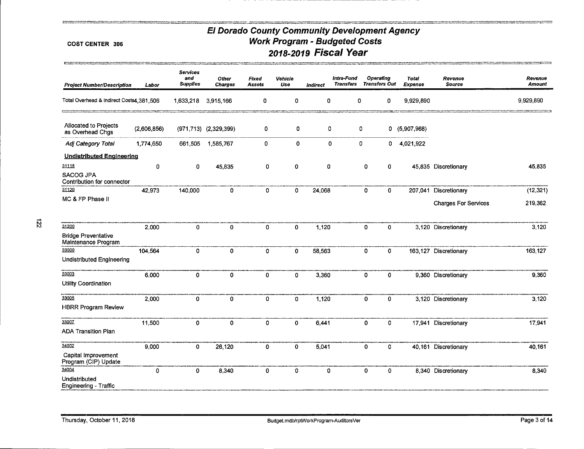#### **COST CENTER 306**

**CONST** 

 $\vec{z}$ 

| <b>Project Number/Description</b>                 | Labor       | <b>Services</b><br>and<br><b>Supplies</b> | Other<br><b>Charges</b>      | Fixed<br><b>Assets</b> | Vehicle<br>Use | Indirect | Intra-Fund<br><b>Transfers</b> |              | <b>Operating</b><br><b>Transfers Out</b> | <b>Total</b><br><b>Expense</b> | Revenue<br><b>Source</b>    | Revenue<br><b>Amount</b> |
|---------------------------------------------------|-------------|-------------------------------------------|------------------------------|------------------------|----------------|----------|--------------------------------|--------------|------------------------------------------|--------------------------------|-----------------------------|--------------------------|
| Total Overhead & Indirect Costs4,381,506          |             | 1,633,218                                 | 3,915,166                    | 0                      | 0              | 0        |                                | 0            | 0                                        | 9,929,890                      |                             | 9,929,890                |
| Allocated to Projects<br>as Overhead Chgs         | (2,606,856) |                                           | $(971, 713)$ $(2, 329, 399)$ | 0                      | 0              | 0        |                                | 0            |                                          | 0(5,907,968)                   |                             |                          |
| Adj Category Total                                | 1,774,650   | 661,505                                   | 1,585,767                    | 0                      | 0              | 0        |                                | 0            | 0                                        | 4,021,922                      |                             |                          |
| <b>Undistributed Engineering</b>                  |             |                                           |                              |                        |                |          |                                |              |                                          |                                |                             |                          |
| 31115                                             | 0           | $\mathbf 0$                               | 45,835                       | 0                      | 0              | 0        |                                | 0            | 0                                        |                                | 45,835 Discretionary        | 45,835                   |
| <b>SACOG JPA</b><br>Contribution for connector    |             |                                           |                              |                        |                |          |                                |              |                                          |                                |                             |                          |
| 31120                                             | 42,973      | 140,000                                   | 0                            | $\mathbf 0$            | $\Omega$       | 24,068   |                                | $\mathbf{0}$ | $\overline{0}$                           |                                | 207,041 Discretionary       | (12, 321)                |
| MC & FP Phase II                                  |             |                                           |                              |                        |                |          |                                |              |                                          |                                | <b>Charges For Services</b> | 219,362                  |
|                                                   |             |                                           |                              |                        |                |          |                                |              |                                          |                                |                             |                          |
| 31200                                             | 2,000       | $\mathbf{0}$                              | $\mathbf 0$                  | 0                      | $\mathbf{0}$   | 1,120    |                                | $\mathbf 0$  | 0                                        |                                | 3,120 Discretionary         | 3,120                    |
| <b>Bridge Preventative</b><br>Maintenance Program |             |                                           |                              |                        |                |          |                                |              |                                          |                                |                             |                          |
| 33000                                             | 104,564     | 0                                         | $\mathbf{0}$                 | $\mathbf{0}$           | 0              | 58,563   |                                | $\mathbf 0$  | $\overline{0}$                           |                                | 163,127 Discretionary       | 163,127                  |
| Undistributed Engineering                         |             |                                           |                              |                        |                |          |                                |              |                                          |                                |                             |                          |
| 33003                                             | 6,000       | 0                                         | 0                            | $\mathbf 0$            | $\mathbf{0}$   | 3,360    |                                | 0            | 0                                        |                                | 9.360 Discretionary         | 9,360                    |
| Utility Coordination                              |             |                                           |                              |                        |                |          |                                |              |                                          |                                |                             |                          |
| 33005                                             | 2,000       | 0                                         | 0                            | 0                      | 0              | 1,120    |                                | 0            | 0                                        |                                | 3,120 Discretionary         | 3,120                    |
| <b>HBRR Program Review</b>                        |             |                                           |                              |                        |                |          |                                |              |                                          |                                |                             |                          |
| 33007                                             | 11,500      | 0                                         | 0                            | 0                      | 0              | 6,441    |                                | 0            | 0                                        |                                | 17,941 Discretionary        | 17,941                   |
| <b>ADA Transition Plan</b>                        |             |                                           |                              |                        |                |          |                                |              |                                          |                                |                             |                          |
| 34002                                             | 9,000       | 0                                         | 26,120                       | $\mathbf 0$            | 0              | 5,041    |                                | $\mathbf 0$  | 0                                        |                                | 40,161 Discretionary        | 40,161                   |
| Capital Improvement<br>Program (CIP) Update       |             |                                           |                              |                        |                |          |                                |              |                                          |                                |                             |                          |
| 34004                                             | $\mathbf 0$ | 0                                         | 8,340                        | 0                      | $\mathbf{0}$   | 0        |                                | $\mathbf 0$  | 0                                        |                                | 8,340 Discretionary         | 8,340                    |
| Undistributed<br>Engineering - Traffic            |             |                                           |                              |                        |                |          |                                |              |                                          |                                |                             |                          |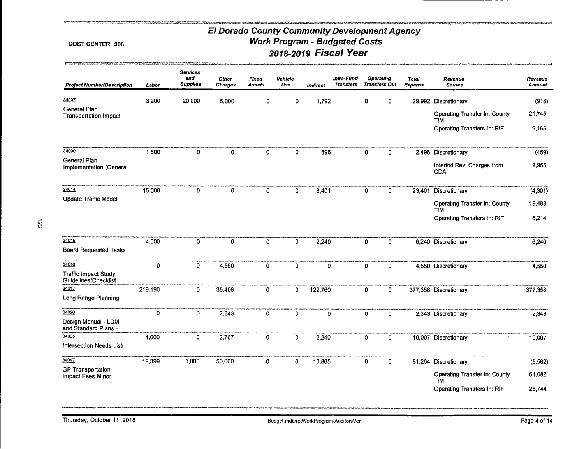#### **COST CENTER 306**

| <b>Project Number/Description</b>                            | Labor       | Services<br>and<br><b>Supplies</b> | <b>Other</b><br><b>Charges</b> | Fixed<br>Assets | Vehicle<br>Use | <b>Indirect</b> | Intra-Fund<br><b>Transfers</b> |              | <b>Operating</b><br><b>Transfers Out</b> | <b>Total</b><br>Expense | Revenue<br><b>Source</b>                                                                    | Revenue<br><b>Amount</b>     |
|--------------------------------------------------------------|-------------|------------------------------------|--------------------------------|-----------------|----------------|-----------------|--------------------------------|--------------|------------------------------------------|-------------------------|---------------------------------------------------------------------------------------------|------------------------------|
| 34007                                                        | 3,200       | 20,000                             | 5,000                          | 0               | 0              | 1,792           |                                | 0            | 0                                        |                         | 29,992 Discretionary                                                                        | (918)                        |
| General Plan<br><b>Transportation Impact</b>                 |             |                                    |                                |                 |                |                 |                                |              |                                          |                         | Operating Transfer In: County<br><b>TIM</b>                                                 | 21,745                       |
|                                                              |             |                                    |                                |                 |                |                 |                                |              |                                          |                         | Operating Transfers In: RIF                                                                 | 9,165                        |
| 34009                                                        | 1,600       | $\mathbf 0$                        | 0                              | 0               | 0              | 896             |                                | $\mathbf{O}$ | $\mathbf 0$                              |                         | 2,496 Discretionary                                                                         | (459)                        |
| General Plan<br>Implementation (General                      |             |                                    |                                |                 |                |                 |                                |              |                                          |                         | Interfnd Rev: Charges from<br><b>CDA</b>                                                    | 2,955                        |
| 34014                                                        | 15,000      | 0                                  | 0                              | 0               | 0              | 8,401           |                                | 0            | 0                                        | 23,401                  | Discretionary                                                                               | (4, 301)                     |
| <b>Update Traffic Model</b>                                  |             |                                    |                                |                 |                |                 |                                |              |                                          |                         | Operating Transfer In: County<br><b>TIM</b>                                                 | 19,488                       |
|                                                              |             |                                    |                                |                 |                |                 |                                |              |                                          |                         | Operating Transfers In: RIF                                                                 | 8,214                        |
| 34015<br><b>Board Requested Tasks</b>                        | 4,000       | $\mathbf 0$                        | 0                              | 0               | 0              | 2,240           |                                | 0            | $\mathbf{0}$                             |                         | 6,240 Discretionary                                                                         | 6,240                        |
| 34016<br><b>Traffic Impact Study</b><br>Guidelines/Checklist | $\mathbf 0$ | 0                                  | 4,550                          | 0               | 0              | $\mathbf 0$     |                                | $\mathbf 0$  | $\mathbf 0$                              |                         | 4,550 Discretionary                                                                         | 4,550                        |
| 34017<br>Long Range Planning                                 | 219,190     | 0                                  | 35,408                         | $\mathbf{0}$    | 0              | 122,760         |                                | $\mathbf 0$  | $\mathbf 0$                              |                         | 377,358 Discretionary                                                                       | 377,358                      |
| 34026<br>Design Manual - LDM<br>and Standard Plans -         | 0           | 0                                  | 2,343                          | 0               | 0              | 0               |                                | 0            | 0                                        |                         | 2,343 Discretionary                                                                         | 2,343                        |
| 34035<br><b>Intersection Needs List</b>                      | 4,000       | $\pmb{0}$                          | 3,767                          | 0               | 0              | 2,240           |                                | 0            | $\mathbf 0$                              |                         | 10,007 Discretionary                                                                        | 10,007                       |
| 34047<br><b>GP Transportation</b><br>Impact Fees Minor       | 19,399      | 1,000                              | 50,000                         | $\mathbf{0}$    | $\mathbf 0$    | 10,865          |                                | 0            | $\mathbf{0}$                             |                         | 81,264 Discretionary<br>Operating Transfer In: County<br>TIM<br>Operating Transfers In: RIF | (5, 562)<br>61,082<br>25,744 |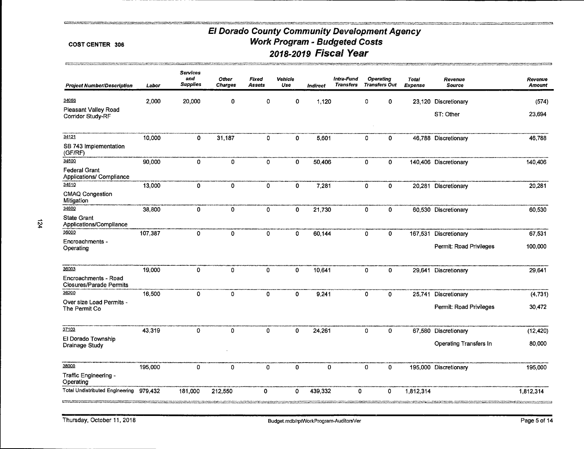#### COST CENTER 306

| <b>Project Number/Description</b>                      | Labor   | <b>Services</b><br>and<br><b>Supplies</b> | Other<br><b>Charges</b> | <b>Fixed</b><br><b>Assets</b> | Vehicle<br>Use | Indirect | Intra-Fund<br><b>Transfers</b> |             | <b>Operating</b><br><b>Transfers Out</b> | <b>Total</b><br><b>Expense</b> | Revenue<br><b>Source</b> | Revenue<br><b>Amount</b> |
|--------------------------------------------------------|---------|-------------------------------------------|-------------------------|-------------------------------|----------------|----------|--------------------------------|-------------|------------------------------------------|--------------------------------|--------------------------|--------------------------|
| 34056                                                  | 2,000   | 20,000                                    | 0                       | o                             | 0              | 1,120    |                                | 0           | 0                                        | 23,120                         | Discretionary            | (574)                    |
| Pleasant Valley Road<br>Corridor Study-RF              |         |                                           |                         |                               |                |          |                                |             |                                          |                                | ST: Other                | 23,694                   |
| 34121                                                  | 10,000  | $\mathbf 0$                               | 31,187                  | 0                             | 0              | 5,601    |                                | 0           | 0                                        |                                | 46,788 Discretionary     | 46,788                   |
| SB 743 Implementation<br>(GF/RF)                       |         |                                           |                         |                               |                |          |                                |             |                                          |                                |                          |                          |
| 34500                                                  | 90,000  | $\mathbf 0$                               | 0                       | $\mathbf 0$                   | 0              | 50,406   |                                | 0           | 0                                        |                                | 140,406 Discretionary    | 140,406                  |
| <b>Federal Grant</b><br>Applications/ Compliance       |         |                                           |                         |                               |                |          |                                |             |                                          |                                |                          |                          |
| 34510                                                  | 13,000  | $\mathbf{0}$                              | $\mathbf 0$             | $\mathbf 0$                   | 0              | 7,281    |                                | 0           | 0                                        | 20,281                         | Discretionary            | 20,281                   |
| CMAQ Congestion<br>Mitigation                          |         |                                           |                         |                               |                |          |                                |             |                                          |                                |                          |                          |
| 34600                                                  | 38,800  | $\mathbf 0$                               | 0                       | $\mathbf 0$                   | 0              | 21,730   |                                | $\mathbf 0$ | 0                                        |                                | 60,530 Discretionary     | 60,530                   |
| <b>State Grant</b><br>Applications/Compliance          |         |                                           |                         |                               |                |          |                                |             |                                          |                                |                          |                          |
| 36000                                                  | 107,387 | $\mathbf{o}$                              | 0                       | 0                             | 0              | 60,144   |                                | 0           | 0                                        | 167,531                        | Discretionary            | 67,531                   |
| Encroachments -<br>Operating                           |         |                                           |                         |                               |                |          |                                |             |                                          |                                | Permit: Road Privileges  | 100,000                  |
| 36003                                                  | 19,000  | $\mathbf 0$                               | $\mathbf 0$             | 0                             | 0              | 10,641   |                                | 0           | 0                                        | 29,641                         | Discretionary            | 29,641                   |
| Encroachments - Road<br><b>Closures/Parade Permits</b> |         |                                           |                         |                               |                |          |                                |             |                                          |                                |                          |                          |
| 36200                                                  | 16,500  | $\Omega$                                  | $\mathbf{0}$            | $\Omega$                      | $\mathbf{0}$   | 9,241    |                                | $\mathbf 0$ | 0                                        | 25,741                         | Discretionary            | (4, 731)                 |
| Over size Load Permits -<br>The Permit Co              |         |                                           |                         |                               |                |          |                                |             |                                          |                                | Permit: Road Privileges  | 30,472                   |
| 37103                                                  | 43,319  | $\Omega$                                  | 0                       | 0                             | 0              | 24,261   |                                | $\mathbf 0$ | 0                                        | 67,580                         | Discretionary            | (12, 420)                |
| El Dorado Township<br>Drainage Study                   |         |                                           |                         |                               |                |          |                                |             |                                          |                                | Operating Transfers In   | 80,000                   |
| 38000                                                  | 195,000 | 0                                         | 0                       | 0                             | 0              | 0        |                                | $\mathbf 0$ | $\mathbf 0$                              |                                | 195,000 Discretionary    | 195,000                  |
| Traffic Engineering -<br>Operating                     |         |                                           |                         |                               |                |          |                                |             |                                          |                                |                          |                          |
| <b>Total Undistributed Engineering</b>                 | 979,432 | 181,000                                   | 212,550                 | 0                             | 0              | 439,332  | 0                              |             | 0                                        | 1,812,314                      |                          | 1,812,314                |

**The Reversion of American**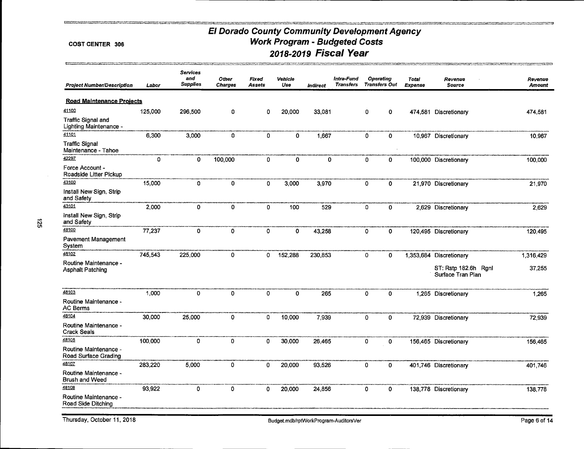#### COST CENTER 306

| <b>Project Number/Description</b>                   | Labor   | <b>Services</b><br>and<br><b>Supplies</b> | Other<br><b>Charges</b> | Fixed<br>Assets | Vehicle<br>Use | Indirect | Intra-Fund<br><b>Transfers</b> |   | Operating<br><b>Transfers Out</b> | Total<br>Expense | Revenue<br><b>Source</b>                  | Revenue<br>Amount |
|-----------------------------------------------------|---------|-------------------------------------------|-------------------------|-----------------|----------------|----------|--------------------------------|---|-----------------------------------|------------------|-------------------------------------------|-------------------|
| <b>Road Maintenance Projects</b>                    |         |                                           |                         |                 |                |          |                                |   |                                   |                  |                                           |                   |
| 41100                                               | 125,000 | 296,500                                   | 0                       | 0               | 20,000         | 33,081   |                                | 0 | 0                                 |                  | 474,581 Discretionary                     | 474,581           |
| <b>Traffic Signal and</b><br>Lighting Maintenance - |         |                                           |                         |                 |                |          |                                |   |                                   |                  |                                           |                   |
| 41101                                               | 6,300   | 3,000                                     | 0                       | 0               | $\mathbf{0}$   | 1,667    |                                | 0 | 0                                 |                  | 10,967 Discretionary                      | 10,967            |
| <b>Traffic Signal</b><br>Maintenance - Tahoe        |         |                                           |                         |                 |                |          |                                |   |                                   |                  |                                           |                   |
| 42297                                               | 0       | 0                                         | 100,000                 | 0               | 0              | 0        |                                | 0 | $\mathbf 0$                       |                  | 100,000 Discretionary                     | 100,000           |
| Force Account -<br>Roadside Litter Pickup           |         |                                           |                         |                 |                |          |                                |   |                                   |                  |                                           |                   |
| 43100                                               | 15,000  | 0                                         | 0                       | 0               | 3,000          | 3,970    |                                | 0 | 0                                 |                  | 21,970 Discretionary                      | 21,970            |
| Install New Sign, Strip<br>and Safety               |         |                                           |                         |                 |                |          |                                |   |                                   |                  |                                           |                   |
| 43101                                               | 2,000   | 0                                         | 0                       | $\mathbf{0}$    | 100            | 529      |                                | 0 | 0                                 | 2,629            | Discretionary                             | 2,629             |
| Install New Sign, Strip<br>and Safety               |         |                                           |                         |                 |                |          |                                |   |                                   |                  |                                           |                   |
| 48100                                               | 77,237  | $\mathbf 0$                               | 0                       | 0               | 0              | 43,258   |                                | 0 | 0                                 |                  | 120,495 Discretionary                     | 120 495           |
| Pavement Management<br>System                       |         |                                           |                         |                 |                |          |                                |   |                                   |                  |                                           |                   |
| 48102                                               | 745,543 | 225,000                                   | 0                       | 0               | 152,288        | 230,853  |                                | 0 | 0                                 |                  | 1,353,684 Discretionary                   | 1,316,429         |
| Routine Maintenance -<br>Asphalt Patching           |         |                                           |                         |                 |                |          |                                |   |                                   |                  | ST: Rstp 182.6h Rgnl<br>Surface Tran Plan | 37,255            |
| 48103                                               | 1,000   | 0                                         | 0                       | 0               | 0              | 265      |                                | 0 | 0                                 |                  | 1,265 Discretionary                       | 1,265             |
| Routine Maintenance -<br><b>AC Berms</b>            |         |                                           |                         |                 |                |          |                                |   |                                   |                  |                                           |                   |
| 48104                                               | 30,000  | 25,000                                    | 0                       | 0               | 10,000         | 7,939    |                                | 0 | $\mathbf 0$                       |                  | 72,939 Discretionary                      | 72,939            |
| Routine Maintenance -<br><b>Crack Seals</b>         |         |                                           |                         |                 |                |          |                                |   |                                   |                  |                                           |                   |
| 48105                                               | 100,000 | 0                                         | 0                       | 0               | 30,000         | 26,465   |                                | 0 | 0                                 |                  | 156,465 Discretionary                     | 156,465           |
| Routine Maintenance -<br>Road Surface Grading       |         |                                           |                         |                 |                |          |                                |   |                                   |                  |                                           |                   |
| 48107                                               | 283,220 | 5,000                                     | 0                       | 0               | 20,000         | 93,526   |                                | 0 | $\mathbf{0}$                      |                  | 401,746 Discretionary                     | 401,746           |
| Routine Maintenance -<br><b>Brush and Weed</b>      |         |                                           |                         |                 |                |          |                                |   |                                   |                  |                                           |                   |
| 48108                                               | 93,922  | 0                                         | 0                       | 0               | 20,000         | 24,856   |                                | 0 | 0                                 |                  | 138,778 Discretionary                     | 138,778           |
| Routine Maintenance -<br>Road Side Ditching         |         |                                           |                         |                 |                |          |                                |   |                                   |                  |                                           |                   |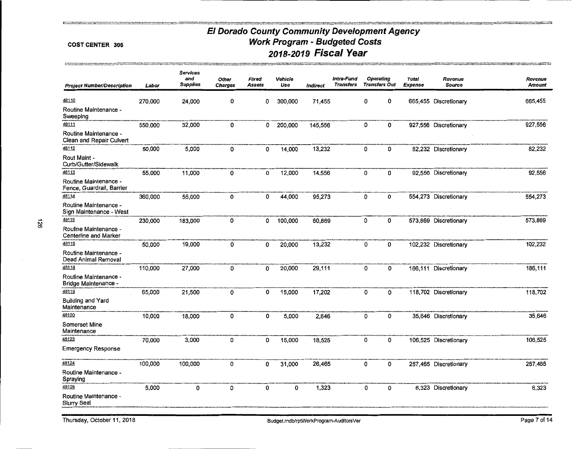#### **COST CENTER 306**

**Fundamental Services** 

وجعدوم

| <b>Project Number/Description</b>                  | Labor   | <b>Services</b><br>and<br><b>Supplies</b> | <b>Other</b><br>Charges | Fixed<br>Assets | Vehicle<br>Use | Indirect | Intra-Fund<br><b>Transfers</b> | <b>Operating</b><br><b>Transfers Out</b> |   | <b>Total</b><br><b>Expense</b> | Revenue<br><b>Source</b> | Revenue<br><b>Amount</b> |
|----------------------------------------------------|---------|-------------------------------------------|-------------------------|-----------------|----------------|----------|--------------------------------|------------------------------------------|---|--------------------------------|--------------------------|--------------------------|
| 48110                                              | 270,000 | 24,000                                    | 0                       | 0               | 300,000        | 71,455   |                                | 0                                        | 0 |                                | 665,455 Discretionary    | 665,455                  |
| Routine Maintenance -<br>Sweeping                  |         |                                           |                         |                 |                |          |                                |                                          |   |                                |                          |                          |
| 48111                                              | 550,000 | 32,000                                    | 0                       | 0               | 200,000        | 145,556  |                                | 0                                        | 0 |                                | 927,556 Discretionary    | 927,556                  |
| Routine Maintenance -<br>Clean and Repair Culvert  |         |                                           |                         |                 |                |          |                                |                                          |   |                                |                          |                          |
| 48112                                              | 50,000  | 5,000                                     | 0                       | 0               | 14,000         | 13,232   |                                | 0                                        | 0 |                                | 82,232 Discretionary     | 82,232                   |
| Rout Maint -<br>Curb/Gutter/Sidewalk               |         |                                           |                         |                 |                |          |                                |                                          |   |                                |                          |                          |
| 48113                                              | 55,000  | 11,000                                    | 0                       | 0               | 12,000         | 14,556   |                                | 0                                        | 0 |                                | 92,556 Discretionary     | 92,556                   |
| Routine Maintenance -<br>Fence, Guardrail, Barrier |         |                                           |                         |                 |                |          |                                |                                          |   |                                |                          |                          |
| 48114                                              | 360,000 | 55,000                                    | 0                       | 0               | 44,000         | 95,273   |                                | 0                                        | 0 |                                | 554,273 Discretionary    | 554,273                  |
| Routine Maintenance -<br>Sign Maintenance - West   |         |                                           |                         |                 |                |          |                                |                                          |   |                                |                          |                          |
| 48115                                              | 230,000 | 183,000                                   | 0                       | 0               | 100,000        | 60,869   |                                | 0                                        | 0 |                                | 573,869 Discretionary    | 573,869                  |
| Routine Maintenance -<br>Centerline and Marker     |         |                                           |                         |                 |                |          |                                |                                          |   |                                |                          |                          |
| 48116                                              | 50,000  | 19,000                                    | 0                       | 0               | 20,000         | 13,232   |                                | 0                                        | 0 |                                | 102,232 Discretionary    | 102,232                  |
| Routine Maintenance -<br>Dead Animal Removal       |         |                                           |                         |                 |                |          |                                |                                          |   |                                |                          |                          |
| 48118                                              | 110,000 | 27,000                                    | 0                       | 0               | 20,000         | 29,111   |                                | 0                                        | 0 |                                | 186,111 Discretionary    | 186,111                  |
| Routine Maintenance -<br>Bridge Maintenance -      |         |                                           |                         |                 |                |          |                                |                                          |   |                                |                          |                          |
| 48119                                              | 65,000  | 21,500                                    | 0                       | 0               | 15,000         | 17,202   |                                | 0                                        | 0 |                                | 118,702 Discretionary    | 118,702                  |
| Building and Yard<br>Maintenance                   |         |                                           |                         |                 |                |          |                                |                                          |   |                                |                          |                          |
| 48120                                              | 10.000  | 18,000                                    | 0                       | 0               | 5,000          | 2,646    |                                | 0                                        | 0 |                                | 35,646 Discretionary     | 35,646                   |
| Somerset Mine<br>Maintenance                       |         |                                           |                         |                 |                |          |                                |                                          |   |                                |                          |                          |
| 48123                                              | 70,000  | 3,000                                     | 0                       | 0               | 15,000         | 18,525   |                                | 0                                        | 0 |                                | 106,525 Discretionary    | 106,525                  |
| Emergency Response                                 |         |                                           |                         |                 |                |          |                                |                                          |   |                                |                          |                          |
| 48124                                              | 100,000 | 100,000                                   | 0                       | 0               | 31,000         | 26,465   |                                | 0                                        | 0 |                                | 257,465 Discretionary    | 257,465                  |
| Routine Maintenance -<br>Spraying                  |         |                                           |                         |                 |                |          |                                |                                          |   |                                |                          |                          |
| 48125                                              | 5,000   | 0                                         | 0                       | 0               | 0              | 1,323    |                                | 0                                        | 0 |                                | 6,323 Discretionary      | 6,323                    |
| Routine Maintenance -<br>Slurry Seal               |         |                                           |                         |                 |                |          |                                |                                          |   |                                |                          |                          |
|                                                    |         |                                           |                         |                 |                |          |                                |                                          |   |                                |                          |                          |

<br>പുരവംഗ്രഹത്തില് കാര്യങ്ങള് പ്രവർത്തക്കാന് കാര്യമായി നിന്നുകൊണ്ട് വിദ്യാന്തിക്കാന് പ്രവർത്തക്കാനുള്ള പോലെ അംഗ്ര<br>പുരവംഗ്രഹത്തില് പോലെ പ്രവർത്തക്കാന് പോലെ പ്രവർത്തക്കാനും പ്രവർത്തക്കാനും പ്രവർത്തക്കാനും പോലെ പ്രവർത്തക്കാനുണ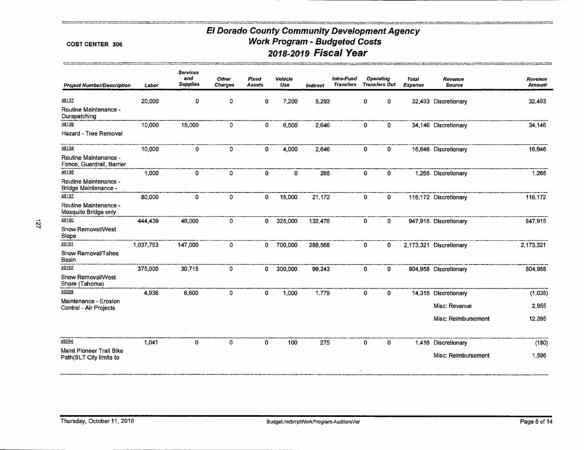#### COST CENTER 306

**THE CONTRACT PROPERTY** 

<u>en arrivar</u>

| <b>Project Number/Description</b><br>48127         | Labor<br>20,000 | <b>Supplies</b> | <b>Charges</b> | Assets | Use     |          |                  |                      |   | <b>Total</b> | Revenue                 | Revenue       |
|----------------------------------------------------|-----------------|-----------------|----------------|--------|---------|----------|------------------|----------------------|---|--------------|-------------------------|---------------|
|                                                    |                 |                 |                |        |         | Indirect | <b>Transfers</b> | <b>Transfers Out</b> |   | Expense      | <b>Source</b>           | <b>Amount</b> |
|                                                    |                 | 0               | 0              | 0      | 7,200   | 5,293    |                  | 0                    | 0 |              | 32,493 Discretionary    | 32,493        |
| Routine Maintenance -<br>Durapatching              |                 |                 |                |        |         |          |                  |                      |   |              |                         |               |
| 48128                                              | 10,000          | 15,000          | 0              | 0      | 6,500   | 2,646    |                  | $\mathbf 0$          | 0 |              | 34,146 Discretionary    | 34,146        |
| Hazard - Tree Removal                              |                 |                 |                |        |         |          |                  |                      |   |              |                         |               |
| 48134                                              | 10,000          | 0               | 0              | 0      | 4,000   | 2,646    |                  | 0                    | 0 |              | 16,646 Discretionary    | 16,646        |
| Routine Maintenance -<br>Fence, Guardrail, Barrier |                 |                 |                |        |         |          |                  |                      |   |              |                         |               |
| 48135                                              | 1,000           | 0               | 0              | 0      | 0       | 265      |                  | 0                    | 0 |              | 1,265 Discretionary     | 1,265         |
| Routine Maintenance -<br>Bridge Maintenance -      |                 |                 |                |        |         |          |                  |                      |   |              |                         |               |
| 48137                                              | 80,000          | 0               | 0              | 0      | 15,000  | 21,172   |                  | 0                    | 0 |              | 116,172 Discretionary   | 116,172       |
| Routine Maintenance -<br>Mosquito Bridge only      |                 |                 |                |        |         |          |                  |                      |   |              |                         |               |
| 49100                                              | 444,439         | 46,000          | 0              | 0      | 325,000 | 132,476  |                  | 0                    | 0 |              | 947,915 Discretionary   | 947,915       |
| Snow Removal/West<br>Slope                         |                 |                 |                |        |         |          |                  |                      |   |              |                         |               |
| 49101                                              | 1,037,753       | 147,000         | 0              | 0      | 700,000 | 288,568  |                  | $\mathbf 0$          | 0 |              | 2,173,321 Discretionary | 2,173,321     |
| Snow Removal/Tahoe<br>Basin                        |                 |                 |                |        |         |          |                  |                      |   |              |                         |               |
| 49102                                              | 375,000         | 30,715          | 0              | 0      | 300,000 | 99,243   |                  | $\mathbf 0$          | 0 |              | 804,958 Discretionary   | 804,958       |
| Snow Removal/West<br>Shore (Tahoma)                |                 |                 |                |        |         |          |                  |                      |   |              |                         |               |
| 49269                                              | 4,936           | 6,600           | 0              | 0      | 1,000   | 1,779    |                  | $\mathbf 0$          | 0 |              | 14,315 Discretionary    | (1,035)       |
| Maintenance - Erosion<br>Control - Air Projects    |                 |                 |                |        |         |          |                  |                      |   |              | Misc: Revenue           | 2,955         |
|                                                    |                 |                 |                |        |         |          |                  |                      |   |              | Misc: Reimbursement     | 12,395        |
| 49294                                              | 1,041           | $\mathbf 0$     | 0              | 0      | 100     | 275      |                  | 0                    | 0 |              | 1,416 Discretionary     | (180)         |
| Maint Pioneer Trail Bike                           |                 |                 |                |        |         |          |                  |                      |   |              |                         |               |
| Path(SLT City limits to                            |                 |                 |                |        |         |          |                  | $\bullet$            |   |              | Misc: Reimbursement     | 1,596         |

÷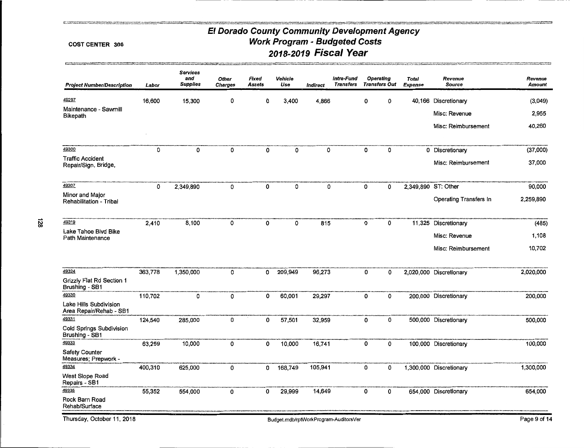#### COST CENTER 306

**The contract of the contract of the contract of the contract** 

| <b>Project Number/Description</b>                 | Labor   | <b>Services</b><br>and<br><b>Supplies</b> | Other<br><b>Charges</b> | Fixed<br><b>Assets</b> | Vehicle<br>Use | <b>Indirect</b> | Intra-Fund<br><b>Transfers</b> |   | <b>Operating</b><br><b>Transfers Out</b> | <b>Total</b><br><b>Expense</b> | Revenue<br><b>Source</b>      | Revenue<br>Amount |
|---------------------------------------------------|---------|-------------------------------------------|-------------------------|------------------------|----------------|-----------------|--------------------------------|---|------------------------------------------|--------------------------------|-------------------------------|-------------------|
| 49297                                             | 16,600  | 15,300                                    | 0                       | 0                      | 3,400          | 4,866           |                                | 0 | 0                                        |                                | 40.166 Discretionary          | (3,049)           |
| Maintenance - Sawmill<br><b>Bikepath</b>          |         |                                           |                         |                        |                |                 |                                |   |                                          |                                | Misc: Revenue                 | 2,955             |
|                                                   |         |                                           |                         |                        |                |                 |                                |   |                                          |                                | Misc: Reimbursement           | 40,260            |
| 49300                                             | 0       | 0                                         | 0                       | 0                      | 0              | 0               |                                | 0 | 0                                        |                                | 0 Discretionary               | (37,000)          |
| <b>Traffic Accident</b><br>Repair/Sign, Bridge,   |         |                                           |                         |                        |                |                 |                                |   |                                          |                                | Misc: Reimbursement           | 37,000            |
| 49307                                             | 0       | 2,349,890                                 | 0                       | 0                      | 0              | 0               |                                | 0 | 0                                        |                                | 2,349,890 ST: Other           | 90,000            |
| Minor and Major<br>Rehabilitation - Tribal        |         |                                           |                         |                        |                |                 |                                |   |                                          |                                | <b>Operating Transfers In</b> | 2,259,890         |
| 49319                                             | 2,410   | 8,100                                     | 0                       | $\mathbf 0$            | 0              | 815             |                                | 0 | 0                                        |                                | 11,325 Discretionary          | (485)             |
| Lake Tahoe Bivd Bike<br>Path Maintenance          |         |                                           |                         |                        |                |                 |                                |   |                                          |                                | Misc: Revenue                 | 1,108             |
|                                                   |         |                                           |                         |                        |                |                 |                                |   |                                          |                                | Misc: Reimbursement           | 10,702            |
| 49324                                             | 363,778 | 1,350,000                                 | 0                       | 0                      | 209,949        | 96,273          |                                | 0 | 0                                        |                                | 2,020,000 Discretionary       | 2,020,000         |
| Grizzly Flat Rd Section 1<br>Brushing - SB1       |         |                                           |                         |                        |                |                 |                                |   |                                          |                                |                               |                   |
| 49330                                             | 110,702 | 0                                         | 0                       | 0                      | 60,001         | 29,297          |                                | 0 | 0                                        |                                | 200,000 Discretionary         | 200,000           |
| Lake Hills Subdivision<br>Area Repair/Rehab - SB1 |         |                                           |                         |                        |                |                 |                                |   |                                          |                                |                               |                   |
| 49331                                             | 124,540 | 285,000                                   | 0                       | 0                      | 57,501         | 32,959          |                                | 0 | 0                                        |                                | 500,000 Discretionary         | 500,000           |
| Cold Springs Subdivision<br>Brushing - SB1        |         |                                           |                         |                        |                |                 |                                |   |                                          |                                |                               |                   |
| 49333                                             | 63,259  | 10,000                                    | 0                       | 0                      | 10,000         | 16,741          |                                | 0 | 0                                        |                                | 100,000 Discretionary         | 100,000           |
| <b>Safety Counter</b><br>Measures; Prepwork -     |         |                                           |                         |                        |                |                 |                                |   |                                          |                                |                               |                   |
| 49334                                             | 400,310 | 625,000                                   | 0                       | 0                      | 168,749        | 105,941         |                                | 0 | 0                                        |                                | 1,300,000 Discretionary       | 1,300,000         |
| West Slope Road<br>Repairs - SB1                  |         |                                           |                         |                        |                |                 |                                |   |                                          |                                |                               |                   |
| 49335                                             | 55,352  | 554,000                                   | 0                       | 0                      | 29,999         | 14,649          |                                | 0 | 0                                        |                                | 654,000 Discretionary         | 654,000           |
| Rock Barn Road<br>Rehab/Surface                   |         |                                           |                         |                        |                |                 |                                |   |                                          |                                |                               |                   |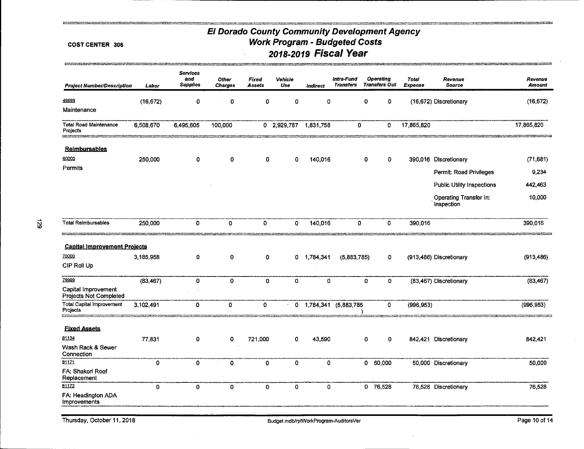#### **COST CENTER 306**

**Business for a second committee** 

| <b>Project Number/Description</b>                              | Labor       | <b>Services</b><br>and<br><b>Supplies</b> | <b>Other</b><br><b>Charges</b> | Fixed<br><b>Assets</b> | Vehicle<br>Use | Indirect     | Intra-Fund<br><b>Transfers</b> | <b>Operating</b><br><b>Transfers Out</b> | <b>Total</b><br>Expense | Revenue<br><b>Source</b>             | Revenue<br><b>Amount</b> |
|----------------------------------------------------------------|-------------|-------------------------------------------|--------------------------------|------------------------|----------------|--------------|--------------------------------|------------------------------------------|-------------------------|--------------------------------------|--------------------------|
| 49999<br>Maintenance                                           | (16, 672)   | 0                                         | 0                              | O                      | 0              | 0            | 0                              | 0                                        |                         | (16,672) Discretionary               | (16, 672)                |
| <b>Total Road Maintenance</b><br>Projects                      | 6,508,670   | 6,495,605                                 | 100,000                        |                        | 0 2,929,787    | 1,831,758    | 0                              | 0                                        | 17,865,820              |                                      | 17,865,820               |
| <b>Reimbursables</b>                                           |             |                                           |                                |                        |                |              |                                |                                          |                         |                                      |                          |
| 60000                                                          | 250,000     | 0                                         | 0                              | 0                      | 0              | 140,016      | 0                              | 0                                        |                         | 390,016 Discretionary                | (71, 681)                |
| Permits                                                        |             |                                           |                                |                        |                |              |                                |                                          |                         | Permit: Road Privileges              | 9,234                    |
|                                                                |             |                                           |                                |                        |                |              |                                |                                          |                         | <b>Public Utility Inspections</b>    | 442,463                  |
|                                                                |             |                                           |                                |                        |                |              |                                |                                          |                         | Operating Transfer In:<br>Inspection | 10,000                   |
| <b>Total Reimbursables</b>                                     | 250,000     | 0                                         | 0                              | 0                      | 0              | 140,016      | 0                              | 0                                        | 390,016                 |                                      | 390,016                  |
| <b>Capital Improvement Projects</b><br>70000<br>CIP Roll Up    | 3,185,958   | 0                                         | 0                              | 0                      |                | 0 1,784,341  | (5.883.785)                    | 0                                        |                         | (913,486) Discretionary              | (913, 486)               |
| 79999                                                          | (83, 467)   | $\mathbf{0}$                              | 0                              | $\mathbf 0$            | 0              | $\mathbf{0}$ | $\mathbf 0$                    | 0                                        |                         | (83,467) Discretionary               | (83, 467)                |
| Capital Improvement<br>Projects Not Completed                  |             |                                           |                                |                        |                |              |                                |                                          |                         |                                      |                          |
| <b>Total Capital Improvement</b><br>Projects<br><b>EXECUTE</b> | 3,102,491   | 0                                         | 0                              | $\mathbf 0$            |                |              | 0 1,784,341 (5,883,785         | 0                                        | (996, 953)              |                                      | (996, 953)               |
| <b>Fixed Assets</b>                                            |             |                                           |                                |                        |                |              |                                |                                          |                         |                                      |                          |
| 81134                                                          | 77,831      | 0                                         | 0                              | 721,000                | 0              | 43,590       | $\mathbf o$                    | 0                                        | 842,421                 | Discretionary                        | 842,421                  |
| Wash Rack & Sewer<br>Connection                                |             |                                           |                                |                        |                |              |                                |                                          |                         |                                      |                          |
| 81171                                                          | 0           | $\mathbf{0}$                              | 0                              | $\mathbf{0}$           | 0              | 0            |                                | 0 50,000                                 |                         | 50,000 Discretionary                 | 50,000                   |
| FA: Shakori Roof<br>Replacement                                |             |                                           |                                |                        |                |              |                                |                                          |                         |                                      |                          |
| 81172                                                          | $\mathbf 0$ | $\mathbf 0$                               | 0                              | $\mathbf 0$            | 0              | $\mathbf{o}$ |                                | 0 76,528                                 |                         | 76,528 Discretionary                 | 76,528                   |
| FA: Headington ADA<br>Improvements                             |             |                                           |                                |                        |                |              |                                |                                          |                         |                                      |                          |

Thursday, October 11, 2018

mende a structure en gruppe en el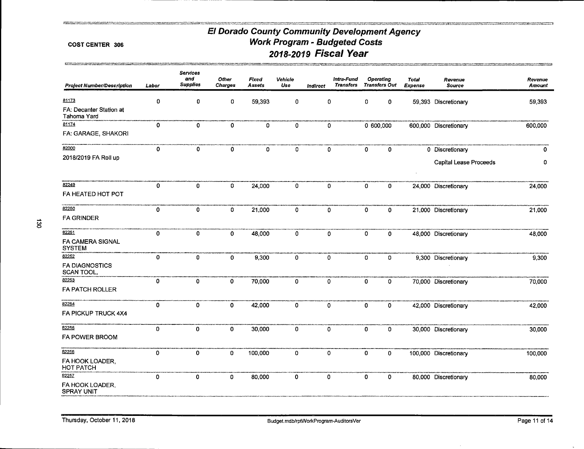*<u>PARTICULARE COMMUNISTIC COMMUNISTIC COMMUNISTIC COMMUNISTIC COMMUNISTIC COMMUNISTIC COMMUNISTIC COMMUNISTIC COMMUNISTIC COMMUNISTIC COMMUNISTIC COMMUNISTIC COMMUNISTIC COMMUNISTIC COMMUNISTIC COMMUNISTIC COMMUNISTIC COM*</u>

#### **COST CENTER 306**

.<br>Stockholms in the contract was

green

| <b>Project Number/Description</b>      | Labor       | <b>Services</b><br>and<br><b>Supplies</b> | <b>Other</b><br><b>Charges</b> | Fixed<br><b>Assets</b> | Vehicle<br>Use | <b>Indirect</b> | Intra-Fund<br><b>Transfers</b> |             | <b>Operating</b><br><b>Transfers Out</b> | Total<br>Expense | Revenue<br><b>Source</b>      | Revenue<br>Amount |
|----------------------------------------|-------------|-------------------------------------------|--------------------------------|------------------------|----------------|-----------------|--------------------------------|-------------|------------------------------------------|------------------|-------------------------------|-------------------|
| 81173                                  | $\mathbf 0$ | 0                                         | 0                              | 59,393                 | 0              | 0               |                                | 0           | 0                                        |                  | 59,393 Discretionary          | 59,393            |
| FA: Decanter Station at<br>Tahoma Yard |             |                                           |                                |                        |                |                 |                                |             |                                          |                  |                               |                   |
| 81174                                  | $\mathbf 0$ | $\mathbf 0$                               | 0                              | 0                      | 0              | $\mathbf 0$     |                                |             | 0 600,000                                |                  | 600,000 Discretionary         | 600,000           |
| FA: GARAGE, SHAKORI                    |             |                                           |                                |                        |                |                 |                                |             |                                          |                  |                               |                   |
| 82000                                  | $\mathbf 0$ | $\mathbf 0$                               | $\mathbf 0$                    | 0                      | 0              | $\mathbf{0}$    |                                | $\mathbf 0$ | 0                                        |                  | 0 Discretionary               | $\mathbf 0$       |
| 2018/2019 FA Roll up                   |             |                                           |                                |                        |                |                 |                                |             |                                          |                  | <b>Capital Lease Proceeds</b> | 0                 |
| 82249                                  | 0           | 0                                         | 0                              | 24,000                 | 0              | $\mathbf{0}$    |                                | $\mathbf 0$ | 0                                        |                  | 24,000 Discretionary          | 24,000            |
| FA HEATED HOT POT                      |             |                                           |                                |                        |                |                 |                                |             |                                          |                  |                               |                   |
| 82250                                  | 0           | 0                                         | 0                              | 21,000                 | 0              | $\mathbf 0$     |                                | $\mathbf 0$ | 0                                        |                  | 21,000 Discretionary          | 21,000            |
| <b>FA GRINDER</b>                      |             |                                           |                                |                        |                |                 |                                |             |                                          |                  |                               |                   |
| 82251                                  | 0           | 0                                         | 0                              | 48,000                 | 0              | 0               |                                | 0           | 0                                        |                  | 48,000 Discretionary          | 48,000            |
| FA CAMERA SIGNAL<br><b>SYSTEM</b>      |             |                                           |                                |                        |                |                 |                                |             |                                          |                  |                               |                   |
| 82252                                  | 0           | $\mathbf{0}$                              | $\mathbf{0}$                   | 9,300                  | 0              | 0               |                                | 0           | 0                                        |                  | 9,300 Discretionary           | 9,300             |
| <b>FA DIAGNOSTICS</b><br>SCAN TOOL,    |             |                                           |                                |                        |                |                 |                                |             |                                          |                  |                               |                   |
| 82253                                  | 0           | 0                                         | 0                              | 70,000                 | $\mathbf{0}$   | 0               |                                | 0           | 0                                        |                  | 70,000 Discretionary          | 70,000            |
| FA PATCH ROLLER                        |             |                                           |                                |                        |                |                 |                                |             |                                          |                  |                               |                   |
| 82254                                  | 0           | 0                                         | 0                              | 42,000                 | 0              | 0               |                                | 0           | 0                                        |                  | 42,000 Discretionary          | 42,000            |
| FA PICKUP TRUCK 4X4                    |             |                                           |                                |                        |                |                 |                                |             |                                          |                  |                               |                   |
| 82255                                  | 0           | 0                                         | 0                              | 30,000                 | $\mathbf 0$    | 0               |                                | 0           | 0                                        |                  | 30,000 Discretionary          | 30,000            |
| FA POWER BROOM                         |             |                                           |                                |                        |                |                 |                                |             |                                          |                  |                               |                   |
| 82256                                  | 0           | $\mathbf 0$                               | 0                              | 100,000                | 0              | $\mathbf 0$     |                                | 0           | 0                                        |                  | 100,000 Discretionary         | 100,000           |
| FA HOOK LOADER,<br><b>HOT PATCH</b>    |             |                                           |                                |                        |                |                 |                                |             |                                          |                  |                               |                   |
| 82257                                  | $\mathbf 0$ | $\pmb{0}$                                 | 0                              | 80,000                 | 0              | 0               |                                | 0           | 0                                        |                  | 80,000 Discretionary          | 80,000            |
| FA HOOK LOADER,<br><b>SPRAY UNIT</b>   |             |                                           |                                |                        |                |                 |                                |             |                                          |                  |                               |                   |

ans.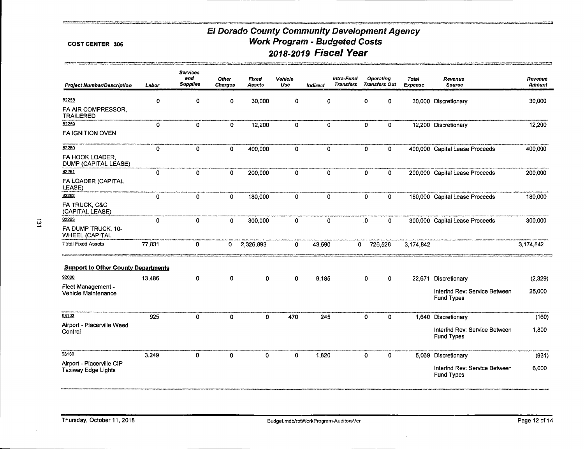<u>and the contract of the special contract of the contract of the contract of the contract of the contract of the contract of the contract of the contract of the contract of the contract of the contract of the contract of t</u>

**PERSONAL PROPERTY AND** 

mentale extension and company

#### COST CENTER 306

and the second contract that the product of the second contract of the second contract of the second contract <br>The contract of the contract of the contract of the contract of the contract of the contract of the second cont

| <b>Project Number/Description</b>                       | Labor        | <b>Services</b><br>and<br><b>Supplies</b> | Other<br><b>Charges</b> | Fixed<br>Assets | Vehicle<br>Use | <b>Indirect</b> | Intra-Fund<br><b>Transfers</b> |              | <b>Operating</b><br><b>Transfers Out</b> | <b>Total</b><br>Expense | Revenue<br><b>Source</b>                           | Revenue<br><b>Amount</b> |
|---------------------------------------------------------|--------------|-------------------------------------------|-------------------------|-----------------|----------------|-----------------|--------------------------------|--------------|------------------------------------------|-------------------------|----------------------------------------------------|--------------------------|
| 82258                                                   | 0            | 0                                         | 0                       | 30,000          | 0              | 0               |                                | 0            | 0                                        |                         | 30,000 Discretionary                               | 30,000                   |
| FA AIR COMPRESSOR,<br><b>TRAILERED</b>                  |              |                                           |                         |                 |                |                 |                                |              |                                          |                         |                                                    |                          |
| 82259                                                   | 0            | 0                                         | 0                       | 12,200          | 0              | 0               |                                | 0            | 0                                        |                         | 12,200 Discretionary                               | 12,200                   |
| <b>FA IGNITION OVEN</b>                                 |              |                                           |                         |                 |                |                 |                                |              |                                          |                         |                                                    |                          |
| 82260                                                   | 0            | 0                                         | $\mathbf 0$             | 400,000         | 0              | $\mathbf 0$     |                                | 0            | 0                                        |                         | 400,000 Capital Lease Proceeds                     | 400,000                  |
| FA HOOK LOADER,<br>DUMP (CAPITAL LEASE)                 |              |                                           |                         |                 |                |                 |                                |              |                                          |                         |                                                    |                          |
| 82261                                                   | $\mathbf{0}$ | 0                                         | $\mathbf{0}$            | 200,000         | 0              | $\mathbf{0}$    |                                | 0            | 0                                        |                         | 200,000 Capital Lease Proceeds                     | 200,000                  |
| FA LOADER (CAPITAL<br>LEASE)                            |              |                                           |                         |                 |                |                 |                                |              |                                          |                         |                                                    |                          |
| 82262                                                   | $\mathbf 0$  | 0                                         | $\mathbf{0}$            | 180,000         | 0              | $\mathbf 0$     |                                | $\mathbf{O}$ | 0                                        |                         | 180,000 Capital Lease Proceeds                     | 180,000                  |
| FA TRUCK, C&C<br>(CAPITAL LEASE)                        |              |                                           |                         |                 |                |                 |                                |              |                                          |                         |                                                    |                          |
| 82263                                                   | 0            | 0                                         | $\mathbf 0$             | 300,000         | 0              | $\mathbf 0$     |                                | O            | 0                                        |                         | 300,000 Capital Lease Proceeds                     | 300,000                  |
| FA DUMP TRUCK, 10-<br><b>WHEEL (CAPITAL</b>             |              |                                           |                         |                 |                |                 |                                |              |                                          |                         |                                                    |                          |
| <b>Total Fixed Assets</b>                               | 77,831       | 0                                         | 0                       | 2,326,893       | 0              | 43,590          |                                | 0            | 726,528                                  | 3,174,842               |                                                    | 3,174,842                |
| <b>Support to Other County Departments</b>              |              |                                           |                         |                 |                |                 |                                |              |                                          |                         |                                                    |                          |
| 92000                                                   | 13,486       | 0                                         | 0                       | 0               | 0              | 9.185           |                                | 0            | 0                                        |                         | 22,671 Discretionary                               | (2,329)                  |
| Fleet Management -<br>Vehicle Maintenance               |              |                                           |                         |                 |                |                 |                                |              |                                          |                         | Interfnd Rev: Service Between<br>Fund Types        | 25,000                   |
| 93102                                                   | 925          | 0                                         | $\mathbf{0}$            | $\mathbf{0}$    | 470            | 245             |                                | 0            | $\mathbf{0}$                             |                         | 1,640 Discretionary                                | (160)                    |
| Airport - Placerville Weed<br>Control                   |              |                                           |                         |                 |                |                 |                                |              |                                          |                         | Interfnd Rev: Service Between<br><b>Fund Types</b> | 1,800                    |
| 93130                                                   | 3,249        | 0                                         | 0                       | $\mathbf 0$     | 0              | 1,820           |                                | 0            | $\mathbf 0$                              |                         | 5,069 Discretionary                                | (931)                    |
| Airport - Placerville CIP<br><b>Taxiway Edge Lights</b> |              |                                           |                         |                 |                |                 |                                |              |                                          |                         | Interfnd Rev: Service Between<br><b>Fund Types</b> | 6,000                    |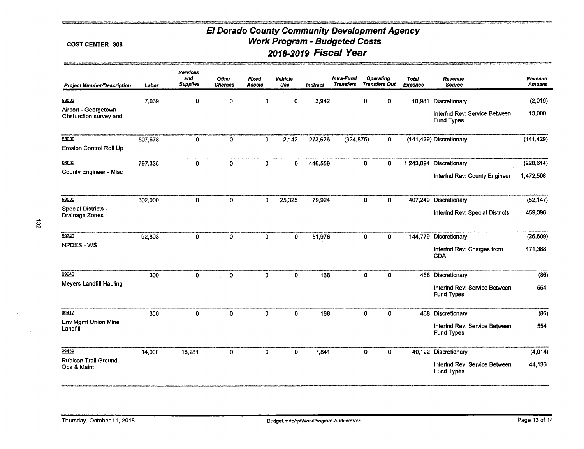**TECHNOLOGICAL CONTRACTOR** 

<u> Postanova stanovana na navni (1973) z</u>

#### **COST CENTER 306**

**COL** 

| <b>Project Number/Description</b>              | Labor   | <b>Services</b><br>and<br><b>Supplies</b> | Other<br><b>Charges</b> | Fixed<br>Assets | Vehicle<br>Use | <b>Indirect</b> | Intra-Fund<br><b>Transfers</b> | Operating<br><b>Transfers Out</b> |             | Total<br><b>Expense</b> | Revenue<br><b>Source</b>                           | Revenue<br><b>Amount</b> |
|------------------------------------------------|---------|-------------------------------------------|-------------------------|-----------------|----------------|-----------------|--------------------------------|-----------------------------------|-------------|-------------------------|----------------------------------------------------|--------------------------|
| 93503                                          | 7,039   | 0                                         | 0                       | 0               | 0              | 3,942           |                                | 0                                 | 0           | 10,981                  | Discretionary                                      | (2,019)                  |
| Airport - Georgetown<br>Obsturction survey and |         |                                           |                         |                 |                |                 |                                |                                   |             |                         | Interfnd Rev: Service Between<br><b>Fund Types</b> | 13,000                   |
| 95000                                          | 507,678 | 0                                         | 0                       | $\mathbf 0$     | 2,142          | 273,626         | (924, 875)                     |                                   | 0           |                         | (141,429) Discretionary                            | (141, 429)               |
| Erosion Control Roll Up                        |         |                                           |                         |                 |                |                 |                                |                                   |             |                         |                                                    |                          |
| 96000                                          | 797,335 | $\mathbf 0$                               | $\mathbf{o}$            | $\mathbf 0$     | 0              | 446,559         |                                | $\pmb{0}$                         | 0           | 1,243,894               | Discretionary                                      | (228, 614)               |
| <b>County Engineer - Misc</b>                  |         |                                           |                         |                 |                |                 |                                |                                   |             |                         | Interfnd Rev: County Engineer                      | 1,472,508                |
| 98000                                          | 302,000 | 0                                         | 0                       | 0               | 25,325         | 79,924          |                                | 0                                 | 0           |                         | 407,249 Discretionary                              | (52, 147)                |
| Special Districts -<br>Drainage Zones          |         |                                           |                         |                 |                |                 |                                |                                   |             |                         | Interfnd Rev: Special Districts                    | 459,396                  |
| 99240                                          | 92,803  | 0                                         | 0                       | 0               | 0              | 51,976          |                                | 0                                 | 0           | 144,779                 | Discretionary                                      | (26, 609)                |
| NPDES-WS                                       |         |                                           |                         |                 |                |                 |                                |                                   |             |                         | Interfnd Rev: Charges from<br><b>CDA</b>           | 171,388                  |
| 99246                                          | 300     | 0                                         | 0                       | 0               | 0              | 168             |                                | 0                                 | 0           |                         | 468 Discretionary                                  | (86)                     |
| <b>Meyers Landfill Hauling</b>                 |         |                                           |                         |                 |                |                 |                                |                                   |             |                         | interfnd Rev: Service Between<br><b>Fund Types</b> | 554                      |
| 99417                                          | 300     | $\mathbf{0}$                              | $\mathbf 0$             | $\mathbf 0$     | 0              | 168             |                                | $\mathbf 0$                       | $\mathbf 0$ |                         | 468 Discretionary                                  | (86)                     |
| Env Mgmt Union Mine<br>Landfill                |         |                                           |                         |                 |                |                 |                                |                                   |             |                         | Interfnd Rev: Service Between<br><b>Fund Types</b> | 554                      |
| 99439                                          | 14,000  | 18,281                                    | 0                       | $\mathbf 0$     | $\mathbf{0}$   | 7,841           |                                | $\Omega$                          | $\mathbf 0$ |                         | 40,122 Discretionary                               | (4,014)                  |
| <b>Rubicon Trail Ground</b><br>Ops & Maint     |         |                                           |                         |                 |                |                 |                                |                                   |             |                         | Interfnd Rev: Service Between<br><b>Fund Types</b> | 44,136                   |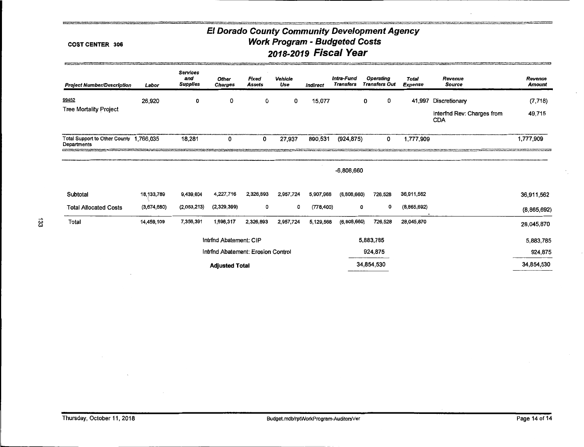#### COST CENTER 306

**Boot** 

| <b>Project Number/Description</b>                      | Labor       | <b>Services</b><br>and<br><b>Supplies</b> | <b>Other</b><br><b>Charges</b>     | Fixed<br><b>Assets</b> | Vehicle<br>Use | Indirect   | Intra-Fund<br><b>Transfers</b> | <b>Operating</b><br><b>Transfers Out</b> | <b>Total</b><br>Expense | Revenue<br><b>Source</b>                 | Revenue<br><b>Amount</b> |
|--------------------------------------------------------|-------------|-------------------------------------------|------------------------------------|------------------------|----------------|------------|--------------------------------|------------------------------------------|-------------------------|------------------------------------------|--------------------------|
| 99452                                                  | 26,920      | 0                                         | 0                                  | 0                      | 0              | 15,077     |                                | 0<br>0                                   | 41,997                  | Discretionary                            | (7, 718)                 |
| <b>Tree Mortality Project</b>                          |             |                                           |                                    |                        |                |            |                                |                                          |                         | Interfnd Rev: Charges from<br><b>CDA</b> | 49,715                   |
| Total Support to Other County 1,766,035<br>Departments |             | 18,281                                    | 0                                  | 0                      | 27,937         | 890,531    | (924, 875)                     | 0                                        | 1,777,909               |                                          | 1,777,909                |
|                                                        |             |                                           |                                    |                        |                |            | -6,808,660                     |                                          |                         |                                          |                          |
| Subtotal                                               | 18,133,789  | 9,439,604                                 | 4,227,716                          | 2,326,893              | 2,957,724      | 5,907,968  | (6,808,660)                    | 726,528                                  | 36,911,562              |                                          | 36,911,562               |
| <b>Total Allocated Costs</b>                           | (3,674,680) | (2,083,213)                               | (2,329,399)                        | 0                      | 0              | (778, 400) |                                | o<br>0                                   | (8,865,692)             |                                          | (8,865,692)              |
| Total                                                  | 14,459,109  | 7,356,391                                 | 1,898,317                          | 2,326,893              | 2.957,724      | 5,129,568  | (6,808,660)                    | 726,528                                  | 28,045,870              |                                          | 28,045,870               |
|                                                        |             |                                           | Intrind Abatement: CIP             |                        |                |            |                                | 5,883,785                                |                         |                                          | 5,883,785                |
|                                                        |             |                                           | Intrind Abatement: Erosion Control |                        |                |            |                                | 924,875                                  |                         |                                          | 924,875                  |
|                                                        |             |                                           | <b>Adjusted Total</b>              |                        |                |            |                                | 34,854,530                               |                         |                                          | 34,854,530               |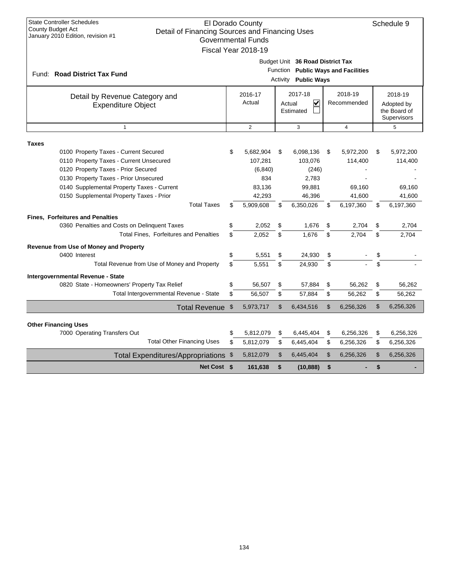| <b>State Controller Schedules</b><br>El Dorado County<br>Schedule 9<br><b>County Budget Act</b><br>Detail of Financing Sources and Financing Uses<br>January 2010 Edition, revision #1<br><b>Governmental Funds</b><br>Fiscal Year 2018-19 |      |                                  |                |                                                                                                        |    |                        |    |                                                      |  |  |  |  |
|--------------------------------------------------------------------------------------------------------------------------------------------------------------------------------------------------------------------------------------------|------|----------------------------------|----------------|--------------------------------------------------------------------------------------------------------|----|------------------------|----|------------------------------------------------------|--|--|--|--|
| Fund: Road District Tax Fund                                                                                                                                                                                                               |      |                                  |                | Budget Unit 36 Road District Tax<br>Function Public Ways and Facilities<br><b>Activity Public Ways</b> |    |                        |    |                                                      |  |  |  |  |
| Detail by Revenue Category and<br><b>Expenditure Object</b>                                                                                                                                                                                |      | 2016-17<br>Actual                |                | 2017-18<br>$\overline{\mathbf{v}}$<br>Actual<br>Estimated                                              |    | 2018-19<br>Recommended |    | 2018-19<br>Adopted by<br>the Board of<br>Supervisors |  |  |  |  |
| $\mathbf{1}$                                                                                                                                                                                                                               |      | $\overline{2}$                   |                | 3                                                                                                      |    | $\overline{4}$         |    | 5                                                    |  |  |  |  |
| <b>Taxes</b>                                                                                                                                                                                                                               |      |                                  |                |                                                                                                        |    |                        |    |                                                      |  |  |  |  |
| 0100 Property Taxes - Current Secured<br>0110 Property Taxes - Current Unsecured<br>0120 Property Taxes - Prior Secured                                                                                                                    | \$   | 5,682,904<br>107,281<br>(6, 840) | \$             | 6,098,136<br>103,076<br>(246)                                                                          | \$ | 5,972,200<br>114,400   | \$ | 5,972,200<br>114,400                                 |  |  |  |  |
| 0130 Property Taxes - Prior Unsecured                                                                                                                                                                                                      |      | 834                              |                | 2,783                                                                                                  |    |                        |    |                                                      |  |  |  |  |
| 0140 Supplemental Property Taxes - Current                                                                                                                                                                                                 |      | 83,136                           |                | 99,881                                                                                                 |    | 69,160                 |    | 69,160                                               |  |  |  |  |
| 0150 Supplemental Property Taxes - Prior<br><b>Total Taxes</b>                                                                                                                                                                             | \$   | 42,293<br>5,909,608              | \$             | 46,396<br>6,350,026                                                                                    |    | 41,600<br>6,197,360    | \$ | 41,600                                               |  |  |  |  |
|                                                                                                                                                                                                                                            |      |                                  |                |                                                                                                        | \$ |                        |    | 6,197,360                                            |  |  |  |  |
| <b>Fines, Forfeitures and Penalties</b>                                                                                                                                                                                                    |      |                                  |                |                                                                                                        |    |                        |    |                                                      |  |  |  |  |
| 0360 Penalties and Costs on Delinquent Taxes<br>Total Fines, Forfeitures and Penalties                                                                                                                                                     | \$   | 2,052                            | \$             | 1,676                                                                                                  | \$ | 2,704                  | \$ | 2,704                                                |  |  |  |  |
|                                                                                                                                                                                                                                            | \$   | 2.052                            | \$             | 1.676                                                                                                  | \$ | 2.704                  | \$ | 2,704                                                |  |  |  |  |
| Revenue from Use of Money and Property                                                                                                                                                                                                     |      |                                  |                |                                                                                                        |    |                        |    |                                                      |  |  |  |  |
| 0400 Interest                                                                                                                                                                                                                              | \$   | 5,551                            | \$             | 24,930                                                                                                 | \$ |                        | \$ |                                                      |  |  |  |  |
| Total Revenue from Use of Money and Property                                                                                                                                                                                               | \$   | 5.551                            | \$             | 24,930                                                                                                 | \$ |                        | \$ |                                                      |  |  |  |  |
| Intergovernmental Revenue - State                                                                                                                                                                                                          |      |                                  |                |                                                                                                        |    |                        |    |                                                      |  |  |  |  |
| 0820 State - Homeowners' Property Tax Relief                                                                                                                                                                                               | \$   | 56,507                           | \$             | 57,884                                                                                                 | \$ | 56,262                 | \$ | 56,262                                               |  |  |  |  |
| Total Intergovernmental Revenue - State                                                                                                                                                                                                    | \$   | 56,507                           | \$             | 57,884                                                                                                 | \$ | 56,262                 | \$ | 56,262                                               |  |  |  |  |
| Total Revenue \$                                                                                                                                                                                                                           |      | 5,973,717                        | $\mathsf{\$}$  | 6,434,516                                                                                              | \$ | 6,256,326              | \$ | 6,256,326                                            |  |  |  |  |
|                                                                                                                                                                                                                                            |      |                                  |                |                                                                                                        |    |                        |    |                                                      |  |  |  |  |
| <b>Other Financing Uses</b><br>7000 Operating Transfers Out                                                                                                                                                                                | \$   | 5,812,079                        | \$             | 6,445,404                                                                                              | \$ | 6,256,326              | \$ | 6,256,326                                            |  |  |  |  |
| <b>Total Other Financing Uses</b>                                                                                                                                                                                                          | \$   | 5,812,079                        | \$             | 6,445,404                                                                                              | \$ | 6,256,326              | \$ | 6,256,326                                            |  |  |  |  |
|                                                                                                                                                                                                                                            |      |                                  | $\mathfrak{S}$ |                                                                                                        | \$ |                        | \$ | 6,256,326                                            |  |  |  |  |
| <b>Total Expenditures/Appropriations</b>                                                                                                                                                                                                   | - \$ | 5,812,079                        |                | 6,445,404                                                                                              |    | 6,256,326              |    |                                                      |  |  |  |  |
| Net Cost \$                                                                                                                                                                                                                                |      | 161,638                          | \$             | (10, 888)                                                                                              | \$ |                        | \$ |                                                      |  |  |  |  |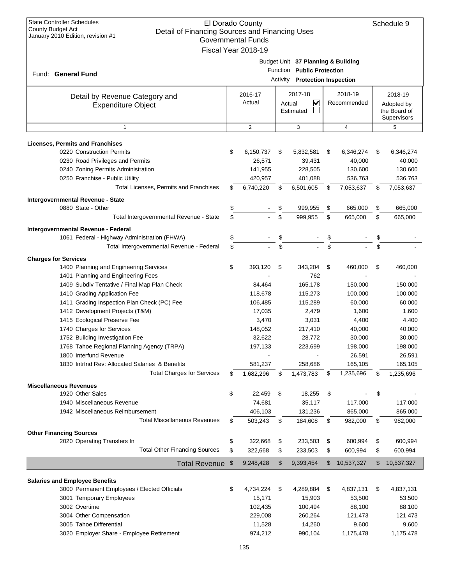| <b>State Controller Schedules</b><br>El Dorado County<br>Schedule 9<br>County Budget Act<br>Detail of Financing Sources and Financing Uses<br>January 2010 Edition, revision #1<br><b>Governmental Funds</b><br>Fiscal Year 2018-19 |    |                |          |                                    |          |             |    |                             |  |  |  |  |
|-------------------------------------------------------------------------------------------------------------------------------------------------------------------------------------------------------------------------------------|----|----------------|----------|------------------------------------|----------|-------------|----|-----------------------------|--|--|--|--|
|                                                                                                                                                                                                                                     |    |                |          |                                    |          |             |    |                             |  |  |  |  |
|                                                                                                                                                                                                                                     |    |                |          | Budget Unit 37 Planning & Building |          |             |    |                             |  |  |  |  |
|                                                                                                                                                                                                                                     |    |                |          | Function Public Protection         |          |             |    |                             |  |  |  |  |
| Fund: General Fund                                                                                                                                                                                                                  |    |                | Activity | <b>Protection Inspection</b>       |          |             |    |                             |  |  |  |  |
|                                                                                                                                                                                                                                     |    |                |          |                                    |          |             |    |                             |  |  |  |  |
| Detail by Revenue Category and                                                                                                                                                                                                      |    | 2016-17        |          | 2017-18                            |          | 2018-19     |    | 2018-19                     |  |  |  |  |
| <b>Expenditure Object</b>                                                                                                                                                                                                           |    | Actual         |          | $\checkmark$<br>Actual             |          | Recommended |    | Adopted by                  |  |  |  |  |
|                                                                                                                                                                                                                                     |    |                |          | Estimated                          |          |             |    | the Board of<br>Supervisors |  |  |  |  |
| $\mathbf{1}$                                                                                                                                                                                                                        |    | $\overline{2}$ |          | 3                                  |          | 4           |    | 5                           |  |  |  |  |
|                                                                                                                                                                                                                                     |    |                |          |                                    |          |             |    |                             |  |  |  |  |
| <b>Licenses, Permits and Franchises</b>                                                                                                                                                                                             |    |                |          |                                    |          |             |    |                             |  |  |  |  |
| 0220 Construction Permits                                                                                                                                                                                                           | \$ | 6,150,737      | \$       | 5,832,581                          | \$       | 6,346,274   | \$ | 6,346,274                   |  |  |  |  |
| 0230 Road Privileges and Permits                                                                                                                                                                                                    |    | 26,571         |          | 39,431                             |          | 40,000      |    | 40,000                      |  |  |  |  |
| 0240 Zoning Permits Administration                                                                                                                                                                                                  |    | 141,955        |          | 228,505                            |          | 130,600     |    | 130,600                     |  |  |  |  |
| 0250 Franchise - Public Utility                                                                                                                                                                                                     |    | 420,957        |          | 401,088                            |          | 536,763     |    | 536,763                     |  |  |  |  |
| Total Licenses, Permits and Franchises                                                                                                                                                                                              | \$ | 6,740,220      | \$       | 6,501,605                          | \$       | 7,053,637   | \$ | 7,053,637                   |  |  |  |  |
| Intergovernmental Revenue - State                                                                                                                                                                                                   |    |                |          |                                    |          |             |    |                             |  |  |  |  |
| 0880 State - Other                                                                                                                                                                                                                  | \$ |                | \$       | 999,955                            | \$       | 665,000     | \$ | 665,000                     |  |  |  |  |
| Total Intergovernmental Revenue - State                                                                                                                                                                                             | \$ |                | \$       | 999,955                            | \$       | 665,000     | \$ | 665,000                     |  |  |  |  |
|                                                                                                                                                                                                                                     |    |                |          |                                    |          |             |    |                             |  |  |  |  |
| Intergovernmental Revenue - Federal                                                                                                                                                                                                 |    |                |          |                                    |          |             |    |                             |  |  |  |  |
| 1061 Federal - Highway Administration (FHWA)                                                                                                                                                                                        | \$ |                | \$       |                                    | \$<br>\$ |             | \$ |                             |  |  |  |  |
| Total Intergovernmental Revenue - Federal                                                                                                                                                                                           | \$ |                | \$       |                                    |          |             |    |                             |  |  |  |  |
| <b>Charges for Services</b>                                                                                                                                                                                                         |    |                |          |                                    |          |             |    |                             |  |  |  |  |
| 1400 Planning and Engineering Services                                                                                                                                                                                              | \$ | 393,120        | \$       | 343,204                            | \$       | 460,000     | \$ | 460,000                     |  |  |  |  |
| 1401 Planning and Engineering Fees                                                                                                                                                                                                  |    |                |          | 762                                |          |             |    |                             |  |  |  |  |
| 1409 Subdiv Tentative / Final Map Plan Check                                                                                                                                                                                        |    | 84,464         |          | 165,178                            |          | 150,000     |    | 150,000                     |  |  |  |  |
| 1410 Grading Application Fee                                                                                                                                                                                                        |    | 118,678        |          | 115,273                            |          | 100,000     |    | 100,000                     |  |  |  |  |
| 1411 Grading Inspection Plan Check (PC) Fee                                                                                                                                                                                         |    | 106,485        |          | 115,289                            |          | 60,000      |    | 60,000                      |  |  |  |  |
| 1412 Development Projects (T&M)                                                                                                                                                                                                     |    | 17,035         |          | 2,479                              |          | 1,600       |    | 1,600                       |  |  |  |  |
| 1415 Ecological Preserve Fee                                                                                                                                                                                                        |    | 3,470          |          | 3,031                              |          | 4,400       |    | 4,400                       |  |  |  |  |
| 1740 Charges for Services                                                                                                                                                                                                           |    | 148,052        |          | 217,410                            |          | 40,000      |    | 40,000                      |  |  |  |  |
| 1752 Building Investigation Fee                                                                                                                                                                                                     |    | 32,622         |          | 28,772                             |          | 30,000      |    | 30,000                      |  |  |  |  |
| 1768 Tahoe Regional Planning Agency (TRPA)                                                                                                                                                                                          |    | 197,133        |          | 223,699                            |          | 198,000     |    | 198,000                     |  |  |  |  |
| 1800 Interfund Revenue                                                                                                                                                                                                              |    |                |          |                                    |          | 26,591      |    | 26,591                      |  |  |  |  |
| 1830 Intrind Rev: Allocated Salaries & Benefits                                                                                                                                                                                     |    | 581,237        |          | 258,686                            |          | 165,105     |    | 165,105                     |  |  |  |  |
| <b>Total Charges for Services</b>                                                                                                                                                                                                   | \$ | 1,682,296      | \$       | 1,473,783                          | \$       | 1,235,696   | \$ | 1,235,696                   |  |  |  |  |
| <b>Miscellaneous Revenues</b>                                                                                                                                                                                                       |    |                |          |                                    |          |             |    |                             |  |  |  |  |
| 1920 Other Sales                                                                                                                                                                                                                    | \$ | 22,459         | \$       | 18,255                             | \$       |             | \$ |                             |  |  |  |  |
| 1940 Miscellaneous Revenue                                                                                                                                                                                                          |    | 74,681         |          | 35,117                             |          | 117,000     |    | 117,000                     |  |  |  |  |
| 1942 Miscellaneous Reimbursement                                                                                                                                                                                                    |    | 406,103        |          | 131,236                            |          | 865,000     |    | 865,000                     |  |  |  |  |
| <b>Total Miscellaneous Revenues</b>                                                                                                                                                                                                 | S  | 503,243        | \$       | 184,608                            | \$       | 982,000     | \$ | 982,000                     |  |  |  |  |
|                                                                                                                                                                                                                                     |    |                |          |                                    |          |             |    |                             |  |  |  |  |
| <b>Other Financing Sources</b><br>2020 Operating Transfers In                                                                                                                                                                       | \$ | 322,668        | \$       | 233,503                            | \$       | 600,994     | \$ | 600,994                     |  |  |  |  |
| <b>Total Other Financing Sources</b>                                                                                                                                                                                                | \$ | 322,668        | \$       | 233,503                            | \$       | 600,994     | \$ | 600,994                     |  |  |  |  |
|                                                                                                                                                                                                                                     |    |                |          |                                    |          |             |    |                             |  |  |  |  |
| Total Revenue \$                                                                                                                                                                                                                    |    | 9,248,428      | \$       | 9,393,454                          | \$       | 10,537,327  | \$ | 10,537,327                  |  |  |  |  |
|                                                                                                                                                                                                                                     |    |                |          |                                    |          |             |    |                             |  |  |  |  |
| <b>Salaries and Employee Benefits</b><br>3000 Permanent Employees / Elected Officials                                                                                                                                               | \$ | 4,734,224      | \$       | 4,289,884                          | \$       | 4,837,131   | \$ | 4,837,131                   |  |  |  |  |
| 3001 Temporary Employees                                                                                                                                                                                                            |    | 15,171         |          | 15,903                             |          | 53,500      |    | 53,500                      |  |  |  |  |
| 3002 Overtime                                                                                                                                                                                                                       |    | 102,435        |          | 100,494                            |          | 88,100      |    | 88,100                      |  |  |  |  |
| 3004 Other Compensation                                                                                                                                                                                                             |    | 229,008        |          | 260,264                            |          | 121,473     |    | 121,473                     |  |  |  |  |
| 3005 Tahoe Differential                                                                                                                                                                                                             |    | 11,528         |          | 14,260                             |          | 9,600       |    | 9,600                       |  |  |  |  |
|                                                                                                                                                                                                                                     |    |                |          |                                    |          |             |    |                             |  |  |  |  |
| 3020 Employer Share - Employee Retirement                                                                                                                                                                                           |    | 974,212        |          | 990,104                            |          | 1,175,478   |    | 1,175,478                   |  |  |  |  |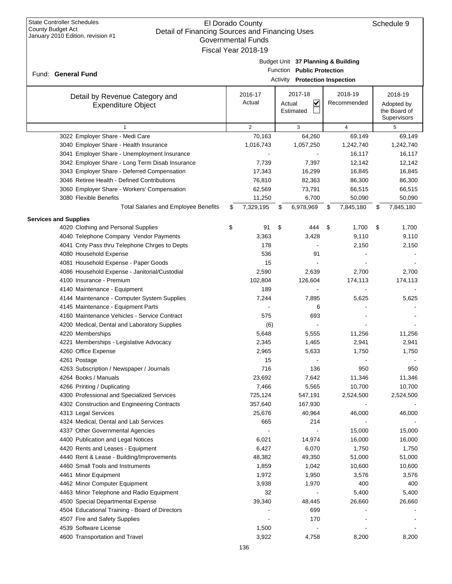| <b>State Controller Schedules</b><br>County Budget Act<br>Detail of Financing Sources and Financing Uses<br>January 2010 Edition, revision #1 |    | El Dorado County<br><b>Governmental Funds</b><br>Fiscal Year 2018-19 |                                                                                                           |    |                        | Schedule 9                                           |
|-----------------------------------------------------------------------------------------------------------------------------------------------|----|----------------------------------------------------------------------|-----------------------------------------------------------------------------------------------------------|----|------------------------|------------------------------------------------------|
| Fund: General Fund                                                                                                                            |    |                                                                      | Budget Unit 37 Planning & Building<br>Function Public Protection<br><b>Activity</b> Protection Inspection |    |                        |                                                      |
| Detail by Revenue Category and<br><b>Expenditure Object</b>                                                                                   |    | 2016-17<br>Actual                                                    | 2017-18<br>$\blacktriangledown$<br>Actual<br>Estimated                                                    |    | 2018-19<br>Recommended | 2018-19<br>Adopted by<br>the Board of<br>Supervisors |
|                                                                                                                                               |    | 2                                                                    | 3                                                                                                         |    | 4                      | 5                                                    |
| 3022 Employer Share - Medi Care                                                                                                               |    | 70,163                                                               | 64,260                                                                                                    |    | 69,149                 | 69,149                                               |
| 3040 Employer Share - Health Insurance                                                                                                        |    | 1,016,743                                                            | 1,057,250                                                                                                 |    | 1,242,740              | 1,242,740                                            |
| 3041 Employer Share - Unemployment Insurance                                                                                                  |    |                                                                      |                                                                                                           |    | 16,117                 | 16,117                                               |
| 3042 Employer Share - Long Term Disab Insurance                                                                                               |    | 7,739                                                                | 7,397                                                                                                     |    | 12,142                 | 12,142                                               |
| 3043 Employer Share - Deferred Compensation                                                                                                   |    | 17,343                                                               | 16,299                                                                                                    |    | 16,845                 | 16,845                                               |
| 3046 Retiree Health - Defined Contributions                                                                                                   |    | 76,810                                                               | 82,363                                                                                                    |    | 86,300                 | 86,300                                               |
| 3060 Employer Share - Workers' Compensation                                                                                                   |    | 62,569                                                               | 73,791                                                                                                    |    | 66,515                 | 66,515                                               |
| 3080 Flexible Benefits                                                                                                                        |    | 11,250                                                               | 6,700                                                                                                     |    | 50,090                 | 50,090                                               |
| <b>Total Salaries and Employee Benefits</b>                                                                                                   | S  | 7,329,195                                                            | \$<br>6,978,969                                                                                           | S  | 7,845,180              | \$<br>7,845,180                                      |
| <b>Services and Supplies</b>                                                                                                                  |    |                                                                      |                                                                                                           |    |                        |                                                      |
| 4020 Clothing and Personal Supplies                                                                                                           | \$ | 91                                                                   | \$<br>444                                                                                                 | \$ | 1,700                  | \$<br>1,700                                          |
| 4040 Telephone Company Vendor Payments                                                                                                        |    | 3,363                                                                | 3,428                                                                                                     |    | 9,110                  | 9,110                                                |
| 4041 Cnty Pass thru Telephone Chrges to Depts                                                                                                 |    | 178                                                                  |                                                                                                           |    | 2,150                  | 2,150                                                |
| 4080 Household Expense                                                                                                                        |    | 536                                                                  | 91                                                                                                        |    |                        |                                                      |
| 4081 Household Expense - Paper Goods                                                                                                          |    | 15                                                                   |                                                                                                           |    |                        |                                                      |
| 4086 Household Expense - Janitorial/Custodial                                                                                                 |    | 2,590                                                                | 2,639                                                                                                     |    | 2,700                  | 2,700                                                |
| 4100 Insurance - Premium                                                                                                                      |    | 102,804                                                              | 126,604                                                                                                   |    | 174,113                | 174,113                                              |
| 4140 Maintenance - Equipment                                                                                                                  |    | 189                                                                  |                                                                                                           |    |                        |                                                      |
| 4144 Maintenance - Computer System Supplies                                                                                                   |    | 7,244                                                                | 7,895                                                                                                     |    | 5,625                  | 5,625                                                |
| 4145 Maintenance - Equipment Parts                                                                                                            |    |                                                                      | 6                                                                                                         |    |                        |                                                      |
| 4160 Maintenance Vehicles - Service Contract                                                                                                  |    | 575                                                                  | 693                                                                                                       |    |                        |                                                      |
| 4200 Medical, Dental and Laboratory Supplies                                                                                                  |    | (6)                                                                  |                                                                                                           |    |                        |                                                      |
| 4220 Memberships                                                                                                                              |    | 5,648                                                                | 5,555                                                                                                     |    | 11,256                 | 11,256                                               |
| 4221 Memberships - Legislative Advocacy                                                                                                       |    | 2,345                                                                | 1,465                                                                                                     |    | 2,941                  | 2,941                                                |
| 4260 Office Expense                                                                                                                           |    | 2,965                                                                | 5,633                                                                                                     |    | 1,750                  | 1,750                                                |
| 4261 Postage                                                                                                                                  |    | 15                                                                   |                                                                                                           |    |                        |                                                      |
| 4263 Subscription / Newspaper / Journals                                                                                                      |    | 716                                                                  | 136                                                                                                       |    | 950                    | 950                                                  |
| 4264 Books / Manuals                                                                                                                          |    | 23,692                                                               | 7,642                                                                                                     |    | 11,346                 | 11,346                                               |
| 4266 Printing / Duplicating                                                                                                                   |    | 7,466                                                                | 5,565                                                                                                     |    | 10,700                 | 10,700                                               |
| 4300 Professional and Specialized Services                                                                                                    |    | 725,124                                                              | 547,191                                                                                                   |    | 2,524,500              | 2,524,500                                            |
| 4302 Construction and Engineering Contracts                                                                                                   |    | 357,640                                                              | 167,930                                                                                                   |    |                        |                                                      |
| 4313 Legal Services                                                                                                                           |    | 25,676                                                               | 40,964                                                                                                    |    | 46,000                 | 46,000                                               |
| 4324 Medical, Dental and Lab Services                                                                                                         |    | 665                                                                  | 214                                                                                                       |    |                        |                                                      |
| 4337 Other Governmental Agencies                                                                                                              |    |                                                                      | $\blacksquare$                                                                                            |    | 15,000                 | 15,000                                               |
| 4400 Publication and Legal Notices                                                                                                            |    | 6,021                                                                | 14,974                                                                                                    |    | 16,000                 | 16,000                                               |
| 4420 Rents and Leases - Equipment                                                                                                             |    | 6,427                                                                | 6,070                                                                                                     |    | 1,750                  | 1,750                                                |
| 4440 Rent & Lease - Building/Improvements                                                                                                     |    | 48,382                                                               | 49,350                                                                                                    |    | 51,000                 | 51,000                                               |
| 4460 Small Tools and Instruments                                                                                                              |    | 1,859                                                                | 1,042                                                                                                     |    | 10,600                 | 10,600                                               |
| 4461 Minor Equipment                                                                                                                          |    | 1,972                                                                | 1,950                                                                                                     |    | 3,576                  | 3,576                                                |
| 4462 Minor Computer Equipment                                                                                                                 |    | 3,938                                                                | 1,970                                                                                                     |    | 400                    | 400                                                  |
| 4463 Minor Telephone and Radio Equipment                                                                                                      |    | 32                                                                   | $\blacksquare$                                                                                            |    | 5,400                  | 5,400                                                |
| 4500 Special Departmental Expense                                                                                                             |    | 39,340                                                               | 48,445                                                                                                    |    | 26,660                 | 26,660                                               |
| 4504 Educational Training - Board of Directors                                                                                                |    |                                                                      | 699                                                                                                       |    |                        |                                                      |
| 4507 Fire and Safety Supplies                                                                                                                 |    |                                                                      | 170                                                                                                       |    |                        |                                                      |
| 4539 Software License                                                                                                                         |    | 1,500                                                                |                                                                                                           |    |                        |                                                      |
| 4600 Transportation and Travel                                                                                                                |    | 3,922                                                                | 4,758                                                                                                     |    | 8,200                  | 8,200                                                |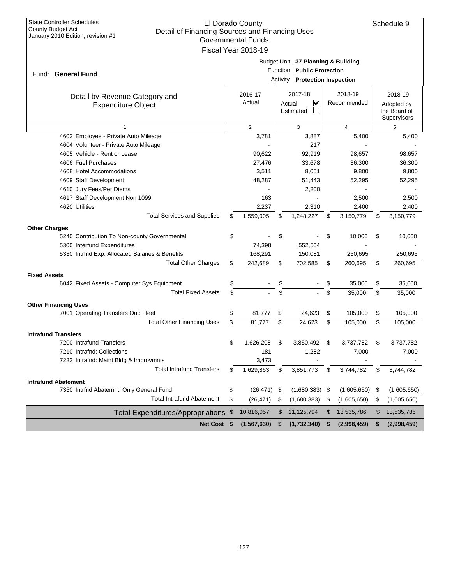| <b>State Controller Schedules</b>                                                                        |    | El Dorado County |    |                                                                  |    |                |      | Schedule 9                 |
|----------------------------------------------------------------------------------------------------------|----|------------------|----|------------------------------------------------------------------|----|----------------|------|----------------------------|
| County Budget Act<br>Detail of Financing Sources and Financing Uses<br>January 2010 Edition, revision #1 |    |                  |    |                                                                  |    |                |      |                            |
| <b>Governmental Funds</b><br>Fiscal Year 2018-19                                                         |    |                  |    |                                                                  |    |                |      |                            |
|                                                                                                          |    |                  |    |                                                                  |    |                |      |                            |
|                                                                                                          |    |                  |    | Budget Unit 37 Planning & Building<br>Function Public Protection |    |                |      |                            |
| Fund: General Fund                                                                                       |    |                  |    | <b>Activity Protection Inspection</b>                            |    |                |      |                            |
|                                                                                                          |    |                  |    |                                                                  |    |                |      |                            |
| Detail by Revenue Category and                                                                           |    | 2016-17          |    | 2017-18                                                          |    | 2018-19        |      | 2018-19                    |
| <b>Expenditure Object</b>                                                                                |    | Actual           |    | V<br>Actual<br>Estimated                                         |    | Recommended    |      | Adopted by<br>the Board of |
|                                                                                                          |    |                  |    |                                                                  |    |                |      | Supervisors                |
| $\mathbf{1}$                                                                                             |    | 2                |    | 3                                                                |    | 4              |      | 5                          |
| 4602 Employee - Private Auto Mileage                                                                     |    | 3,781            |    | 3,887                                                            |    | 5,400          |      | 5,400                      |
| 4604 Volunteer - Private Auto Mileage                                                                    |    |                  |    | 217                                                              |    |                |      |                            |
| 4605 Vehicle - Rent or Lease                                                                             |    | 90,622           |    | 92,919                                                           |    | 98,657         |      | 98,657                     |
| 4606 Fuel Purchases                                                                                      |    | 27,476           |    | 33,678                                                           |    | 36,300         |      | 36,300                     |
| 4608 Hotel Accommodations                                                                                |    | 3,511            |    | 8,051                                                            |    | 9,800          |      | 9,800                      |
| 4609 Staff Development                                                                                   |    | 48,287           |    | 51,443                                                           |    | 52,295         |      | 52,295                     |
| 4610 Jury Fees/Per Diems                                                                                 |    | 163              |    | 2,200                                                            |    |                |      |                            |
| 4617 Staff Development Non 1099<br>4620 Utilities                                                        |    | 2,237            |    | 2,310                                                            |    | 2,500<br>2,400 |      | 2,500<br>2,400             |
| <b>Total Services and Supplies</b>                                                                       | \$ | 1,559,005        | \$ | 1,248,227                                                        | \$ | 3,150,779      | \$   | 3,150,779                  |
|                                                                                                          |    |                  |    |                                                                  |    |                |      |                            |
| <b>Other Charges</b><br>5240 Contribution To Non-county Governmental                                     | \$ |                  | \$ |                                                                  | \$ | 10,000         | \$   | 10,000                     |
| 5300 Interfund Expenditures                                                                              |    | 74,398           |    | 552,504                                                          |    |                |      |                            |
| 5330 Intrfnd Exp: Allocated Salaries & Benefits                                                          |    | 168,291          |    | 150,081                                                          |    | 250,695        |      | 250,695                    |
| <b>Total Other Charges</b>                                                                               | \$ | 242,689          | \$ | 702,585                                                          | \$ | 260,695        | \$   | 260,695                    |
| <b>Fixed Assets</b>                                                                                      |    |                  |    |                                                                  |    |                |      |                            |
| 6042 Fixed Assets - Computer Sys Equipment                                                               | \$ |                  | \$ |                                                                  | \$ | 35,000         | \$   | 35,000                     |
| <b>Total Fixed Assets</b>                                                                                | \$ |                  | \$ |                                                                  | \$ | 35,000         | \$   | 35,000                     |
|                                                                                                          |    |                  |    |                                                                  |    |                |      |                            |
| <b>Other Financing Uses</b><br>7001 Operating Transfers Out: Fleet                                       | \$ | 81,777           | \$ | 24,623                                                           | \$ | 105,000        | \$   | 105,000                    |
| <b>Total Other Financing Uses</b>                                                                        | \$ | 81,777           | \$ | 24,623                                                           | \$ | 105,000        | \$   | 105,000                    |
|                                                                                                          |    |                  |    |                                                                  |    |                |      |                            |
| <b>Intrafund Transfers</b><br>7200 Intrafund Transfers                                                   | ደ. | 1,626,208        |    | 3,850,492                                                        |    | 3,737,782      |      | 3,737,782                  |
| 7210 Intrafnd: Collections                                                                               |    | 181              |    | 1,282                                                            |    | 7,000          |      | 7,000                      |
| 7232 Intrafnd: Maint Bldg & Improvmnts                                                                   |    | 3,473            |    |                                                                  |    |                |      |                            |
| <b>Total Intrafund Transfers</b>                                                                         | S  | 1,629,863        | \$ | 3,851,773                                                        | \$ | 3,744,782      | \$   | 3,744,782                  |
| <b>Intrafund Abatement</b>                                                                               |    |                  |    |                                                                  |    |                |      |                            |
| 7350 Intrfnd Abatemnt: Only General Fund                                                                 | S  | $(26, 471)$ \$   |    | $(1,680,383)$ \$                                                 |    | (1,605,650)    | - \$ | (1,605,650)                |
| <b>Total Intrafund Abatement</b>                                                                         | \$ | (26, 471)        | \$ | (1,680,383)                                                      | \$ | (1,605,650)    | \$   | (1,605,650)                |
|                                                                                                          |    | 10,816,057       | \$ | 11,125,794                                                       | \$ | 13,535,786     | \$   | 13,535,786                 |
| Total Expenditures/Appropriations \$                                                                     |    |                  |    |                                                                  |    |                |      |                            |
| Net Cost \$                                                                                              |    | (1, 567, 630)    | \$ | (1,732,340)                                                      | \$ | (2,998,459)    | \$   | (2,998,459)                |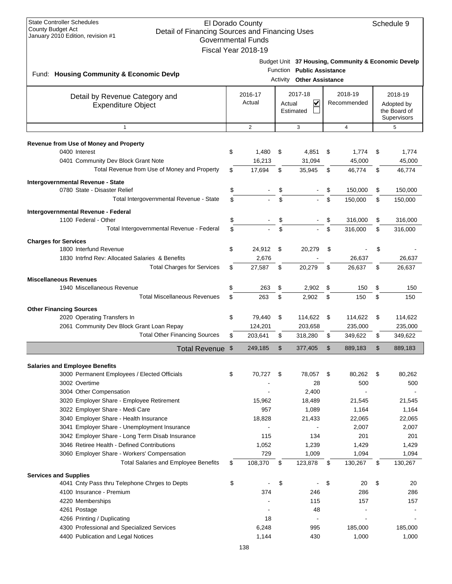| <b>State Controller Schedules</b><br>El Dorado County<br>Schedule 9<br><b>County Budget Act</b><br>Detail of Financing Sources and Financing Uses<br>January 2010 Edition, revision #1<br><b>Governmental Funds</b><br>Fiscal Year 2018-19 |          |                   |          |                                                       |     |                                                     |          |                                                      |
|--------------------------------------------------------------------------------------------------------------------------------------------------------------------------------------------------------------------------------------------|----------|-------------------|----------|-------------------------------------------------------|-----|-----------------------------------------------------|----------|------------------------------------------------------|
| Fund: Housing Community & Economic Devlp                                                                                                                                                                                                   |          |                   | Activity | Function Public Assistance<br><b>Other Assistance</b> |     | Budget Unit 37 Housing, Community & Economic Develp |          |                                                      |
| Detail by Revenue Category and<br>Expenditure Object                                                                                                                                                                                       |          | 2016-17<br>Actual | Actual   | 2017-18<br>V<br>Estimated                             |     | 2018-19<br>Recommended                              |          | 2018-19<br>Adopted by<br>the Board of<br>Supervisors |
| $\mathbf{1}$                                                                                                                                                                                                                               |          | $\overline{2}$    |          | 3                                                     |     | $\overline{4}$                                      |          | 5                                                    |
| <b>Revenue from Use of Money and Property</b>                                                                                                                                                                                              |          |                   |          |                                                       |     |                                                     |          |                                                      |
| 0400 Interest                                                                                                                                                                                                                              | \$       | 1,480             | \$       | 4,851                                                 | \$  | 1,774                                               | S        | 1,774                                                |
| 0401 Community Dev Block Grant Note                                                                                                                                                                                                        |          | 16,213            |          | 31,094                                                |     | 45,000                                              |          | 45,000                                               |
| Total Revenue from Use of Money and Property                                                                                                                                                                                               | \$       | 17,694            | \$       | 35,945                                                | S   | 46,774                                              | \$       | 46,774                                               |
| Intergovernmental Revenue - State                                                                                                                                                                                                          |          |                   |          |                                                       |     |                                                     |          |                                                      |
| 0780 State - Disaster Relief<br>Total Intergovernmental Revenue - State                                                                                                                                                                    | \$<br>\$ |                   | \$<br>\$ |                                                       | \$. | 150.000<br>150.000                                  | \$<br>\$ | 150,000<br>150,000                                   |
|                                                                                                                                                                                                                                            |          |                   |          |                                                       |     |                                                     |          |                                                      |
| Intergovernmental Revenue - Federal<br>1100 Federal - Other                                                                                                                                                                                | \$       |                   | \$       |                                                       | \$  | 316,000                                             | \$       | 316,000                                              |
| Total Intergovernmental Revenue - Federal                                                                                                                                                                                                  | \$       |                   | \$       |                                                       | \$  | 316,000                                             | \$       | 316,000                                              |
| <b>Charges for Services</b>                                                                                                                                                                                                                |          |                   |          |                                                       |     |                                                     |          |                                                      |
| 1800 Interfund Revenue                                                                                                                                                                                                                     | \$       | 24,912            | \$       | 20,279                                                | \$  |                                                     | \$       |                                                      |
| 1830 Intrind Rev: Allocated Salaries & Benefits                                                                                                                                                                                            |          | 2,676             |          |                                                       |     | 26,637                                              |          | 26,637                                               |
| <b>Total Charges for Services</b>                                                                                                                                                                                                          |          | 27,587            | \$       | 20,279                                                | \$  | 26,637                                              | \$       | 26,637                                               |
| <b>Miscellaneous Revenues</b>                                                                                                                                                                                                              |          |                   |          |                                                       |     |                                                     |          |                                                      |
| 1940 Miscellaneous Revenue                                                                                                                                                                                                                 | \$       | 263               | \$       | 2,902                                                 | \$  | 150                                                 | S        | 150                                                  |
| <b>Total Miscellaneous Revenues</b>                                                                                                                                                                                                        | \$       | 263               | \$       | 2,902                                                 | \$  | 150                                                 | \$       | 150                                                  |
| <b>Other Financing Sources</b>                                                                                                                                                                                                             |          |                   |          |                                                       |     |                                                     |          |                                                      |
| 2020 Operating Transfers In                                                                                                                                                                                                                | \$       | 79,440            | \$       | 114,622                                               | \$  | 114,622                                             | \$       | 114,622                                              |
| 2061 Community Dev Block Grant Loan Repay                                                                                                                                                                                                  |          | 124,201           |          | 203,658                                               |     | 235,000                                             |          | 235,000                                              |
| <b>Total Other Financing Sources</b>                                                                                                                                                                                                       | \$       | 203.641           | \$       | 318,280                                               | \$  | 349,622                                             | \$       | 349,622                                              |
| Total Revenue \$                                                                                                                                                                                                                           |          | 249,185           | \$       | 377,405                                               | \$  | 889,183                                             | \$       | 889,183                                              |
| <b>Salaries and Employee Benefits</b>                                                                                                                                                                                                      |          |                   |          |                                                       |     |                                                     |          |                                                      |
| 3000 Permanent Employees / Elected Officials                                                                                                                                                                                               | \$       | 70,727            | \$       | 78,057                                                | \$  | 80,262                                              | \$       | 80,262                                               |
| 3002 Overtime                                                                                                                                                                                                                              |          |                   |          | 28                                                    |     | 500                                                 |          | 500                                                  |
| 3004 Other Compensation                                                                                                                                                                                                                    |          |                   |          | 2,400                                                 |     |                                                     |          |                                                      |
| 3020 Employer Share - Employee Retirement                                                                                                                                                                                                  |          | 15,962            |          | 18,489                                                |     | 21,545                                              |          | 21,545                                               |
| 3022 Employer Share - Medi Care<br>3040 Employer Share - Health Insurance                                                                                                                                                                  |          | 957<br>18,828     |          | 1,089<br>21,433                                       |     | 1,164<br>22,065                                     |          | 1,164<br>22,065                                      |
| 3041 Employer Share - Unemployment Insurance                                                                                                                                                                                               |          |                   |          |                                                       |     | 2,007                                               |          | 2,007                                                |
| 3042 Employer Share - Long Term Disab Insurance                                                                                                                                                                                            |          | 115               |          | 134                                                   |     | 201                                                 |          | 201                                                  |
| 3046 Retiree Health - Defined Contributions                                                                                                                                                                                                |          | 1,052             |          | 1,239                                                 |     | 1,429                                               |          | 1,429                                                |
| 3060 Employer Share - Workers' Compensation                                                                                                                                                                                                |          | 729               |          | 1,009                                                 |     | 1,094                                               |          | 1,094                                                |
| <b>Total Salaries and Employee Benefits</b>                                                                                                                                                                                                | \$       | 108,370           | \$       | 123,878                                               | \$  | 130,267                                             | \$       | 130,267                                              |
| <b>Services and Supplies</b>                                                                                                                                                                                                               |          |                   |          |                                                       |     |                                                     |          |                                                      |
| 4041 Cnty Pass thru Telephone Chrges to Depts                                                                                                                                                                                              | \$       |                   | \$       |                                                       | \$  | 20                                                  | \$       | 20                                                   |
| 4100 Insurance - Premium                                                                                                                                                                                                                   |          | 374               |          | 246                                                   |     | 286                                                 |          | 286                                                  |
| 4220 Memberships<br>4261 Postage                                                                                                                                                                                                           |          |                   |          | 115<br>48                                             |     | 157                                                 |          | 157                                                  |
| 4266 Printing / Duplicating                                                                                                                                                                                                                |          | 18                |          | $\blacksquare$                                        |     |                                                     |          |                                                      |
| 4300 Professional and Specialized Services                                                                                                                                                                                                 |          | 6,248             |          | 995                                                   |     | 185,000                                             |          | 185,000                                              |
| 4400 Publication and Legal Notices                                                                                                                                                                                                         |          | 1,144             |          | 430                                                   |     | 1,000                                               |          | 1,000                                                |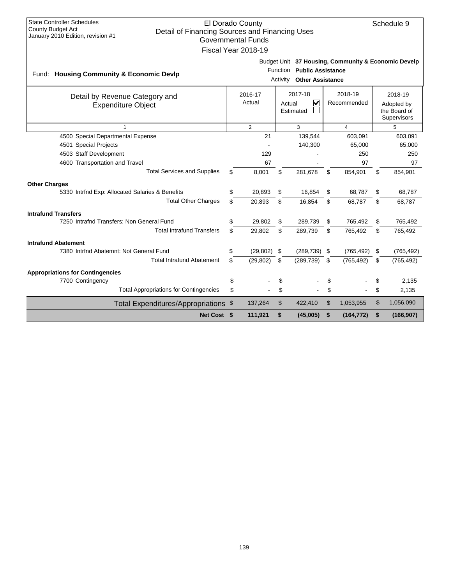| <b>State Controller Schedules</b><br>El Dorado County<br>Schedule 9<br><b>County Budget Act</b><br>Detail of Financing Sources and Financing Uses<br>January 2010 Edition, revision #1<br><b>Governmental Funds</b><br>Fiscal Year 2018-19 |    |                   |    |                                                           |    |                        |    |                                                      |
|--------------------------------------------------------------------------------------------------------------------------------------------------------------------------------------------------------------------------------------------|----|-------------------|----|-----------------------------------------------------------|----|------------------------|----|------------------------------------------------------|
| Budget Unit 37 Housing, Community & Economic Develp<br><b>Public Assistance</b><br>Function<br>Fund: Housing Community & Economic Devlp<br><b>Other Assistance</b><br>Activity                                                             |    |                   |    |                                                           |    |                        |    |                                                      |
| Detail by Revenue Category and<br><b>Expenditure Object</b>                                                                                                                                                                                |    | 2016-17<br>Actual |    | 2017-18<br>$\overline{\mathsf{v}}$<br>Actual<br>Estimated |    | 2018-19<br>Recommended |    | 2018-19<br>Adopted by<br>the Board of<br>Supervisors |
| $\overline{1}$                                                                                                                                                                                                                             |    | $\overline{2}$    |    | 3                                                         |    | $\overline{4}$         |    | 5                                                    |
| 4500 Special Departmental Expense                                                                                                                                                                                                          |    | 21                |    | 139,544                                                   |    | 603,091                |    | 603,091                                              |
| 4501 Special Projects                                                                                                                                                                                                                      |    |                   |    | 140,300                                                   |    | 65,000                 |    | 65,000                                               |
| 4503 Staff Development                                                                                                                                                                                                                     |    | 129               |    |                                                           |    | 250                    |    | 250                                                  |
| 4600 Transportation and Travel                                                                                                                                                                                                             |    | 67                |    |                                                           |    | 97                     |    | 97                                                   |
| <b>Total Services and Supplies</b>                                                                                                                                                                                                         | \$ | 8,001             | \$ | 281.678                                                   | \$ | 854,901                | \$ | 854,901                                              |
| <b>Other Charges</b>                                                                                                                                                                                                                       |    |                   |    |                                                           |    |                        |    |                                                      |
| 5330 Intrfnd Exp: Allocated Salaries & Benefits                                                                                                                                                                                            | \$ | 20,893            | \$ | 16,854                                                    | \$ | 68,787                 | \$ | 68,787                                               |
| <b>Total Other Charges</b>                                                                                                                                                                                                                 | \$ | 20.893            | \$ | 16,854                                                    | \$ | 68,787                 | \$ | 68,787                                               |
| <b>Intrafund Transfers</b>                                                                                                                                                                                                                 |    |                   |    |                                                           |    |                        |    |                                                      |
| 7250 Intrafnd Transfers: Non General Fund                                                                                                                                                                                                  | \$ | 29,802            | \$ | 289,739                                                   | \$ | 765,492                | \$ | 765,492                                              |
| <b>Total Intrafund Transfers</b>                                                                                                                                                                                                           | \$ | 29,802            | \$ | 289,739                                                   | \$ | 765,492                | \$ | 765,492                                              |
| <b>Intrafund Abatement</b>                                                                                                                                                                                                                 |    |                   |    |                                                           |    |                        |    |                                                      |
| 7380 Intrfnd Abatemnt: Not General Fund                                                                                                                                                                                                    | \$ | (29, 802)         | \$ | (289, 739)                                                | \$ | (765, 492)             | \$ | (765, 492)                                           |
| <b>Total Intrafund Abatement</b>                                                                                                                                                                                                           | \$ | (29, 802)         | \$ | (289, 739)                                                | \$ | (765, 492)             | \$ | (765, 492)                                           |
| <b>Appropriations for Contingencies</b>                                                                                                                                                                                                    |    |                   |    |                                                           |    |                        |    |                                                      |
| 7700 Contingency                                                                                                                                                                                                                           | \$ |                   | \$ |                                                           | \$ |                        | \$ | 2.135                                                |
| <b>Total Appropriations for Contingencies</b>                                                                                                                                                                                              | \$ |                   | \$ |                                                           | \$ |                        | \$ | 2,135                                                |
| Total Expenditures/Appropriations \$                                                                                                                                                                                                       |    | 137,264           | \$ | 422,410                                                   | \$ | 1,053,955              | \$ | 1,056,090                                            |
|                                                                                                                                                                                                                                            |    |                   |    |                                                           |    |                        |    |                                                      |
| Net Cost \$                                                                                                                                                                                                                                |    | 111,921           | \$ | (45,005)                                                  | \$ | (164, 772)             | \$ | (166, 907)                                           |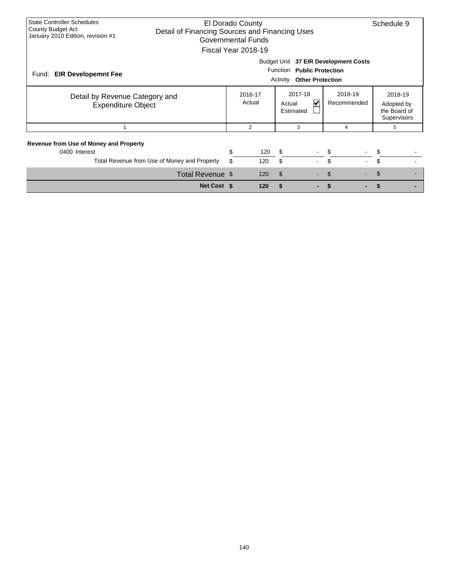| <b>State Controller Schedules</b><br>El Dorado County<br>County Budget Act<br>Detail of Financing Sources and Financing Uses<br>January 2010 Edition, revision #1<br>Governmental Funds<br>Fiscal Year 2018-19 |          |                   |                                                |                        |                                                      |  |  |  |  |
|----------------------------------------------------------------------------------------------------------------------------------------------------------------------------------------------------------------|----------|-------------------|------------------------------------------------|------------------------|------------------------------------------------------|--|--|--|--|
| Budget Unit 37 EIR Development Costs<br>Function Public Protection<br>Fund:<br><b>EIR Developemnt Fee</b><br><b>Other Protection</b><br>Activity                                                               |          |                   |                                                |                        |                                                      |  |  |  |  |
| Detail by Revenue Category and<br><b>Expenditure Object</b>                                                                                                                                                    |          | 2016-17<br>Actual | 2017-18<br>$\checkmark$<br>Actual<br>Estimated | 2018-19<br>Recommended | 2018-19<br>Adopted by<br>the Board of<br>Supervisors |  |  |  |  |
|                                                                                                                                                                                                                |          | 2                 | 3                                              | 4                      | 5                                                    |  |  |  |  |
| <b>Revenue from Use of Money and Property</b><br>0400 Interest<br>Total Revenue from Use of Money and Property                                                                                                 | \$<br>\$ | 120<br>120        | \$<br>\$                                       | \$<br>\$               | S                                                    |  |  |  |  |
| Total Revenue \$                                                                                                                                                                                               |          | 120               | $\mathsf{\$}$                                  | \$                     | \$                                                   |  |  |  |  |
| Net Cost \$                                                                                                                                                                                                    |          | 120               | \$                                             | \$                     |                                                      |  |  |  |  |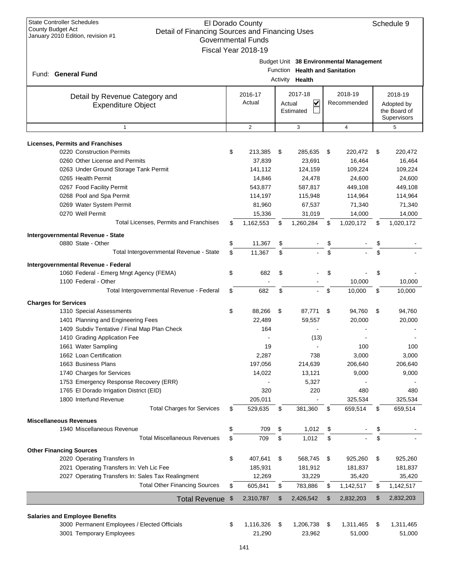| <b>State Controller Schedules</b><br>El Dorado County<br>Schedule 9<br><b>County Budget Act</b><br>Detail of Financing Sources and Financing Uses<br>January 2010 Edition, revision #1<br><b>Governmental Funds</b><br>Fiscal Year 2018-19 |    |                   |    |                                     |    |                        |    |                                                      |
|--------------------------------------------------------------------------------------------------------------------------------------------------------------------------------------------------------------------------------------------|----|-------------------|----|-------------------------------------|----|------------------------|----|------------------------------------------------------|
| Budget Unit 38 Environmental Management<br>Function Health and Sanitation<br>Fund: General Fund<br>Health<br>Activity                                                                                                                      |    |                   |    |                                     |    |                        |    |                                                      |
| Detail by Revenue Category and<br><b>Expenditure Object</b>                                                                                                                                                                                |    | 2016-17<br>Actual |    | 2017-18<br>V<br>Actual<br>Estimated |    | 2018-19<br>Recommended |    | 2018-19<br>Adopted by<br>the Board of<br>Supervisors |
| $\mathbf{1}$                                                                                                                                                                                                                               |    | 2                 |    | 3                                   |    | $\overline{4}$         |    | 5                                                    |
| <b>Licenses, Permits and Franchises</b>                                                                                                                                                                                                    |    |                   |    |                                     |    |                        |    |                                                      |
| 0220 Construction Permits                                                                                                                                                                                                                  | \$ | 213,385           | \$ | 285,635                             | \$ | 220,472                | \$ | 220,472                                              |
| 0260 Other License and Permits                                                                                                                                                                                                             |    | 37,839            |    | 23,691                              |    | 16,464                 |    | 16,464                                               |
| 0263 Under Ground Storage Tank Permit                                                                                                                                                                                                      |    | 141.112           |    | 124,159                             |    | 109,224                |    | 109,224                                              |
| 0265 Health Permit                                                                                                                                                                                                                         |    | 14,846            |    | 24,478                              |    | 24,600                 |    | 24,600                                               |
| 0267 Food Facility Permit                                                                                                                                                                                                                  |    | 543,877           |    | 587,817                             |    | 449,108                |    | 449,108                                              |
| 0268 Pool and Spa Permit                                                                                                                                                                                                                   |    | 114,197           |    | 115,948                             |    | 114,964                |    | 114,964                                              |
| 0269 Water System Permit                                                                                                                                                                                                                   |    | 81,960            |    | 67,537                              |    | 71,340                 |    | 71,340                                               |
| 0270 Well Permit                                                                                                                                                                                                                           |    | 15,336            |    | 31,019                              |    | 14,000                 |    | 14,000                                               |
| Total Licenses, Permits and Franchises                                                                                                                                                                                                     | \$ | 1,162,553         | \$ | 1,260,284                           | \$ | 1,020,172              | \$ | 1,020,172                                            |
|                                                                                                                                                                                                                                            |    |                   |    |                                     |    |                        |    |                                                      |
| Intergovernmental Revenue - State                                                                                                                                                                                                          |    |                   |    |                                     |    |                        |    |                                                      |
| 0880 State - Other                                                                                                                                                                                                                         | \$ | 11,367            | \$ |                                     | \$ |                        | \$ |                                                      |
| Total Intergovernmental Revenue - State                                                                                                                                                                                                    | \$ | 11,367            | \$ |                                     | \$ |                        | \$ |                                                      |
| Intergovernmental Revenue - Federal                                                                                                                                                                                                        |    |                   |    |                                     |    |                        |    |                                                      |
| 1060 Federal - Emerg Mngt Agency (FEMA)                                                                                                                                                                                                    | \$ | 682               | \$ |                                     | \$ |                        | \$ |                                                      |
| 1100 Federal - Other                                                                                                                                                                                                                       |    |                   |    |                                     |    | 10,000                 |    | 10,000                                               |
| Total Intergovernmental Revenue - Federal                                                                                                                                                                                                  | \$ | 682               | \$ |                                     | \$ | 10,000                 | \$ | 10,000                                               |
| <b>Charges for Services</b>                                                                                                                                                                                                                |    |                   |    |                                     |    |                        |    |                                                      |
| 1310 Special Assessments                                                                                                                                                                                                                   | \$ | 88,266            | \$ | 87,771                              | \$ | 94,760                 | \$ | 94,760                                               |
| 1401 Planning and Engineering Fees                                                                                                                                                                                                         |    | 22,489            |    | 59,557                              |    | 20,000                 |    | 20,000                                               |
| 1409 Subdiv Tentative / Final Map Plan Check                                                                                                                                                                                               |    | 164               |    |                                     |    |                        |    |                                                      |
|                                                                                                                                                                                                                                            |    |                   |    |                                     |    |                        |    |                                                      |
| 1410 Grading Application Fee                                                                                                                                                                                                               |    |                   |    | (13)                                |    |                        |    |                                                      |
| 1661 Water Sampling                                                                                                                                                                                                                        |    | 19                |    |                                     |    | 100                    |    | 100                                                  |
| 1662 Loan Certification                                                                                                                                                                                                                    |    | 2,287             |    | 738                                 |    | 3,000                  |    | 3,000                                                |
| 1663 Business Plans                                                                                                                                                                                                                        |    | 197,056           |    | 214,639                             |    | 206,640                |    | 206,640                                              |
| 1740 Charges for Services                                                                                                                                                                                                                  |    | 14,022            |    | 13,121                              |    | 9,000                  |    | 9,000                                                |
| 1753 Emergency Response Recovery (ERR)                                                                                                                                                                                                     |    |                   |    | 5,327                               |    |                        |    |                                                      |
| 1765 El Dorado Irrigation District (EID)                                                                                                                                                                                                   |    | 320               |    | 220                                 |    | 480                    |    | 480                                                  |
| 1800 Interfund Revenue                                                                                                                                                                                                                     |    | 205,011           |    |                                     |    | 325,534                |    | 325,534                                              |
| <b>Total Charges for Services</b>                                                                                                                                                                                                          | \$ | 529,635           | \$ | 381,360                             | \$ | 659,514                | \$ | 659,514                                              |
| <b>Miscellaneous Revenues</b>                                                                                                                                                                                                              |    |                   |    |                                     |    |                        |    |                                                      |
| 1940 Miscellaneous Revenue                                                                                                                                                                                                                 | \$ | 709               | \$ | 1,012                               | \$ |                        | \$ |                                                      |
| <b>Total Miscellaneous Revenues</b>                                                                                                                                                                                                        | \$ | 709               | \$ | 1,012                               | \$ |                        | \$ |                                                      |
| <b>Other Financing Sources</b>                                                                                                                                                                                                             |    |                   |    |                                     |    |                        |    |                                                      |
| 2020 Operating Transfers In                                                                                                                                                                                                                | \$ | 407,641           | \$ | 568,745                             | \$ | 925,260                | \$ | 925,260                                              |
| 2021 Operating Transfers In: Veh Lic Fee                                                                                                                                                                                                   |    | 185,931           |    | 181,912                             |    | 181,837                |    | 181,837                                              |
| 2027 Operating Transfers In: Sales Tax Realingment                                                                                                                                                                                         |    | 12,269            |    | 33,229                              |    | 35,420                 |    | 35,420                                               |
| <b>Total Other Financing Sources</b>                                                                                                                                                                                                       | \$ | 605,841           | \$ | 783,886                             | \$ | 1,142,517              | \$ | 1,142,517                                            |
|                                                                                                                                                                                                                                            |    |                   |    |                                     |    |                        |    |                                                      |
| Total Revenue \$                                                                                                                                                                                                                           |    | 2,310,787         | \$ | 2,426,542                           | \$ | 2,832,203              | \$ | 2,832,203                                            |
| <b>Salaries and Employee Benefits</b>                                                                                                                                                                                                      |    |                   |    |                                     |    |                        |    |                                                      |
| 3000 Permanent Employees / Elected Officials                                                                                                                                                                                               | \$ | 1,116,326         | \$ | 1,206,738                           | \$ | 1,311,465              | \$ | 1,311,465                                            |
| 3001 Temporary Employees                                                                                                                                                                                                                   |    | 21,290            |    | 23,962                              |    | 51,000                 |    | 51,000                                               |
|                                                                                                                                                                                                                                            |    |                   |    |                                     |    |                        |    |                                                      |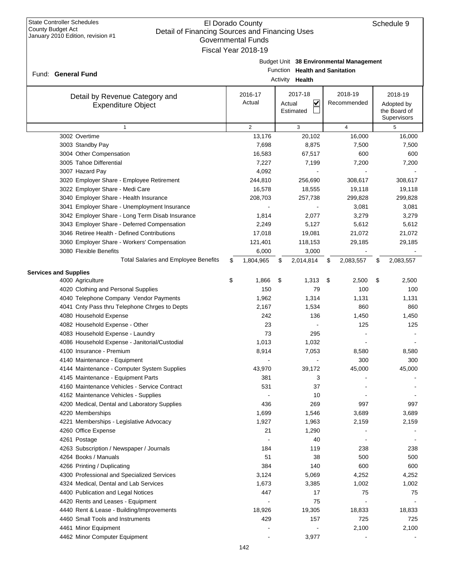### El Dorado County Detail of Financing Sources and Financing Uses Governmental Funds Fiscal Year 2018-19

|                                                             | Governmental Funds<br>Fiscal Year 2018-19 |                                                   |                                         |                                                      |
|-------------------------------------------------------------|-------------------------------------------|---------------------------------------------------|-----------------------------------------|------------------------------------------------------|
| Fund: General Fund                                          |                                           | Function Health and Sanitation<br>Activity Health | Budget Unit 38 Environmental Management |                                                      |
| Detail by Revenue Category and<br><b>Expenditure Object</b> | 2016-17<br>Actual                         | 2017-18<br><u>V</u><br>Actual<br>Estimated        | 2018-19<br>Recommended                  | 2018-19<br>Adopted by<br>the Board of<br>Supervisors |
| $\mathbf{1}$                                                | 2                                         | 3                                                 | 4                                       | 5                                                    |
| 3002 Overtime                                               | 13,176                                    | 20,102                                            | 16,000                                  | 16,000                                               |
| 3003 Standby Pay                                            | 7,698                                     | 8,875                                             | 7,500                                   | 7,500                                                |
| 3004 Other Compensation                                     | 16,583                                    | 67,517                                            | 600                                     | 600                                                  |
| 3005 Tahoe Differential                                     | 7,227                                     | 7,199                                             | 7,200                                   | 7,200                                                |
| 3007 Hazard Pay                                             | 4,092                                     |                                                   |                                         |                                                      |
| 3020 Employer Share - Employee Retirement                   | 244,810                                   | 256,690                                           | 308,617                                 | 308,617                                              |
| 3022 Employer Share - Medi Care                             | 16,578                                    | 18,555                                            | 19,118                                  | 19,118                                               |
| 3040 Employer Share - Health Insurance                      | 208,703                                   | 257,738                                           | 299,828                                 | 299,828                                              |
| 3041 Employer Share - Unemployment Insurance                |                                           |                                                   | 3,081                                   | 3,081                                                |
| 3042 Employer Share - Long Term Disab Insurance             | 1,814                                     | 2,077                                             | 3,279                                   | 3,279                                                |
| 3043 Employer Share - Deferred Compensation                 | 2,249                                     | 5,127                                             | 5,612                                   | 5,612                                                |
| 3046 Retiree Health - Defined Contributions                 | 17,018                                    | 19,081                                            | 21,072                                  | 21,072                                               |
| 3060 Employer Share - Workers' Compensation                 | 121,401                                   | 118,153                                           | 29,185                                  | 29,185                                               |
| 3080 Flexible Benefits                                      | 6,000                                     | 3,000                                             |                                         |                                                      |
| <b>Total Salaries and Employee Benefits</b>                 | \$<br>1,804,965                           | \$<br>2,014,814                                   | \$<br>2,083,557                         | \$<br>2,083,557                                      |
| <b>Services and Supplies</b>                                |                                           |                                                   |                                         |                                                      |
| 4000 Agriculture                                            | \$<br>1,866                               | \$<br>1,313                                       | \$<br>2,500                             | \$<br>2,500                                          |
| 4020 Clothing and Personal Supplies                         | 150                                       | 79                                                | 100                                     | 100                                                  |
| 4040 Telephone Company Vendor Payments                      | 1,962                                     | 1,314                                             | 1,131                                   | 1,131                                                |
| 4041 Cnty Pass thru Telephone Chrges to Depts               | 2,167                                     | 1,534                                             | 860                                     | 860                                                  |
| 4080 Household Expense                                      | 242                                       | 136                                               | 1,450                                   | 1,450                                                |
| 4082 Household Expense - Other                              | 23                                        |                                                   | 125                                     | 125                                                  |
| 4083 Household Expense - Laundry                            | 73                                        | 295                                               |                                         |                                                      |
| 4086 Household Expense - Janitorial/Custodial               | 1,013                                     | 1,032                                             |                                         |                                                      |
| 4100 Insurance - Premium                                    | 8,914                                     | 7,053                                             | 8,580                                   | 8,580                                                |
| 4140 Maintenance - Equipment                                |                                           |                                                   | 300                                     | 300                                                  |
| 4144 Maintenance - Computer System Supplies                 | 43,970                                    | 39,172                                            | 45,000                                  | 45,000                                               |
| 4145 Maintenance - Equipment Parts                          | 381                                       | 3                                                 |                                         |                                                      |
| 4160 Maintenance Vehicles - Service Contract                | 531                                       | 37                                                |                                         |                                                      |
| 4162 Maintenance Vehicles - Supplies                        |                                           | 10                                                |                                         |                                                      |
| 4200 Medical, Dental and Laboratory Supplies                | 436                                       | 269                                               | 997                                     | 997                                                  |
| 4220 Memberships                                            | 1,699                                     | 1,546                                             | 3,689                                   | 3,689                                                |
| 4221 Memberships - Legislative Advocacy                     | 1,927                                     | 1,963                                             | 2,159                                   | 2,159                                                |
| 4260 Office Expense                                         | 21                                        | 1,290                                             |                                         |                                                      |
| 4261 Postage                                                |                                           | 40                                                |                                         |                                                      |
| 4263 Subscription / Newspaper / Journals                    | 184                                       | 119                                               | 238                                     | 238                                                  |
| 4264 Books / Manuals                                        | 51                                        | 38                                                | 500                                     | 500                                                  |
| 4266 Printing / Duplicating                                 | 384                                       | 140                                               | 600                                     | 600                                                  |
| 4300 Professional and Specialized Services                  | 3,124                                     | 5,069                                             | 4,252                                   | 4,252                                                |
| 4324 Medical, Dental and Lab Services                       | 1,673                                     | 3,385                                             | 1,002                                   | 1,002                                                |
| 4400 Publication and Legal Notices                          | 447                                       | 17                                                | 75                                      | 75                                                   |
| 4420 Rents and Leases - Equipment                           |                                           | 75                                                |                                         |                                                      |
| 4440 Rent & Lease - Building/Improvements                   | 18,926                                    | 19,305                                            | 18,833                                  | 18,833                                               |
| 4460 Small Tools and Instruments                            | 429                                       | 157                                               | 725                                     | 725                                                  |

4461 Minor Equipment 2,100 4462 Minor Computer Equipment **Advisoring Computer Equipment** 1997 - 3,977